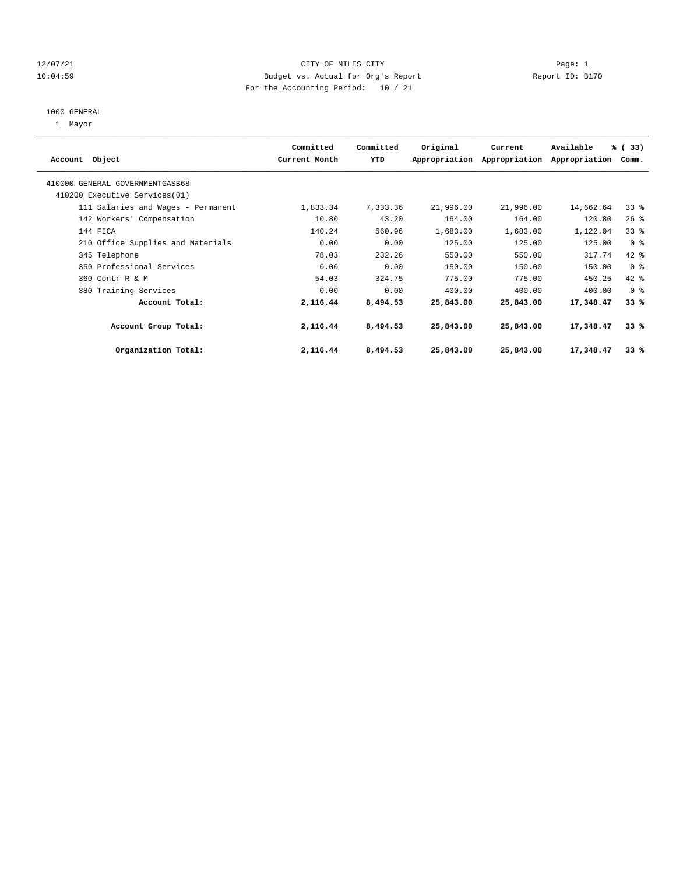#### 12/07/21 CITY OF MILES CITY Page: 1 10:04:59 Budget vs. Actual for Org's Report Report ID: B170 For the Accounting Period: 10 / 21

#### 1000 GENERAL

1 Mayor

| Account Object                     | Committed<br>Current Month | Committed<br>YTD | Original  | Current<br>Appropriation Appropriation | Available<br>Appropriation | % (33)<br>Comm. |  |
|------------------------------------|----------------------------|------------------|-----------|----------------------------------------|----------------------------|-----------------|--|
| 410000 GENERAL GOVERNMENTGASB68    |                            |                  |           |                                        |                            |                 |  |
| 410200 Executive Services (01)     |                            |                  |           |                                        |                            |                 |  |
| 111 Salaries and Wages - Permanent | 1,833.34                   | 7,333.36         | 21,996.00 | 21,996.00                              | 14,662.64                  | 33%             |  |
| 142 Workers' Compensation          | 10.80                      | 43.20            | 164.00    | 164.00                                 | 120.80                     | 26%             |  |
| 144 FICA                           | 140.24                     | 560.96           | 1,683.00  | 1,683.00                               | 1,122.04                   | 33%             |  |
| 210 Office Supplies and Materials  | 0.00                       | 0.00             | 125.00    | 125.00                                 | 125.00                     | 0 <sup>8</sup>  |  |
| 345 Telephone                      | 78.03                      | 232.26           | 550.00    | 550.00                                 | 317.74                     | 42 %            |  |
| 350 Professional Services          | 0.00                       | 0.00             | 150.00    | 150.00                                 | 150.00                     | 0 <sup>8</sup>  |  |
| 360 Contr R & M                    | 54.03                      | 324.75           | 775.00    | 775.00                                 | 450.25                     | 42 %            |  |
| 380 Training Services              | 0.00                       | 0.00             | 400.00    | 400.00                                 | 400.00                     | 0 <sup>8</sup>  |  |
| Account Total:                     | 2,116.44                   | 8,494.53         | 25,843.00 | 25,843.00                              | 17,348.47                  | 33%             |  |
| Account Group Total:               | 2,116.44                   | 8,494.53         | 25,843.00 | 25,843.00                              | 17,348.47                  | 33%             |  |
| Organization Total:                | 2,116.44                   | 8,494.53         | 25,843.00 | 25,843.00                              | 17,348.47                  | 33%             |  |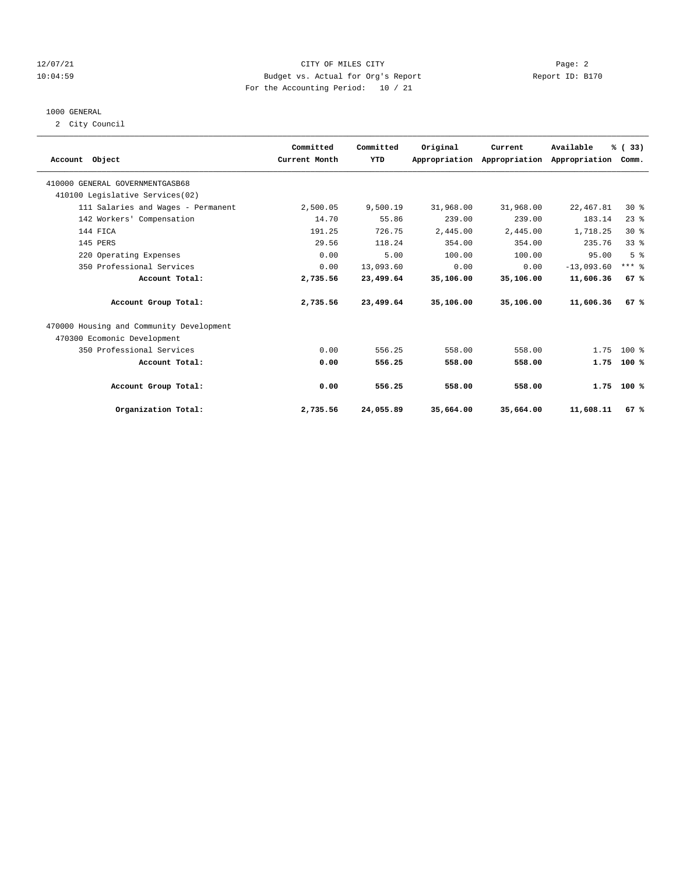#### 12/07/21 CITY OF MILES CITY Page: 2 10:04:59 Budget vs. Actual for Org's Report Report ID: B170 For the Accounting Period: 10 / 21

#### 1000 GENERAL

2 City Council

| Account Object                           | Committed<br>Current Month | Committed<br>YTD | Original  | Current<br>Appropriation Appropriation Appropriation | Available    | % (33)<br>Comm. |  |
|------------------------------------------|----------------------------|------------------|-----------|------------------------------------------------------|--------------|-----------------|--|
| 410000 GENERAL GOVERNMENTGASB68          |                            |                  |           |                                                      |              |                 |  |
| 410100 Legislative Services(02)          |                            |                  |           |                                                      |              |                 |  |
| 111 Salaries and Wages - Permanent       | 2,500.05                   | 9,500.19         | 31,968.00 | 31,968.00                                            | 22, 467.81   | $30*$           |  |
| 142 Workers' Compensation                | 14.70                      | 55.86            | 239.00    | 239.00                                               | 183.14       | 23%             |  |
| 144 FICA                                 | 191.25                     | 726.75           | 2,445.00  | 2,445.00                                             | 1,718.25     | $30*$           |  |
| 145 PERS                                 | 29.56                      | 118.24           | 354.00    | 354.00                                               | 235.76       | 338             |  |
| 220 Operating Expenses                   | 0.00                       | 5.00             | 100.00    | 100.00                                               | 95.00        | 5 <sup>8</sup>  |  |
| 350 Professional Services                | 0.00                       | 13,093.60        | 0.00      | 0.00                                                 | $-13,093.60$ | $***$ $8$       |  |
| Account Total:                           | 2,735.56                   | 23,499.64        | 35,106.00 | 35,106.00                                            | 11,606.36    | 67%             |  |
| Account Group Total:                     | 2,735.56                   | 23,499.64        | 35,106.00 | 35,106.00                                            | 11,606.36    | 67%             |  |
| 470000 Housing and Community Development |                            |                  |           |                                                      |              |                 |  |
| 470300 Ecomonic Development              |                            |                  |           |                                                      |              |                 |  |
| 350 Professional Services                | 0.00                       | 556.25           | 558.00    | 558.00                                               | 1.75         | $100*$          |  |
| Account Total:                           | 0.00                       | 556.25           | 558.00    | 558.00                                               | 1.75         | $100*$          |  |
| Account Group Total:                     | 0.00                       | 556.25           | 558.00    | 558.00                                               |              | $1.75$ 100 %    |  |
| Organization Total:                      | 2,735.56                   | 24,055.89        | 35,664.00 | 35,664.00                                            | 11,608.11    | 67 %            |  |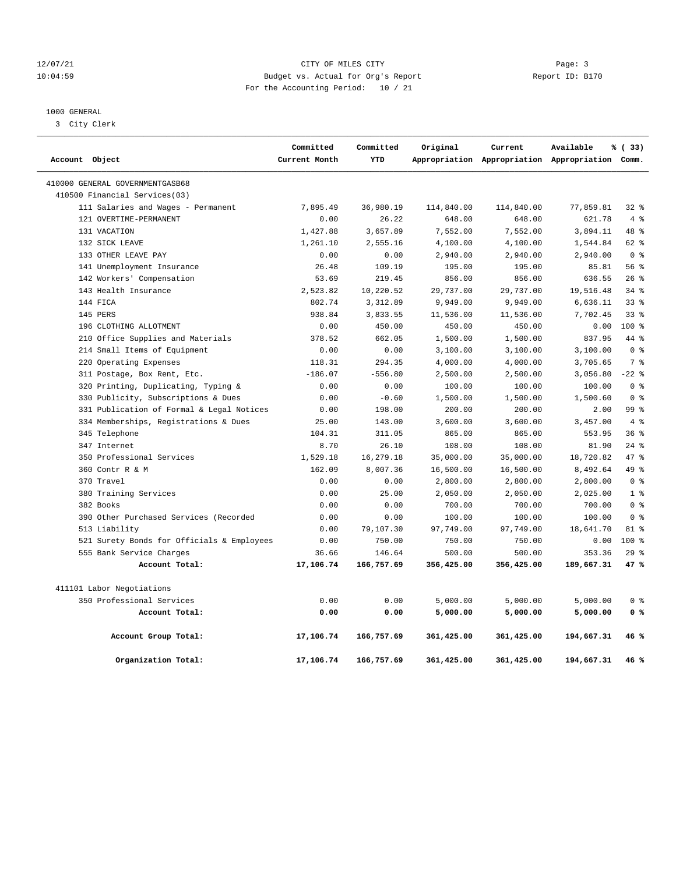#### 12/07/21 Page: 3 Page: 3 10:04:59 Budget vs. Actual for Org's Report Report ID: B170 For the Accounting Period: 10 / 21

#### 1000 GENERAL

3 City Clerk

| Account Object |                                            | Committed<br>Current Month | Committed<br>YTD | Original   | Current    | Available<br>Appropriation Appropriation Appropriation Comm. | % (33)          |  |
|----------------|--------------------------------------------|----------------------------|------------------|------------|------------|--------------------------------------------------------------|-----------------|--|
|                |                                            |                            |                  |            |            |                                                              |                 |  |
|                | 410000 GENERAL GOVERNMENTGASB68            |                            |                  |            |            |                                                              |                 |  |
|                | 410500 Financial Services(03)              |                            |                  |            |            |                                                              |                 |  |
|                | 111 Salaries and Wages - Permanent         | 7,895.49                   | 36,980.19        | 114,840.00 | 114,840.00 | 77,859.81                                                    | $32$ $%$        |  |
|                | 121 OVERTIME-PERMANENT                     | 0.00                       | 26.22            | 648.00     | 648.00     | 621.78                                                       | 4%              |  |
|                | 131 VACATION                               | 1,427.88                   | 3,657.89         | 7,552.00   | 7,552.00   | 3,894.11                                                     | 48 %            |  |
|                | 132 SICK LEAVE                             | 1,261.10                   | 2,555.16         | 4,100.00   | 4,100.00   | 1,544.84                                                     | 62 %            |  |
|                | 133 OTHER LEAVE PAY                        | 0.00                       | 0.00             | 2,940.00   | 2,940.00   | 2,940.00                                                     | 0 <sup>8</sup>  |  |
|                | 141 Unemployment Insurance                 | 26.48                      | 109.19           | 195.00     | 195.00     | 85.81                                                        | 56%             |  |
|                | 142 Workers' Compensation                  | 53.69                      | 219.45           | 856.00     | 856.00     | 636.55                                                       | 26%             |  |
|                | 143 Health Insurance                       | 2,523.82                   | 10,220.52        | 29,737.00  | 29,737.00  | 19,516.48                                                    | 34%             |  |
|                | 144 FICA                                   | 802.74                     | 3,312.89         | 9,949.00   | 9,949.00   | 6,636.11                                                     | $33$ $%$        |  |
|                | 145 PERS                                   | 938.84                     | 3,833.55         | 11,536.00  | 11,536.00  | 7,702.45                                                     | $33$ $%$        |  |
|                | 196 CLOTHING ALLOTMENT                     | 0.00                       | 450.00           | 450.00     | 450.00     | 0.00                                                         | 100 %           |  |
|                | 210 Office Supplies and Materials          | 378.52                     | 662.05           | 1,500.00   | 1,500.00   | 837.95                                                       | 44 %            |  |
|                | 214 Small Items of Equipment               | 0.00                       | 0.00             | 3,100.00   | 3,100.00   | 3,100.00                                                     | 0 <sup>8</sup>  |  |
|                | 220 Operating Expenses                     | 118.31                     | 294.35           | 4,000.00   | 4,000.00   | 3,705.65                                                     | 7 %             |  |
|                | 311 Postage, Box Rent, Etc.                | $-186.07$                  | $-556.80$        | 2,500.00   | 2,500.00   | 3,056.80                                                     | $-22$ %         |  |
|                | 320 Printing, Duplicating, Typing &        | 0.00                       | 0.00             | 100.00     | 100.00     | 100.00                                                       | 0 <sup>8</sup>  |  |
|                | 330 Publicity, Subscriptions & Dues        | 0.00                       | $-0.60$          | 1,500.00   | 1,500.00   | 1,500.60                                                     | 0 <sup>8</sup>  |  |
|                | 331 Publication of Formal & Legal Notices  | 0.00                       | 198.00           | 200.00     | 200.00     | 2.00                                                         | 99 <sub>8</sub> |  |
|                | 334 Memberships, Registrations & Dues      | 25.00                      | 143.00           | 3,600.00   | 3,600.00   | 3,457.00                                                     | 4%              |  |
|                | 345 Telephone                              | 104.31                     | 311.05           | 865.00     | 865.00     | 553.95                                                       | 36%             |  |
|                | 347 Internet                               | 8.70                       | 26.10            | 108.00     | 108.00     | 81.90                                                        | $24$ %          |  |
|                | 350 Professional Services                  | 1,529.18                   | 16,279.18        | 35,000.00  | 35,000.00  | 18,720.82                                                    | 47%             |  |
|                | 360 Contr R & M                            | 162.09                     | 8,007.36         | 16,500.00  | 16,500.00  | 8,492.64                                                     | 49 %            |  |
|                | 370 Travel                                 | 0.00                       | 0.00             | 2,800.00   | 2,800.00   | 2,800.00                                                     | 0 <sup>8</sup>  |  |
|                | 380 Training Services                      | 0.00                       | 25.00            | 2,050.00   | 2,050.00   | 2,025.00                                                     | 1 <sup>8</sup>  |  |
|                | 382 Books                                  | 0.00                       | 0.00             | 700.00     | 700.00     | 700.00                                                       | 0 <sup>8</sup>  |  |
|                | 390 Other Purchased Services (Recorded     | 0.00                       | 0.00             | 100.00     | 100.00     | 100.00                                                       | 0 <sup>8</sup>  |  |
|                | 513 Liability                              | 0.00                       | 79,107.30        | 97,749.00  | 97,749.00  | 18,641.70                                                    | 81 %            |  |
|                | 521 Surety Bonds for Officials & Employees | 0.00                       | 750.00           | 750.00     | 750.00     | 0.00                                                         | $100*$          |  |
|                | 555 Bank Service Charges                   | 36.66                      | 146.64           | 500.00     | 500.00     | 353.36                                                       | 29%             |  |
|                | Account Total:                             | 17,106.74                  | 166,757.69       | 356,425.00 | 356,425.00 | 189,667.31                                                   | 47%             |  |
|                | 411101 Labor Negotiations                  |                            |                  |            |            |                                                              |                 |  |
|                | 350 Professional Services                  | 0.00                       | 0.00             | 5,000.00   | 5,000.00   | 5,000.00                                                     | 0 <sup>8</sup>  |  |
|                | Account Total:                             | 0.00                       | 0.00             | 5,000.00   | 5,000.00   | 5,000.00                                                     | 0 <sup>8</sup>  |  |
|                | Account Group Total:                       | 17,106.74                  | 166,757.69       | 361,425.00 | 361,425.00 | 194,667.31                                                   | 46 %            |  |
|                | Organization Total:                        | 17,106.74                  | 166,757.69       | 361,425.00 | 361,425.00 | 194,667.31                                                   | 46 %            |  |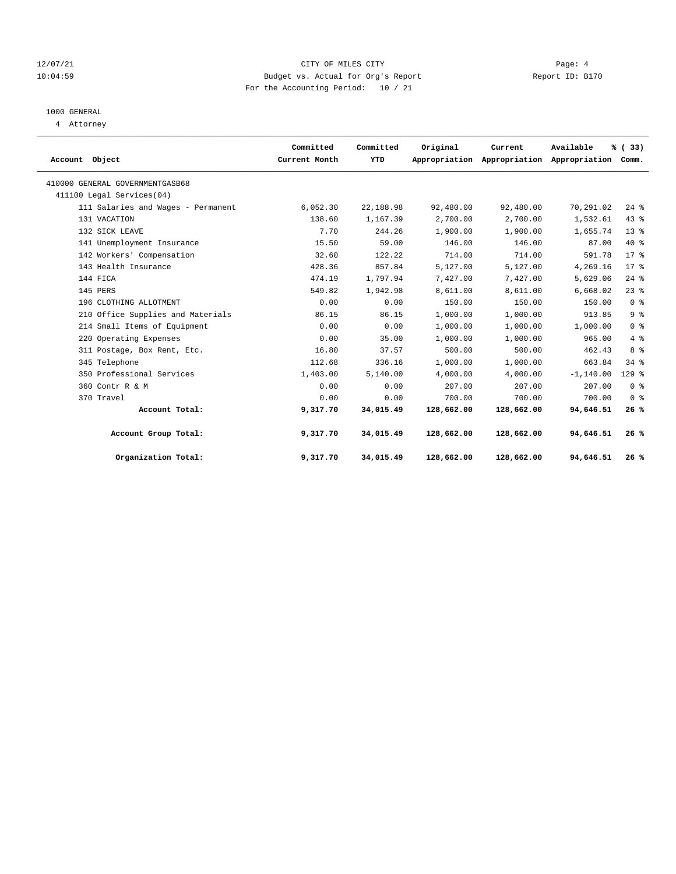#### 12/07/21 Page: 4 10:04:59 Budget vs. Actual for Org's Report Report ID: B170 For the Accounting Period: 10 / 21

## 1000 GENERAL

4 Attorney

| Account Object                     | Committed<br>Current Month | Committed<br>YTD | Original   | Current    | Available<br>Appropriation Appropriation Appropriation | % (33)<br>Comm. |  |
|------------------------------------|----------------------------|------------------|------------|------------|--------------------------------------------------------|-----------------|--|
| 410000 GENERAL GOVERNMENTGASB68    |                            |                  |            |            |                                                        |                 |  |
| 411100 Legal Services(04)          |                            |                  |            |            |                                                        |                 |  |
| 111 Salaries and Wages - Permanent | 6,052.30                   | 22,188.98        | 92,480.00  | 92,480.00  | 70,291.02                                              | $24$ %          |  |
| 131 VACATION                       | 138.60                     | 1,167.39         | 2,700.00   | 2,700.00   | 1,532.61                                               | 43.8            |  |
| 132 SICK LEAVE                     | 7.70                       | 244.26           | 1,900.00   | 1,900.00   | 1,655.74                                               | $13*$           |  |
| 141 Unemployment Insurance         | 15.50                      | 59.00            | 146.00     | 146.00     | 87.00                                                  | $40*$           |  |
| 142 Workers' Compensation          | 32.60                      | 122.22           | 714.00     | 714.00     | 591.78                                                 | $17*$           |  |
| 143 Health Insurance               | 428.36                     | 857.84           | 5,127.00   | 5,127.00   | 4,269.16                                               | $17*$           |  |
| 144 FICA                           | 474.19                     | 1,797.94         | 7,427.00   | 7,427.00   | 5,629.06                                               | 24%             |  |
| 145 PERS                           | 549.82                     | 1,942.98         | 8,611.00   | 8,611.00   | 6,668.02                                               | 23%             |  |
| 196 CLOTHING ALLOTMENT             | 0.00                       | 0.00             | 150.00     | 150.00     | 150.00                                                 | 0 <sup>8</sup>  |  |
| 210 Office Supplies and Materials  | 86.15                      | 86.15            | 1,000.00   | 1,000.00   | 913.85                                                 | 9 <sup>8</sup>  |  |
| 214 Small Items of Equipment       | 0.00                       | 0.00             | 1,000.00   | 1,000.00   | 1,000.00                                               | 0 <sup>8</sup>  |  |
| 220 Operating Expenses             | 0.00                       | 35.00            | 1,000.00   | 1,000.00   | 965.00                                                 | 4%              |  |
| 311 Postage, Box Rent, Etc.        | 16.80                      | 37.57            | 500.00     | 500.00     | 462.43                                                 | 8 %             |  |
| 345 Telephone                      | 112.68                     | 336.16           | 1,000.00   | 1,000.00   | 663.84                                                 | 34%             |  |
| 350 Professional Services          | 1,403.00                   | 5,140.00         | 4,000.00   | 4,000.00   | $-1, 140.00$                                           | $129$ %         |  |
| 360 Contr R & M                    | 0.00                       | 0.00             | 207.00     | 207.00     | 207.00                                                 | 0 <sup>8</sup>  |  |
| 370 Travel                         | 0.00                       | 0.00             | 700.00     | 700.00     | 700.00                                                 | 0 <sup>8</sup>  |  |
| Account Total:                     | 9,317.70                   | 34,015.49        | 128,662.00 | 128,662.00 | 94,646.51                                              | 26%             |  |
| Account Group Total:               | 9,317.70                   | 34,015.49        | 128,662.00 | 128,662.00 | 94,646.51                                              | 26%             |  |
| Organization Total:                | 9,317.70                   | 34,015.49        | 128,662.00 | 128,662.00 | 94,646.51                                              | 26%             |  |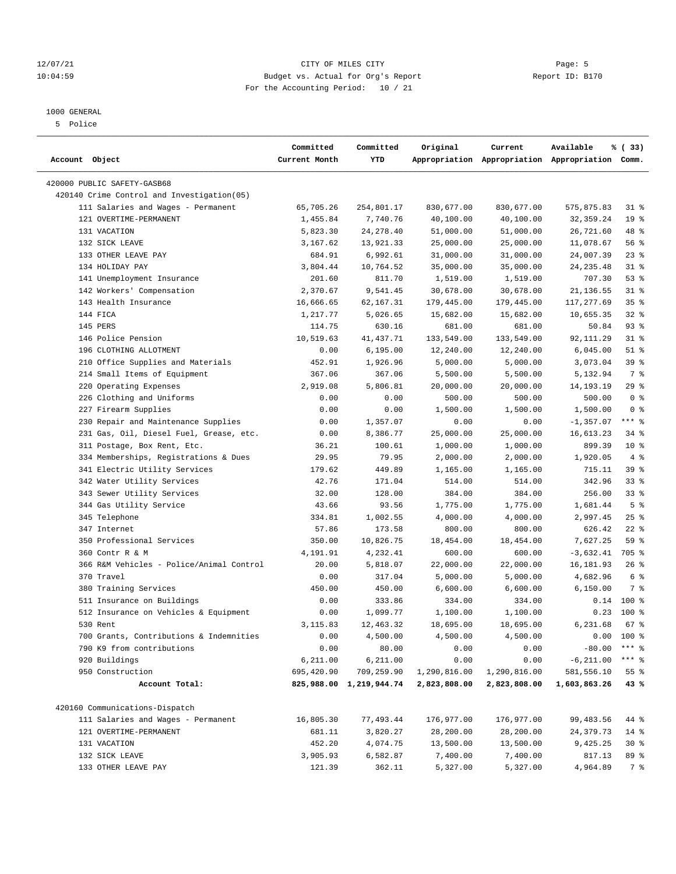#### 12/07/21 Page: 5 Page: 5 Page: 5 Page: 5 Page: 5 Page: 5 Page: 5 Page: 5 Page: 5 Page: 5 Page: 5 Page: 5 Page: 5 Page: 5 Page: 5 Page: 5 Page: 5 Page: 5 Page: 5 Page: 5 Page: 5 Page: 5 Page: 5 Page: 5 Page: 5 Page: 5 Page: 10:04:59 Budget vs. Actual for Org's Report Report ID: B170 For the Accounting Period: 10 / 21

————————————————————————————————————————————————————————————————————————————————————————————————————————————————————————————————————

#### 1000 GENERAL

5 Police

|                                            | Committed     | Committed               | Original     | Current                                         | Available    | % (33)          |
|--------------------------------------------|---------------|-------------------------|--------------|-------------------------------------------------|--------------|-----------------|
| Account Object                             | Current Month | YTD                     |              | Appropriation Appropriation Appropriation Comm. |              |                 |
| 420000 PUBLIC SAFETY-GASB68                |               |                         |              |                                                 |              |                 |
| 420140 Crime Control and Investigation(05) |               |                         |              |                                                 |              |                 |
| 111 Salaries and Wages - Permanent         | 65,705.26     | 254,801.17              | 830,677.00   | 830,677.00                                      | 575,875.83   | $31$ %          |
| 121 OVERTIME-PERMANENT                     | 1,455.84      | 7,740.76                | 40,100.00    | 40,100.00                                       | 32, 359.24   | 19 <sup>°</sup> |
| 131 VACATION                               | 5,823.30      | 24, 278.40              | 51,000.00    | 51,000.00                                       | 26,721.60    | 48 %            |
| 132 SICK LEAVE                             | 3,167.62      | 13,921.33               | 25,000.00    | 25,000.00                                       | 11,078.67    | 56%             |
| 133 OTHER LEAVE PAY                        | 684.91        | 6,992.61                | 31,000.00    | 31,000.00                                       | 24,007.39    | $23$ %          |
| 134 HOLIDAY PAY                            | 3,804.44      | 10,764.52               | 35,000.00    | 35,000.00                                       | 24, 235.48   | $31$ %          |
| 141 Unemployment Insurance                 | 201.60        | 811.70                  | 1,519.00     | 1,519.00                                        | 707.30       | 53%             |
| 142 Workers' Compensation                  | 2,370.67      | 9,541.45                | 30,678.00    | 30,678.00                                       | 21,136.55    | $31$ %          |
| 143 Health Insurance                       | 16,666.65     | 62,167.31               | 179,445.00   | 179,445.00                                      | 117,277.69   | 35%             |
| 144 FICA                                   | 1,217.77      | 5,026.65                | 15,682.00    | 15,682.00                                       | 10,655.35    | $32*$           |
| 145 PERS                                   | 114.75        | 630.16                  | 681.00       | 681.00                                          | 50.84        | 93%             |
| 146 Police Pension                         | 10,519.63     | 41,437.71               | 133,549.00   | 133,549.00                                      | 92,111.29    | $31$ %          |
| 196 CLOTHING ALLOTMENT                     | 0.00          | 6, 195.00               | 12,240.00    | 12,240.00                                       | 6,045.00     | $51$ %          |
| 210 Office Supplies and Materials          | 452.91        | 1,926.96                | 5,000.00     | 5,000.00                                        | 3,073.04     | 39 %            |
| 214 Small Items of Equipment               | 367.06        | 367.06                  | 5,500.00     | 5,500.00                                        | 5,132.94     | 7 %             |
| 220 Operating Expenses                     | 2,919.08      | 5,806.81                | 20,000.00    | 20,000.00                                       | 14,193.19    | 29%             |
| 226 Clothing and Uniforms                  | 0.00          | 0.00                    | 500.00       | 500.00                                          | 500.00       | 0 <sup>8</sup>  |
| 227 Firearm Supplies                       | 0.00          | 0.00                    | 1,500.00     | 1,500.00                                        | 1,500.00     | 0 <sup>8</sup>  |
| 230 Repair and Maintenance Supplies        | 0.00          | 1,357.07                | 0.00         | 0.00                                            | $-1,357.07$  | $***$ $-$       |
| 231 Gas, Oil, Diesel Fuel, Grease, etc.    | 0.00          | 8,386.77                | 25,000.00    | 25,000.00                                       | 16,613.23    | 34 %            |
| 311 Postage, Box Rent, Etc.                | 36.21         | 100.61                  | 1,000.00     | 1,000.00                                        | 899.39       | $10*$           |
| 334 Memberships, Registrations & Dues      | 29.95         | 79.95                   | 2,000.00     | 2,000.00                                        | 1,920.05     | 4%              |
| 341 Electric Utility Services              | 179.62        | 449.89                  | 1,165.00     | 1,165.00                                        | 715.11       | 39%             |
| 342 Water Utility Services                 | 42.76         | 171.04                  | 514.00       | 514.00                                          | 342.96       | 33%             |
| 343 Sewer Utility Services                 | 32.00         | 128.00                  | 384.00       | 384.00                                          | 256.00       | $33*$           |
| 344 Gas Utility Service                    | 43.66         | 93.56                   | 1,775.00     | 1,775.00                                        | 1,681.44     | 5 <sup>8</sup>  |
| 345 Telephone                              | 334.81        | 1,002.55                | 4,000.00     | 4,000.00                                        | 2,997.45     | $25$ %          |
| 347 Internet                               | 57.86         | 173.58                  | 800.00       | 800.00                                          | 626.42       | $22$ %          |
| 350 Professional Services                  | 350.00        | 10,826.75               | 18,454.00    | 18,454.00                                       | 7,627.25     | 59%             |
| 360 Contr R & M                            | 4,191.91      | 4,232.41                | 600.00       | 600.00                                          | $-3,632.41$  | 705 %           |
| 366 R&M Vehicles - Police/Animal Control   | 20.00         | 5,818.07                | 22,000.00    | 22,000.00                                       | 16,181.93    | 26%             |
| 370 Travel                                 | 0.00          | 317.04                  | 5,000.00     | 5,000.00                                        | 4,682.96     | 6 %             |
| 380 Training Services                      | 450.00        | 450.00                  | 6,600.00     | 6,600.00                                        | 6,150.00     | 7 %             |
| 511 Insurance on Buildings                 | 0.00          | 333.86                  | 334.00       | 334.00                                          |              | $0.14$ 100 %    |
| 512 Insurance on Vehicles & Equipment      | 0.00          | 1,099.77                | 1,100.00     | 1,100.00                                        | 0.23         | 100 %           |
| 530 Rent                                   | 3,115.83      | 12,463.32               | 18,695.00    | 18,695.00                                       | 6,231.68     | $67$ %          |
| 700 Grants, Contributions & Indemnities    | 0.00          | 4,500.00                | 4,500.00     | 4,500.00                                        |              | $0.00$ 100 %    |
| 790 K9 from contributions                  | 0.00          | 80.00                   | 0.00         | 0.00                                            | $-80.00$     | $***$ $%$       |
| 920 Buildings                              | 6,211.00      | 6,211.00                | 0.00         | 0.00                                            | $-6, 211.00$ | $***$ $_{8}$    |
| 950 Construction                           | 695,420.90    | 709,259.90              | 1,290,816.00 | 1,290,816.00                                    | 581,556.10   | 55%             |
| Account Total:                             |               | 825,988.00 1,219,944.74 | 2,823,808.00 | 2,823,808.00                                    | 1,603,863.26 | 43%             |
|                                            |               |                         |              |                                                 |              |                 |
| 420160 Communications-Dispatch             |               |                         |              |                                                 |              |                 |
| 111 Salaries and Wages - Permanent         | 16,805.30     | 77,493.44               | 176,977.00   | 176,977.00                                      | 99, 483.56   | 44 %            |
| 121 OVERTIME-PERMANENT                     | 681.11        | 3,820.27                | 28,200.00    | 28,200.00                                       | 24, 379. 73  | $14*$           |
| 131 VACATION                               | 452.20        | 4,074.75                | 13,500.00    | 13,500.00                                       | 9,425.25     | $30*$           |
| 132 SICK LEAVE                             | 3,905.93      | 6,582.87                | 7,400.00     | 7,400.00                                        | 817.13       | 89 %            |
| 133 OTHER LEAVE PAY                        | 121.39        | 362.11                  | 5,327.00     | 5,327.00                                        | 4,964.89     | 7 %             |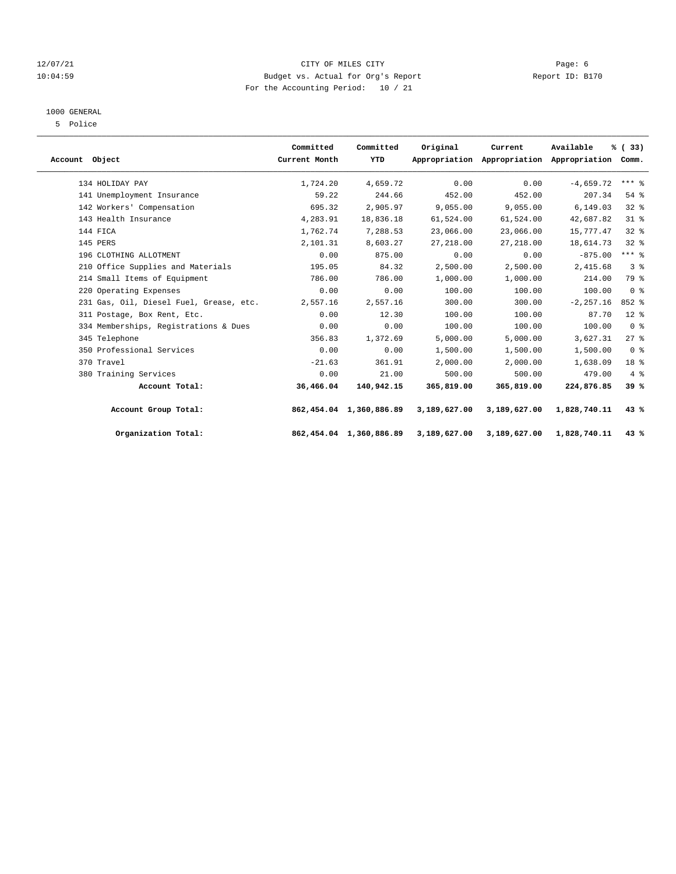#### 12/07/21 CITY OF MILES CITY Page: 6 10:04:59 Budget vs. Actual for Org's Report Report ID: B170 For the Accounting Period: 10 / 21

#### 1000 GENERAL

5 Police

| Account Object |                                         | Committed<br>Current Month | Committed<br>YTD           | Original     | Current<br>Appropriation Appropriation Appropriation Comm. | Available    | % (33)          |  |
|----------------|-----------------------------------------|----------------------------|----------------------------|--------------|------------------------------------------------------------|--------------|-----------------|--|
|                | 134 HOLIDAY PAY                         | 1,724.20                   | 4,659.72                   | 0.00         | 0.00                                                       | $-4,659.72$  | $***$ $%$       |  |
|                | 141 Unemployment Insurance              | 59.22                      | 244.66                     | 452.00       | 452.00                                                     | 207.34       | $54$ $%$        |  |
|                | 142 Workers' Compensation               | 695.32                     | 2,905.97                   | 9,055.00     | 9,055.00                                                   | 6.149.03     | 328             |  |
|                | 143 Health Insurance                    | 4,283.91                   | 18,836.18                  | 61,524.00    | 61,524.00                                                  | 42,687.82    | $31$ %          |  |
|                | 144 FICA                                | 1,762.74                   | 7,288.53                   | 23,066.00    | 23,066.00                                                  | 15,777.47    | 328             |  |
|                | 145 PERS                                | 2,101.31                   | 8,603.27                   | 27,218.00    | 27, 218, 00                                                | 18,614.73    | 328             |  |
|                | 196 CLOTHING ALLOTMENT                  | 0.00                       | 875.00                     | 0.00         | 0.00                                                       | $-875.00$    | $***$ $-$       |  |
|                | 210 Office Supplies and Materials       | 195.05                     | 84.32                      | 2,500.00     | 2,500.00                                                   | 2,415.68     | 3 <sup>8</sup>  |  |
|                | 214 Small Items of Equipment            | 786.00                     | 786.00                     | 1,000.00     | 1,000.00                                                   | 214.00       | 79 %            |  |
|                | 220 Operating Expenses                  | 0.00                       | 0.00                       | 100.00       | 100.00                                                     | 100.00       | 0 <sup>8</sup>  |  |
|                | 231 Gas, Oil, Diesel Fuel, Grease, etc. | 2,557.16                   | 2,557.16                   | 300.00       | 300.00                                                     | $-2, 257.16$ | $852$ $%$       |  |
|                | 311 Postage, Box Rent, Etc.             | 0.00                       | 12.30                      | 100.00       | 100.00                                                     | 87.70        | $12*$           |  |
|                | 334 Memberships, Registrations & Dues   | 0.00                       | 0.00                       | 100.00       | 100.00                                                     | 100.00       | 0 <sup>8</sup>  |  |
|                | 345 Telephone                           | 356.83                     | 1,372.69                   | 5,000.00     | 5,000.00                                                   | 3,627.31     | 27%             |  |
|                | 350 Professional Services               | 0.00                       | 0.00                       | 1,500.00     | 1,500.00                                                   | 1,500.00     | 0 <sup>8</sup>  |  |
|                | 370 Travel                              | $-21.63$                   | 361.91                     | 2,000.00     | 2,000.00                                                   | 1,638.09     | 18 <sup>8</sup> |  |
|                | 380 Training Services                   | 0.00                       | 21.00                      | 500.00       | 500.00                                                     | 479.00       | 4%              |  |
|                | Account Total:                          | 36,466.04                  | 140,942.15                 | 365,819.00   | 365,819.00                                                 | 224,876.85   | 39%             |  |
|                | Account Group Total:                    |                            | 862, 454.04 1, 360, 886.89 | 3,189,627.00 | 3,189,627.00                                               | 1,828,740.11 | 43%             |  |
|                | Organization Total:                     |                            | 862,454.04 1,360,886.89    | 3,189,627.00 | 3,189,627.00                                               | 1,828,740.11 | 43%             |  |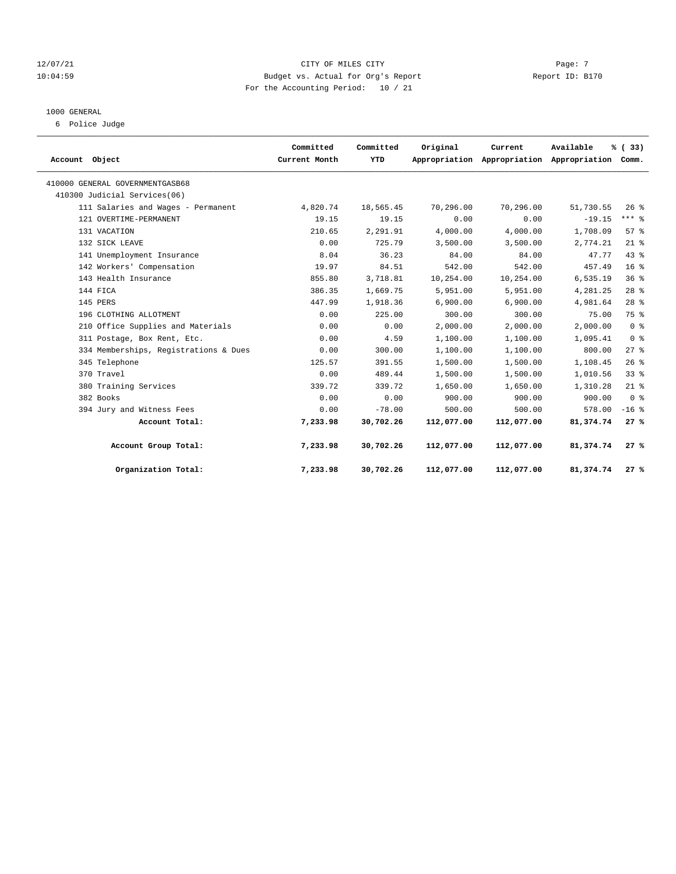#### 12/07/21 Page: 7 Page: 7 Page: 7 Page: 7 Page: 7 Page: 7 Page: 7 Page: 7 Page: 7 Page: 7 Page: 7 Page: 7 Page: 7 Page: 7 Page: 7 Page: 7 Page: 7 Page: 7 Page: 7 Page: 7 Page: 7 Page: 7 Page: 7 Page: 7 Page: 7 Page: 7 Page: 10:04:59 Budget vs. Actual for Org's Report Report ID: B170 For the Accounting Period: 10 / 21

#### 1000 GENERAL

6 Police Judge

| Account Object                        | Committed<br>Current Month | Committed<br>YTD | Original   | Current<br>Appropriation Appropriation Appropriation Comm. | Available | % (33)          |  |
|---------------------------------------|----------------------------|------------------|------------|------------------------------------------------------------|-----------|-----------------|--|
| 410000 GENERAL GOVERNMENTGASB68       |                            |                  |            |                                                            |           |                 |  |
| 410300 Judicial Services(06)          |                            |                  |            |                                                            |           |                 |  |
| 111 Salaries and Wages - Permanent    | 4,820.74                   | 18,565.45        | 70,296.00  | 70,296.00                                                  | 51,730.55 | $26$ %          |  |
| 121 OVERTIME-PERMANENT                | 19.15                      | 19.15            | 0.00       | 0.00                                                       | $-19.15$  | $***$ $-$       |  |
| 131 VACATION                          | 210.65                     | 2,291.91         | 4,000.00   | 4,000.00                                                   | 1,708.09  | 57%             |  |
| 132 SICK LEAVE                        | 0.00                       | 725.79           | 3,500.00   | 3,500.00                                                   | 2,774.21  | $21$ %          |  |
| 141 Unemployment Insurance            | 8.04                       | 36.23            | 84.00      | 84.00                                                      | 47.77     | 43%             |  |
| 142 Workers' Compensation             | 19.97                      | 84.51            | 542.00     | 542.00                                                     | 457.49    | 16 <sup>°</sup> |  |
| 143 Health Insurance                  | 855.80                     | 3,718.81         | 10,254.00  | 10,254.00                                                  | 6,535.19  | 36%             |  |
| 144 FICA                              | 386.35                     | 1,669.75         | 5,951.00   | 5,951.00                                                   | 4,281.25  | $28$ %          |  |
| 145 PERS                              | 447.99                     | 1,918.36         | 6,900.00   | 6,900.00                                                   | 4,981.64  | 28 <sup>8</sup> |  |
| 196 CLOTHING ALLOTMENT                | 0.00                       | 225.00           | 300.00     | 300.00                                                     | 75.00     | 75 %            |  |
| 210 Office Supplies and Materials     | 0.00                       | 0.00             | 2,000.00   | 2,000.00                                                   | 2,000.00  | 0 <sup>8</sup>  |  |
| 311 Postage, Box Rent, Etc.           | 0.00                       | 4.59             | 1,100.00   | 1,100.00                                                   | 1,095.41  | 0 <sup>8</sup>  |  |
| 334 Memberships, Registrations & Dues | 0.00                       | 300.00           | 1,100.00   | 1,100.00                                                   | 800.00    | 27%             |  |
| 345 Telephone                         | 125.57                     | 391.55           | 1,500.00   | 1,500.00                                                   | 1,108.45  | 26%             |  |
| 370 Travel                            | 0.00                       | 489.44           | 1,500.00   | 1,500.00                                                   | 1,010.56  | 33%             |  |
| 380 Training Services                 | 339.72                     | 339.72           | 1,650.00   | 1,650.00                                                   | 1,310.28  | $21$ %          |  |
| 382 Books                             | 0.00                       | 0.00             | 900.00     | 900.00                                                     | 900.00    | 0 <sup>8</sup>  |  |
| 394 Jury and Witness Fees             | 0.00                       | $-78.00$         | 500.00     | 500.00                                                     | 578.00    | $-16$ %         |  |
| Account Total:                        | 7,233.98                   | 30,702.26        | 112,077.00 | 112,077.00                                                 | 81,374.74 | 27%             |  |
| Account Group Total:                  | 7,233.98                   | 30,702.26        | 112,077.00 | 112,077.00                                                 | 81,374.74 | 27%             |  |
| Organization Total:                   | 7,233.98                   | 30,702.26        | 112,077.00 | 112,077.00                                                 | 81,374.74 | 27%             |  |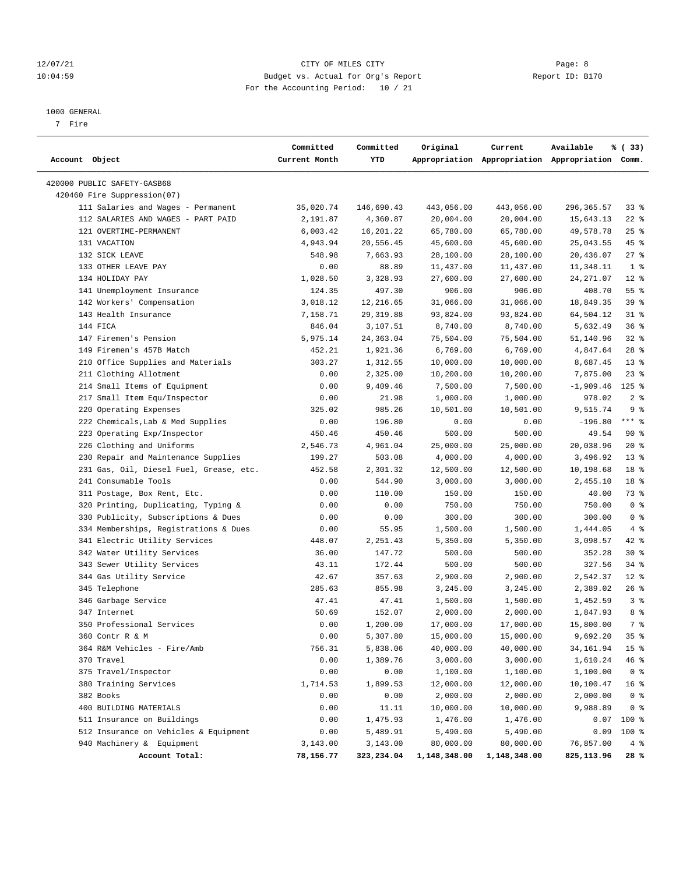#### 12/07/21 Page: 8 Page: 8 10:04:59 Budget vs. Actual for Org's Report Report ID: B170 For the Accounting Period: 10 / 21

————————————————————————————————————————————————————————————————————————————————————————————————————————————————————————————————————

#### 1000 GENERAL

7 Fire

|                                         | Committed     | Committed  | Original     | Current      | Available                                       | % (33)          |
|-----------------------------------------|---------------|------------|--------------|--------------|-------------------------------------------------|-----------------|
| Account Object                          | Current Month | YTD        |              |              | Appropriation Appropriation Appropriation Comm. |                 |
| 420000 PUBLIC SAFETY-GASB68             |               |            |              |              |                                                 |                 |
| 420460 Fire Suppression(07)             |               |            |              |              |                                                 |                 |
| 111 Salaries and Wages - Permanent      | 35,020.74     | 146,690.43 | 443,056.00   | 443,056.00   | 296, 365.57                                     | 338             |
| 112 SALARIES AND WAGES - PART PAID      | 2,191.87      | 4,360.87   | 20,004.00    | 20,004.00    | 15,643.13                                       | $22$ %          |
| 121 OVERTIME-PERMANENT                  | 6,003.42      | 16,201.22  | 65,780.00    | 65,780.00    | 49,578.78                                       | $25$ %          |
| 131 VACATION                            | 4,943.94      | 20,556.45  | 45,600.00    | 45,600.00    | 25,043.55                                       | 45 %            |
| 132 SICK LEAVE                          | 548.98        | 7,663.93   | 28,100.00    | 28,100.00    | 20,436.07                                       | $27$ %          |
| 133 OTHER LEAVE PAY                     | 0.00          | 88.89      | 11,437.00    | 11,437.00    | 11,348.11                                       | 1 <sup>8</sup>  |
| 134 HOLIDAY PAY                         | 1,028.50      | 3,328.93   | 27,600.00    | 27,600.00    | 24, 271.07                                      | $12*$           |
| 141 Unemployment Insurance              | 124.35        | 497.30     | 906.00       | 906.00       | 408.70                                          | 55%             |
| 142 Workers' Compensation               | 3,018.12      | 12,216.65  | 31,066.00    | 31,066.00    | 18,849.35                                       | 39%             |
| 143 Health Insurance                    | 7,158.71      | 29, 319.88 | 93,824.00    | 93,824.00    | 64,504.12                                       | $31$ %          |
| 144 FICA                                | 846.04        | 3,107.51   | 8,740.00     | 8,740.00     | 5,632.49                                        | 36%             |
| 147 Firemen's Pension                   | 5,975.14      | 24,363.04  | 75,504.00    | 75,504.00    | 51,140.96                                       | $32$ $%$        |
| 149 Firemen's 457B Match                | 452.21        | 1,921.36   | 6,769.00     | 6,769.00     | 4,847.64                                        | $28$ %          |
| 210 Office Supplies and Materials       | 303.27        | 1,312.55   | 10,000.00    | 10,000.00    | 8,687.45                                        | $13*$           |
| 211 Clothing Allotment                  | 0.00          | 2,325.00   | 10,200.00    | 10,200.00    | 7,875.00                                        | 23 %            |
| 214 Small Items of Equipment            | 0.00          | 9,409.46   | 7,500.00     | 7,500.00     | -1,909.46                                       | $125$ %         |
| 217 Small Item Equ/Inspector            | 0.00          | 21.98      | 1,000.00     | 1,000.00     | 978.02                                          | 2 <sup>8</sup>  |
| 220 Operating Expenses                  | 325.02        | 985.26     | 10,501.00    | 10,501.00    | 9,515.74                                        | 9 <sup>8</sup>  |
| 222 Chemicals, Lab & Med Supplies       | 0.00          | 196.80     | 0.00         | 0.00         | $-196.80$                                       | $***$ $%$       |
| 223 Operating Exp/Inspector             | 450.46        | 450.46     | 500.00       | 500.00       | 49.54                                           | 90 %            |
| 226 Clothing and Uniforms               | 2,546.73      | 4,961.04   | 25,000.00    | 25,000.00    | 20,038.96                                       | $20*$           |
| 230 Repair and Maintenance Supplies     | 199.27        | 503.08     | 4,000.00     | 4,000.00     | 3,496.92                                        | $13*$           |
| 231 Gas, Oil, Diesel Fuel, Grease, etc. | 452.58        | 2,301.32   | 12,500.00    | 12,500.00    | 10,198.68                                       | 18 <sup>8</sup> |
| 241 Consumable Tools                    | 0.00          | 544.90     | 3,000.00     | 3,000.00     | 2,455.10                                        | 18 %            |
| 311 Postage, Box Rent, Etc.             | 0.00          | 110.00     | 150.00       | 150.00       | 40.00                                           | 73 %            |
| 320 Printing, Duplicating, Typing &     | 0.00          | 0.00       | 750.00       | 750.00       | 750.00                                          | 0 <sup>8</sup>  |
| 330 Publicity, Subscriptions & Dues     | 0.00          | 0.00       | 300.00       | 300.00       | 300.00                                          | 0 <sup>8</sup>  |
| 334 Memberships, Registrations & Dues   | 0.00          | 55.95      | 1,500.00     | 1,500.00     | 1,444.05                                        | 4%              |
| 341 Electric Utility Services           | 448.07        | 2,251.43   | 5,350.00     | 5,350.00     | 3,098.57                                        | $42$ %          |
| 342 Water Utility Services              | 36.00         | 147.72     | 500.00       | 500.00       | 352.28                                          | 30 %            |
| 343 Sewer Utility Services              | 43.11         | 172.44     | 500.00       | 500.00       | 327.56                                          | 34%             |
| 344 Gas Utility Service                 | 42.67         | 357.63     | 2,900.00     | 2,900.00     | 2,542.37                                        | $12*$           |
| 345 Telephone                           | 285.63        | 855.98     | 3,245.00     | 3,245.00     | 2,389.02                                        | 26%             |
| 346 Garbage Service                     | 47.41         | 47.41      | 1,500.00     | 1,500.00     | 1,452.59                                        | 3%              |
| 347 Internet                            | 50.69         | 152.07     | 2,000.00     | 2,000.00     | 1,847.93                                        | 8 %             |
| 350 Professional Services               | 0.00          | 1,200.00   | 17,000.00    | 17,000.00    | 15,800.00                                       | 7 %             |
| 360 Contr R & M                         | 0.00          | 5,307.80   | 15,000.00    | 15,000.00    | 9,692.20                                        | 35%             |
| 364 R&M Vehicles - Fire/Amb             | 756.31        | 5,838.06   | 40,000.00    | 40,000.00    | 34,161.94                                       | 15 <sup>8</sup> |
| 370 Travel                              | 0.00          | 1,389.76   | 3,000.00     | 3,000.00     | 1,610.24                                        | 46 %            |
| 375 Travel/Inspector                    | 0.00          | 0.00       | 1,100.00     | 1,100.00     | 1,100.00                                        | 0 <sup>8</sup>  |
| 380 Training Services                   | 1,714.53      | 1,899.53   | 12,000.00    | 12,000.00    | 10,100.47                                       | 16 <sup>8</sup> |
| 382 Books                               | 0.00          | 0.00       | 2,000.00     | 2,000.00     | 2,000.00                                        | 0 <sup>8</sup>  |
| 400 BUILDING MATERIALS                  | 0.00          | 11.11      | 10,000.00    | 10,000.00    | 9,988.89                                        | 0 <sup>8</sup>  |
| 511 Insurance on Buildings              | 0.00          | 1,475.93   | 1,476.00     | 1,476.00     |                                                 | $0.07$ 100 %    |
| 512 Insurance on Vehicles & Equipment   | 0.00          | 5,489.91   | 5,490.00     | 5,490.00     | 0.09                                            | 100 %           |
| 940 Machinery & Equipment               | 3,143.00      | 3,143.00   | 80,000.00    | 80,000.00    | 76,857.00                                       | $4\degree$      |
| Account Total:                          | 78,156.77     | 323,234.04 | 1,148,348.00 | 1,148,348.00 | 825,113.96                                      | 28 %            |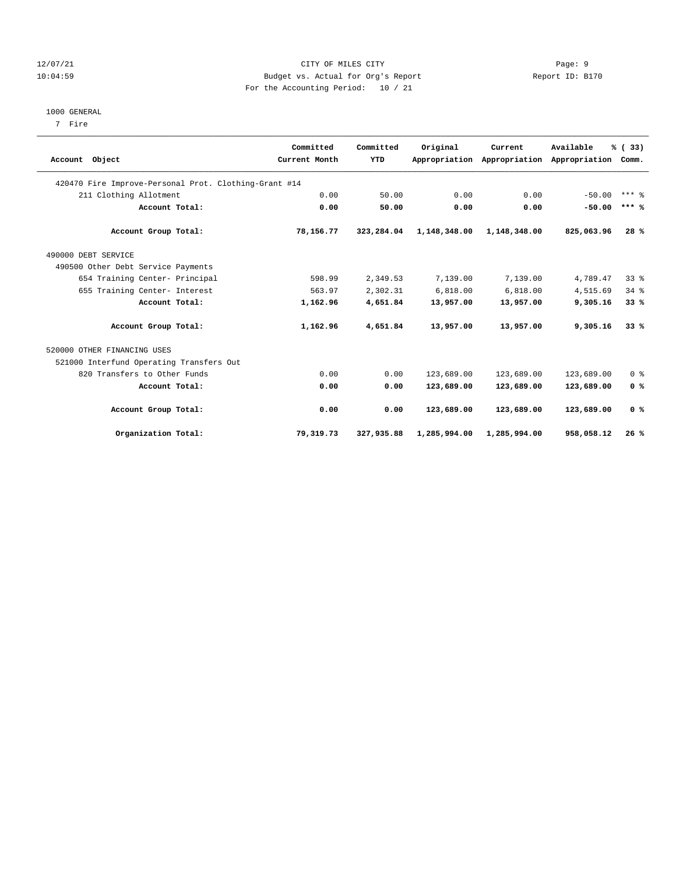#### 12/07/21 Page: 9 10:04:59 Budget vs. Actual for Org's Report Report ID: B170 For the Accounting Period: 10 / 21

#### 1000 GENERAL

7 Fire

|                                                       | Committed     | Committed  | Original     | Current                     | Available     | % (33)          |
|-------------------------------------------------------|---------------|------------|--------------|-----------------------------|---------------|-----------------|
| Account Object                                        | Current Month | YTD        |              | Appropriation Appropriation | Appropriation | Comm.           |
| 420470 Fire Improve-Personal Prot. Clothing-Grant #14 |               |            |              |                             |               |                 |
| 211 Clothing Allotment                                | 0.00          | 50.00      | 0.00         | 0.00                        | $-50.00$      | $***$ 2         |
| Account Total:                                        | 0.00          | 50.00      | 0.00         | 0.00                        | $-50.00$      | $***$ %         |
| Account Group Total:                                  | 78,156.77     | 323,284.04 | 1,148,348.00 | 1,148,348.00                | 825,063.96    | 28%             |
| 490000 DEBT SERVICE                                   |               |            |              |                             |               |                 |
| 490500 Other Debt Service Payments                    |               |            |              |                             |               |                 |
| 654 Training Center- Principal                        | 598.99        | 2,349.53   | 7,139.00     | 7,139.00                    | 4,789.47      | 33 <sup>8</sup> |
| 655 Training Center- Interest                         | 563.97        | 2,302.31   | 6,818.00     | 6,818.00                    | 4,515.69      | 34.8            |
| Account Total:                                        | 1,162.96      | 4,651.84   | 13,957.00    | 13,957.00                   | 9,305.16      | 33%             |
| Account Group Total:                                  | 1,162.96      | 4,651.84   | 13,957.00    | 13,957.00                   | 9,305.16      | 33%             |
| 520000 OTHER FINANCING USES                           |               |            |              |                             |               |                 |
| 521000 Interfund Operating Transfers Out              |               |            |              |                             |               |                 |
| 820 Transfers to Other Funds                          | 0.00          | 0.00       | 123,689.00   | 123,689.00                  | 123,689.00    | 0 <sup>8</sup>  |
| Account Total:                                        | 0.00          | 0.00       | 123,689.00   | 123,689.00                  | 123,689.00    | 0 <sup>8</sup>  |
| Account Group Total:                                  | 0.00          | 0.00       | 123,689.00   | 123,689.00                  | 123,689.00    | 0 <sup>8</sup>  |
| Organization Total:                                   | 79,319.73     | 327,935.88 | 1,285,994.00 | 1,285,994.00                | 958,058.12    | 26%             |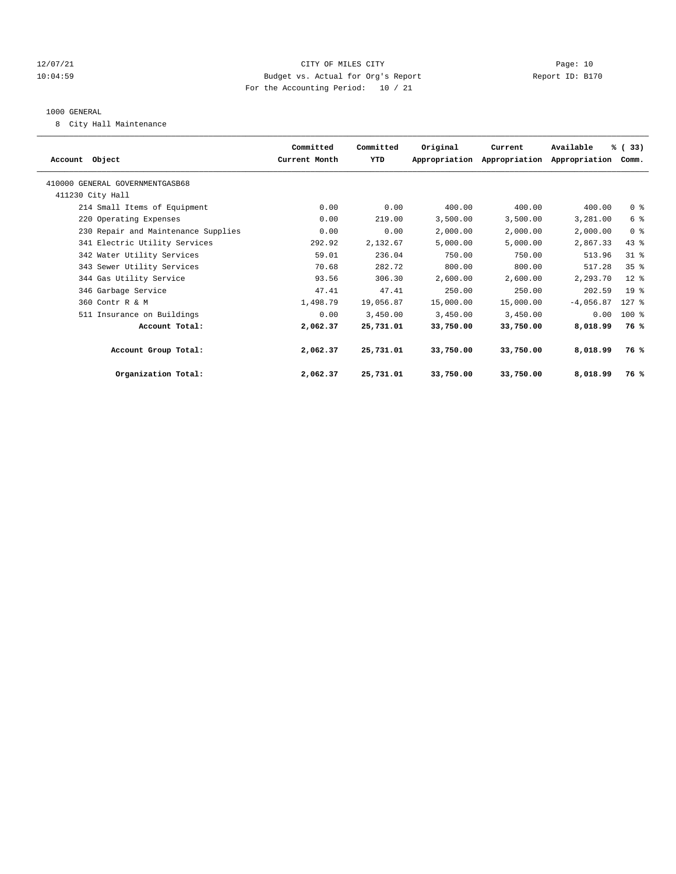#### 12/07/21 CITY OF MILES CITY Page: 10 10:04:59 Budget vs. Actual for Org's Report Report ID: B170 For the Accounting Period: 10 / 21

#### 1000 GENERAL

8 City Hall Maintenance

|                                     | Committed     | Committed | Original  | Current                     | Available     | % (33)          |  |
|-------------------------------------|---------------|-----------|-----------|-----------------------------|---------------|-----------------|--|
| Account Object                      | Current Month | YTD       |           | Appropriation Appropriation | Appropriation | Comm.           |  |
| 410000 GENERAL GOVERNMENTGASB68     |               |           |           |                             |               |                 |  |
| 411230 City Hall                    |               |           |           |                             |               |                 |  |
| 214 Small Items of Equipment        | 0.00          | 0.00      | 400.00    | 400.00                      | 400.00        | 0 <sup>8</sup>  |  |
| 220 Operating Expenses              | 0.00          | 219.00    | 3,500.00  | 3,500.00                    | 3,281.00      | 6 %             |  |
| 230 Repair and Maintenance Supplies | 0.00          | 0.00      | 2,000.00  | 2,000.00                    | 2,000.00      | 0 <sup>8</sup>  |  |
| 341 Electric Utility Services       | 292.92        | 2,132.67  | 5,000.00  | 5.000.00                    | 2,867.33      | 43%             |  |
| 342 Water Utility Services          | 59.01         | 236.04    | 750.00    | 750.00                      | 513.96        | $31$ %          |  |
| 343 Sewer Utility Services          | 70.68         | 282.72    | 800.00    | 800.00                      | 517.28        | 35 <sup>8</sup> |  |
| 344 Gas Utility Service             | 93.56         | 306.30    | 2,600.00  | 2,600.00                    | 2,293.70      | $12$ %          |  |
| 346 Garbage Service                 | 47.41         | 47.41     | 250.00    | 250.00                      | 202.59        | 19 <sup>8</sup> |  |
| 360 Contr R & M                     | 1,498.79      | 19,056.87 | 15,000.00 | 15,000.00                   | $-4,056.87$   | $127$ %         |  |
| 511 Insurance on Buildings          | 0.00          | 3,450.00  | 3,450.00  | 3,450.00                    | 0.00          | 100 %           |  |
| Account Total:                      | 2,062.37      | 25,731.01 | 33,750.00 | 33,750.00                   | 8,018.99      | 76 %            |  |
| Account Group Total:                | 2,062.37      | 25,731.01 | 33,750.00 | 33,750.00                   | 8,018.99      | 76 %            |  |
| Organization Total:                 | 2,062.37      | 25,731.01 | 33,750.00 | 33,750.00                   | 8,018.99      | 76 %            |  |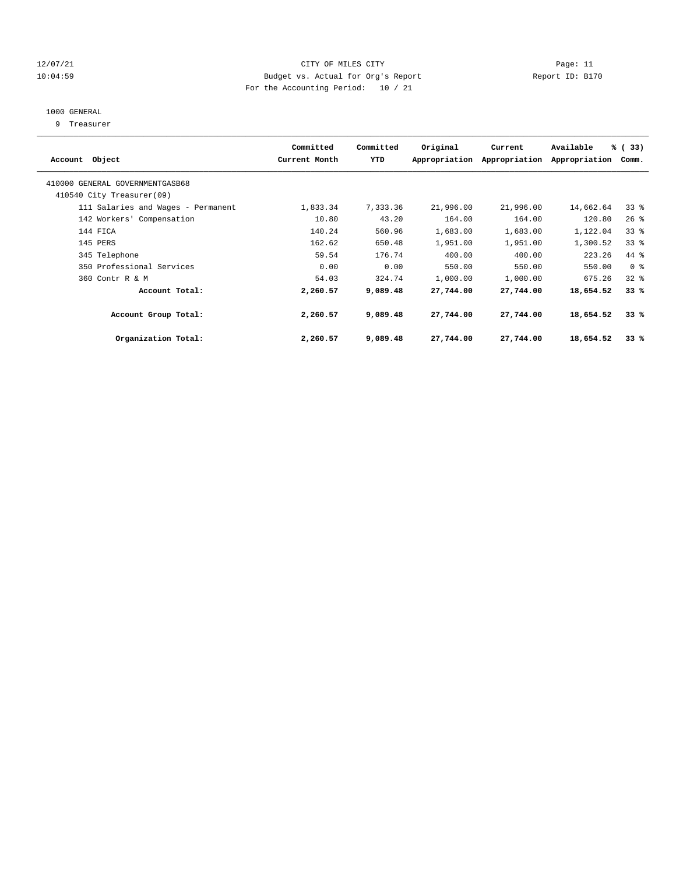#### 12/07/21 CITY OF MILES CITY Page: 11 10:04:59 Budget vs. Actual for Org's Report Report ID: B170 For the Accounting Period: 10 / 21

## 1000 GENERAL

9 Treasurer

| Account Object                                               | Committed<br>Current Month | Committed<br>YTD | Original  | Current<br>Appropriation Appropriation | Available<br>Appropriation | % (33)<br>Comm. |  |
|--------------------------------------------------------------|----------------------------|------------------|-----------|----------------------------------------|----------------------------|-----------------|--|
| 410000 GENERAL GOVERNMENTGASB68<br>410540 City Treasurer(09) |                            |                  |           |                                        |                            |                 |  |
| 111 Salaries and Wages - Permanent                           | 1,833.34                   | 7,333.36         | 21,996.00 | 21,996.00                              | 14,662.64                  | $33$ $%$        |  |
| 142 Workers' Compensation                                    | 10.80                      | 43.20            | 164.00    | 164.00                                 | 120.80                     | 26%             |  |
| 144 FICA                                                     | 140.24                     | 560.96           | 1,683.00  | 1,683.00                               | 1,122.04                   | 33%             |  |
| 145 PERS                                                     | 162.62                     | 650.48           | 1,951.00  | 1,951.00                               | 1,300.52                   | 33%             |  |
| 345 Telephone                                                | 59.54                      | 176.74           | 400.00    | 400.00                                 | 223.26                     | 44 %            |  |
| 350 Professional Services                                    | 0.00                       | 0.00             | 550.00    | 550.00                                 | 550.00                     | 0 <sup>8</sup>  |  |
| 360 Contr R & M                                              | 54.03                      | 324.74           | 1,000.00  | 1,000.00                               | 675.26                     | $32$ $%$        |  |
| Account Total:                                               | 2,260.57                   | 9,089.48         | 27,744.00 | 27,744.00                              | 18,654.52                  | 33%             |  |
| Account Group Total:                                         | 2,260.57                   | 9,089.48         | 27,744.00 | 27,744.00                              | 18,654.52                  | 33%             |  |
| Organization Total:                                          | 2,260.57                   | 9,089.48         | 27,744.00 | 27,744.00                              | 18,654.52                  | 33%             |  |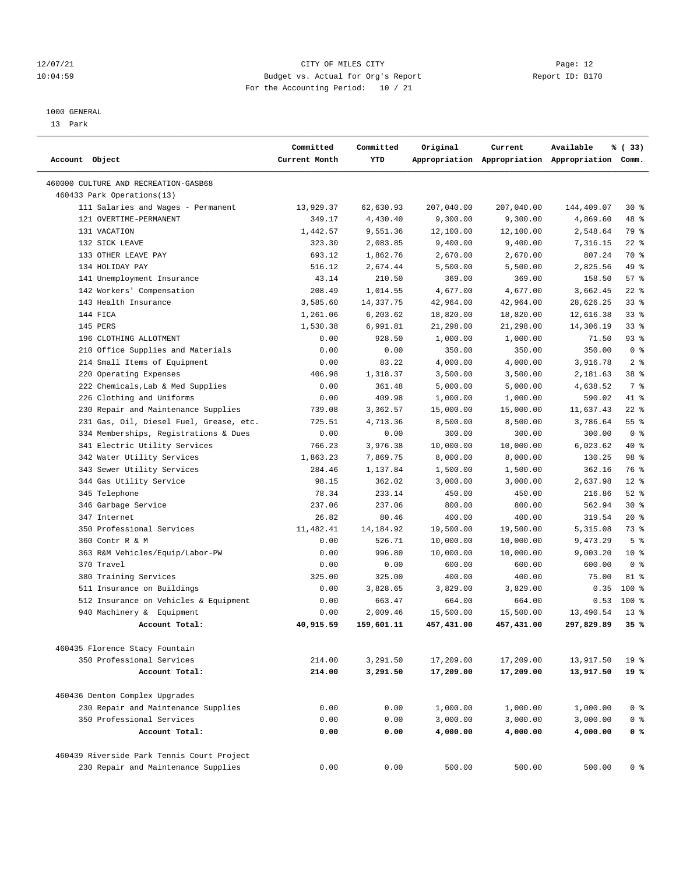#### 12/07/21 CITY OF MILES CITY Page: 12 10:04:59 Budget vs. Actual for Org's Report Report ID: B170 For the Accounting Period: 10 / 21

————————————————————————————————————————————————————————————————————————————————————————————————————————————————————————————————————

#### 1000 GENERAL

13 Park

| Account Object                             | Committed<br>Current Month | Committed<br>YTD | Original   | Current    | Available<br>Appropriation Appropriation Appropriation Comm. | % (33)          |
|--------------------------------------------|----------------------------|------------------|------------|------------|--------------------------------------------------------------|-----------------|
|                                            |                            |                  |            |            |                                                              |                 |
| 460000 CULTURE AND RECREATION-GASB68       |                            |                  |            |            |                                                              |                 |
| 460433 Park Operations(13)                 |                            |                  |            |            |                                                              |                 |
| 111 Salaries and Wages - Permanent         | 13,929.37                  | 62,630.93        | 207,040.00 | 207,040.00 | 144,409.07                                                   | $30*$           |
| 121 OVERTIME-PERMANENT                     | 349.17                     | 4,430.40         | 9,300.00   | 9,300.00   | 4,869.60                                                     | 48 %            |
| 131 VACATION                               | 1,442.57                   | 9,551.36         | 12,100.00  | 12,100.00  | 2,548.64                                                     | 79 %            |
| 132 SICK LEAVE                             | 323.30                     | 2,083.85         | 9,400.00   | 9,400.00   | 7,316.15                                                     | $22$ %          |
| 133 OTHER LEAVE PAY                        | 693.12                     | 1,862.76         | 2,670.00   | 2,670.00   | 807.24                                                       | 70 %            |
| 134 HOLIDAY PAY                            | 516.12                     | 2,674.44         | 5,500.00   | 5,500.00   | 2,825.56                                                     | 49 %            |
| 141 Unemployment Insurance                 | 43.14                      | 210.50           | 369.00     | 369.00     | 158.50                                                       | 57%             |
| 142 Workers' Compensation                  | 208.49                     | 1,014.55         | 4,677.00   | 4,677.00   | 3,662.45                                                     | $22$ %          |
| 143 Health Insurance                       | 3,585.60                   | 14,337.75        | 42,964.00  | 42,964.00  | 28,626.25                                                    | 33%             |
| 144 FICA                                   | 1,261.06                   | 6,203.62         | 18,820.00  | 18,820.00  | 12,616.38                                                    | $33$ $%$        |
| 145 PERS                                   | 1,530.38                   | 6,991.81         | 21,298.00  | 21,298.00  | 14,306.19                                                    | 33%             |
| 196 CLOTHING ALLOTMENT                     | 0.00                       | 928.50           | 1,000.00   | 1,000.00   | 71.50                                                        | $93$ $%$        |
| 210 Office Supplies and Materials          | 0.00                       | 0.00             | 350.00     | 350.00     | 350.00                                                       | 0 <sup>8</sup>  |
| 214 Small Items of Equipment               | 0.00                       | 83.22            | 4,000.00   | 4,000.00   | 3,916.78                                                     | 2 <sup>8</sup>  |
| 220 Operating Expenses                     | 406.98                     | 1,318.37         | 3,500.00   | 3,500.00   | 2,181.63                                                     | 38 <sup>8</sup> |
| 222 Chemicals, Lab & Med Supplies          | 0.00                       | 361.48           | 5,000.00   | 5,000.00   | 4,638.52                                                     | 7 %             |
| 226 Clothing and Uniforms                  | 0.00                       | 409.98           | 1,000.00   | 1,000.00   | 590.02                                                       | 41 %            |
| 230 Repair and Maintenance Supplies        | 739.08                     | 3,362.57         | 15,000.00  | 15,000.00  | 11,637.43                                                    | $22$ %          |
| 231 Gas, Oil, Diesel Fuel, Grease, etc.    | 725.51                     | 4,713.36         | 8,500.00   | 8,500.00   | 3,786.64                                                     | 55%             |
| 334 Memberships, Registrations & Dues      | 0.00                       | 0.00             | 300.00     | 300.00     | 300.00                                                       | 0 <sup>8</sup>  |
| 341 Electric Utility Services              | 766.23                     | 3,976.38         | 10,000.00  | 10,000.00  | 6,023.62                                                     | 40 %            |
| 342 Water Utility Services                 | 1,863.23                   | 7,869.75         | 8,000.00   | 8,000.00   | 130.25                                                       | 98 %            |
| 343 Sewer Utility Services                 | 284.46                     | 1,137.84         | 1,500.00   | 1,500.00   | 362.16                                                       | 76 %            |
| 344 Gas Utility Service                    | 98.15                      | 362.02           | 3,000.00   | 3,000.00   | 2,637.98                                                     | $12*$           |
| 345 Telephone                              | 78.34                      | 233.14           | 450.00     | 450.00     | 216.86                                                       | $52$ $%$        |
| 346 Garbage Service                        | 237.06                     | 237.06           | 800.00     | 800.00     | 562.94                                                       | $30*$           |
| 347 Internet                               | 26.82                      | 80.46            | 400.00     | 400.00     | 319.54                                                       | $20*$           |
| 350 Professional Services                  | 11,482.41                  | 14, 184. 92      | 19,500.00  | 19,500.00  | 5,315.08                                                     | 73 %            |
| 360 Contr R & M                            | 0.00                       | 526.71           | 10,000.00  | 10,000.00  | 9,473.29                                                     | 5 <sup>8</sup>  |
| 363 R&M Vehicles/Equip/Labor-PW            | 0.00                       | 996.80           | 10,000.00  | 10,000.00  | 9,003.20                                                     | $10*$           |
| 370 Travel                                 | 0.00                       | 0.00             | 600.00     | 600.00     | 600.00                                                       | 0 <sup>8</sup>  |
| 380 Training Services                      | 325.00                     | 325.00           | 400.00     | 400.00     | 75.00                                                        | 81 %            |
| 511 Insurance on Buildings                 | 0.00                       | 3,828.65         | 3,829.00   | 3,829.00   | 0.35                                                         | 100 %           |
| 512 Insurance on Vehicles & Equipment      | 0.00                       | 663.47           | 664.00     | 664.00     | 0.53                                                         | 100 %           |
| 940 Machinery & Equipment                  | 0.00                       | 2,009.46         | 15,500.00  | 15,500.00  | 13,490.54                                                    | $13*$           |
| Account Total:                             | 40,915.59                  | 159,601.11       | 457,431.00 | 457,431.00 | 297,829.89                                                   | 35%             |
|                                            |                            |                  |            |            |                                                              |                 |
| 460435 Florence Stacy Fountain             |                            |                  |            |            |                                                              |                 |
| 350 Professional Services                  | 214.00                     | 3,291.50         | 17,209.00  | 17,209.00  | 13,917.50                                                    | 19 <sup>°</sup> |
| Account Total:                             | 214.00                     | 3,291.50         | 17,209.00  | 17,209.00  | 13,917.50                                                    | 19 %            |
| 460436 Denton Complex Upgrades             |                            |                  |            |            |                                                              |                 |
| 230 Repair and Maintenance Supplies        | 0.00                       | 0.00             | 1,000.00   | 1,000.00   | 1,000.00                                                     | 0 <sup>8</sup>  |
| 350 Professional Services                  | 0.00                       | 0.00             | 3,000.00   | 3,000.00   | 3,000.00                                                     | 0 <sup>8</sup>  |
| Account Total:                             | 0.00                       | 0.00             | 4,000.00   | 4,000.00   | 4,000.00                                                     | 0 <sup>8</sup>  |
| 460439 Riverside Park Tennis Court Project |                            |                  |            |            |                                                              |                 |
| 230 Repair and Maintenance Supplies        | 0.00                       | 0.00             | 500.00     | 500.00     | 500.00                                                       | 0 <sup>8</sup>  |
|                                            |                            |                  |            |            |                                                              |                 |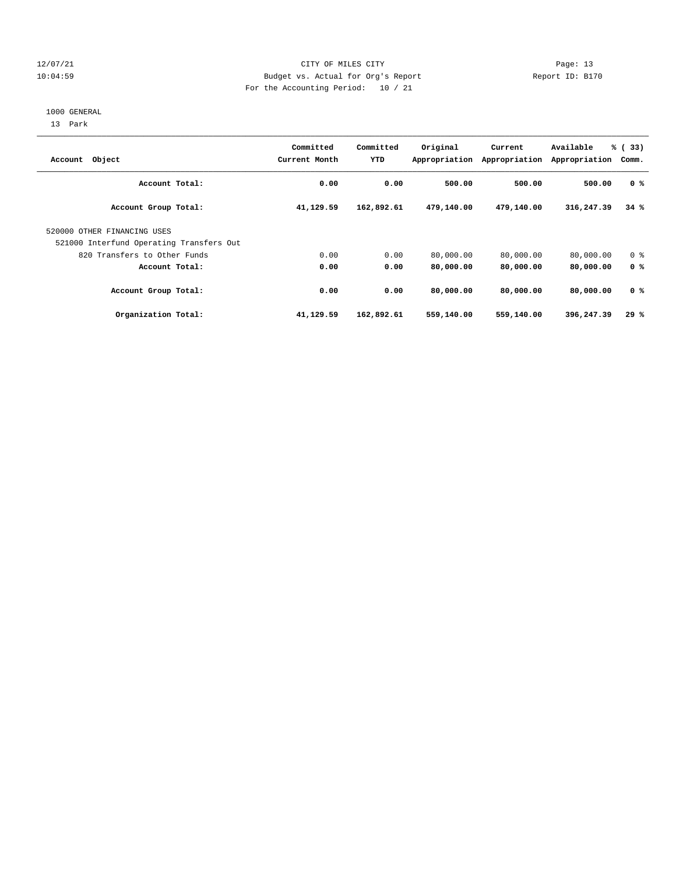#### 12/07/21 CITY OF MILES CITY Page: 13 10:04:59 Budget vs. Actual for Org's Report Report ID: B170 For the Accounting Period: 10 / 21

#### 1000 GENERAL

13 Park

| Account Object                           | Committed<br>Current Month | Committed<br>YTD | Original   | Current<br>Appropriation Appropriation | Available<br>Appropriation | % (33)<br>Comm. |
|------------------------------------------|----------------------------|------------------|------------|----------------------------------------|----------------------------|-----------------|
| Account Total:                           | 0.00                       | 0.00             | 500.00     | 500.00                                 | 500.00                     | 0 <sup>8</sup>  |
| Account Group Total:                     | 41,129.59                  | 162,892.61       | 479,140.00 | 479,140.00                             | 316,247.39                 | 34%             |
| 520000 OTHER FINANCING USES              |                            |                  |            |                                        |                            |                 |
| 521000 Interfund Operating Transfers Out |                            |                  |            |                                        |                            |                 |
| 820 Transfers to Other Funds             | 0.00                       | 0.00             | 80,000.00  | 80,000.00                              | 80,000.00                  | 0 <sup>8</sup>  |
| Account Total:                           | 0.00                       | 0.00             | 80,000.00  | 80,000.00                              | 80,000.00                  | 0 <sup>8</sup>  |
| Account Group Total:                     | 0.00                       | 0.00             | 80,000.00  | 80,000.00                              | 80,000.00                  | 0 <sup>8</sup>  |
| Organization Total:                      | 41,129.59                  | 162,892.61       | 559,140.00 | 559,140.00                             | 396,247.39                 | 29%             |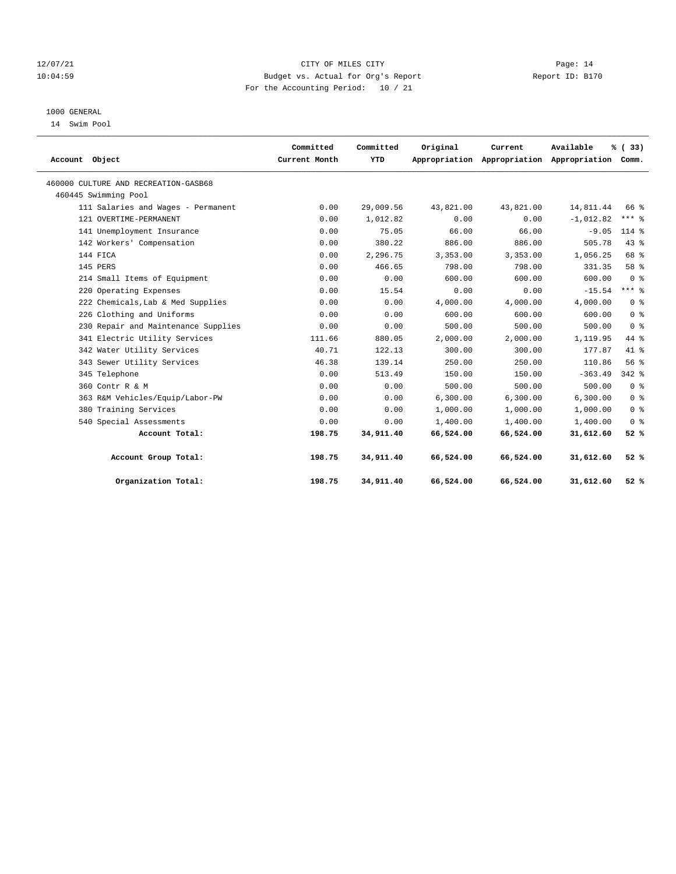#### 12/07/21 CITY OF MILES CITY Page: 14 10:04:59 Budget vs. Actual for Org's Report Report ID: B170 For the Accounting Period: 10 / 21

## 1000 GENERAL

14 Swim Pool

| Account Object                       | Committed<br>Current Month | Committed<br>YTD | Original  | Current   | Available<br>Appropriation Appropriation Appropriation Comm. | % (33)         |  |
|--------------------------------------|----------------------------|------------------|-----------|-----------|--------------------------------------------------------------|----------------|--|
|                                      |                            |                  |           |           |                                                              |                |  |
| 460000 CULTURE AND RECREATION-GASB68 |                            |                  |           |           |                                                              |                |  |
| 460445 Swimming Pool                 |                            |                  |           |           |                                                              |                |  |
| 111 Salaries and Wages - Permanent   | 0.00                       | 29,009.56        | 43,821.00 | 43,821.00 | 14,811.44                                                    | 66 %           |  |
| 121 OVERTIME-PERMANENT               | 0.00                       | 1,012.82         | 0.00      | 0.00      | $-1,012.82$                                                  | $***$ $-$      |  |
| 141 Unemployment Insurance           | 0.00                       | 75.05            | 66.00     | 66.00     | $-9.05$                                                      | $114*$         |  |
| 142 Workers' Compensation            | 0.00                       | 380.22           | 886.00    | 886.00    | 505.78                                                       | 43.8           |  |
| 144 FICA                             | 0.00                       | 2,296.75         | 3,353.00  | 3,353.00  | 1,056.25                                                     | 68 %           |  |
| 145 PERS                             | 0.00                       | 466.65           | 798.00    | 798.00    | 331.35                                                       | 58 %           |  |
| 214 Small Items of Equipment         | 0.00                       | 0.00             | 600.00    | 600.00    | 600.00                                                       | 0 <sup>8</sup> |  |
| 220 Operating Expenses               | 0.00                       | 15.54            | 0.00      | 0.00      | $-15.54$                                                     | $***$ 8        |  |
| 222 Chemicals, Lab & Med Supplies    | 0.00                       | 0.00             | 4,000.00  | 4,000.00  | 4,000.00                                                     | 0 <sup>8</sup> |  |
| 226 Clothing and Uniforms            | 0.00                       | 0.00             | 600.00    | 600.00    | 600.00                                                       | 0 <sup>8</sup> |  |
| 230 Repair and Maintenance Supplies  | 0.00                       | 0.00             | 500.00    | 500.00    | 500.00                                                       | 0 <sup>8</sup> |  |
| 341 Electric Utility Services        | 111.66                     | 880.05           | 2,000.00  | 2,000.00  | 1,119.95                                                     | 44 %           |  |
| 342 Water Utility Services           | 40.71                      | 122.13           | 300.00    | 300.00    | 177.87                                                       | $41$ $%$       |  |
| 343 Sewer Utility Services           | 46.38                      | 139.14           | 250.00    | 250.00    | 110.86                                                       | 56%            |  |
| 345 Telephone                        | 0.00                       | 513.49           | 150.00    | 150.00    | $-363.49$                                                    | $342$ $%$      |  |
| 360 Contr R & M                      | 0.00                       | 0.00             | 500.00    | 500.00    | 500.00                                                       | 0 <sup>8</sup> |  |
| 363 R&M Vehicles/Equip/Labor-PW      | 0.00                       | 0.00             | 6.300.00  | 6.300.00  | 6.300.00                                                     | 0 <sup>8</sup> |  |
| 380 Training Services                | 0.00                       | 0.00             | 1,000.00  | 1,000.00  | 1,000.00                                                     | 0 <sup>8</sup> |  |
| 540 Special Assessments              | 0.00                       | 0.00             | 1,400.00  | 1,400.00  | 1,400.00                                                     | 0 <sup>8</sup> |  |
| Account Total:                       | 198.75                     | 34,911.40        | 66,524.00 | 66,524.00 | 31,612.60                                                    | 52%            |  |
| Account Group Total:                 | 198.75                     | 34,911.40        | 66,524.00 | 66,524.00 | 31,612.60                                                    | 52%            |  |
| Organization Total:                  | 198.75                     | 34,911.40        | 66,524.00 | 66,524.00 | 31,612.60                                                    | 52%            |  |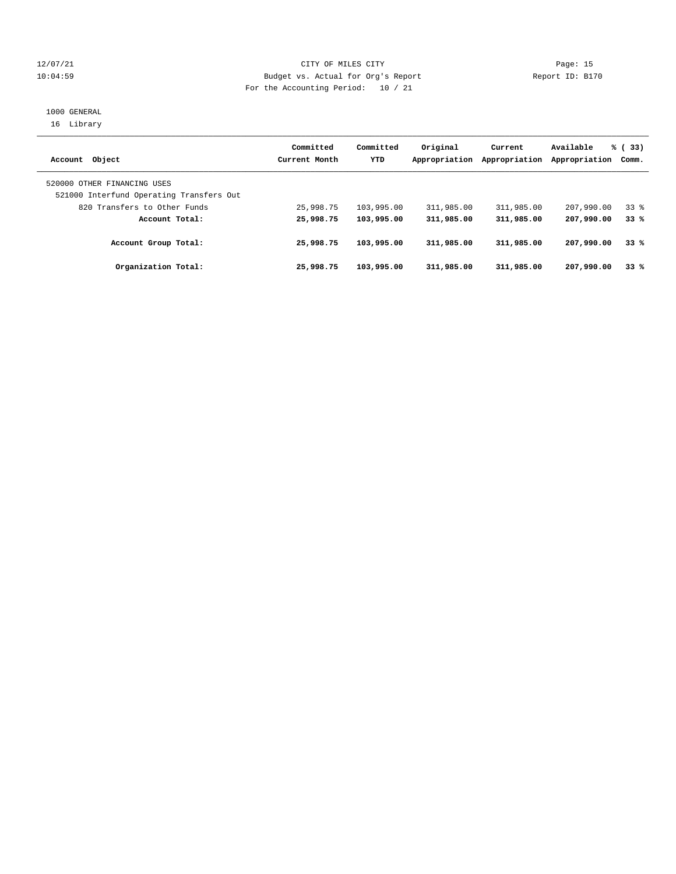#### 12/07/21 CITY OF MILES CITY Page: 15 10:04:59 Budget vs. Actual for Org's Report Report ID: B170 For the Accounting Period: 10 / 21

#### 1000 GENERAL 16 Library

| Account Object                                                          | Committed<br>Current Month | Committed<br>YTD | Original<br>Appropriation | Current<br>Appropriation | Available<br>Appropriation | % (33)<br>Comm. |
|-------------------------------------------------------------------------|----------------------------|------------------|---------------------------|--------------------------|----------------------------|-----------------|
| 520000 OTHER FINANCING USES<br>521000 Interfund Operating Transfers Out |                            |                  |                           |                          |                            |                 |
| 820 Transfers to Other Funds                                            | 25,998.75                  | 103,995.00       | 311,985.00                | 311,985.00               | 207,990.00                 | 33 <sup>8</sup> |
| Account Total:                                                          | 25,998.75                  | 103,995.00       | 311,985.00                | 311,985.00               | 207,990.00                 | 33%             |
| Account Group Total:                                                    | 25,998.75                  | 103,995.00       | 311,985.00                | 311,985.00               | 207,990.00                 | 33%             |
| Organization Total:                                                     | 25,998.75                  | 103,995.00       | 311,985.00                | 311,985.00               | 207,990.00                 | 33%             |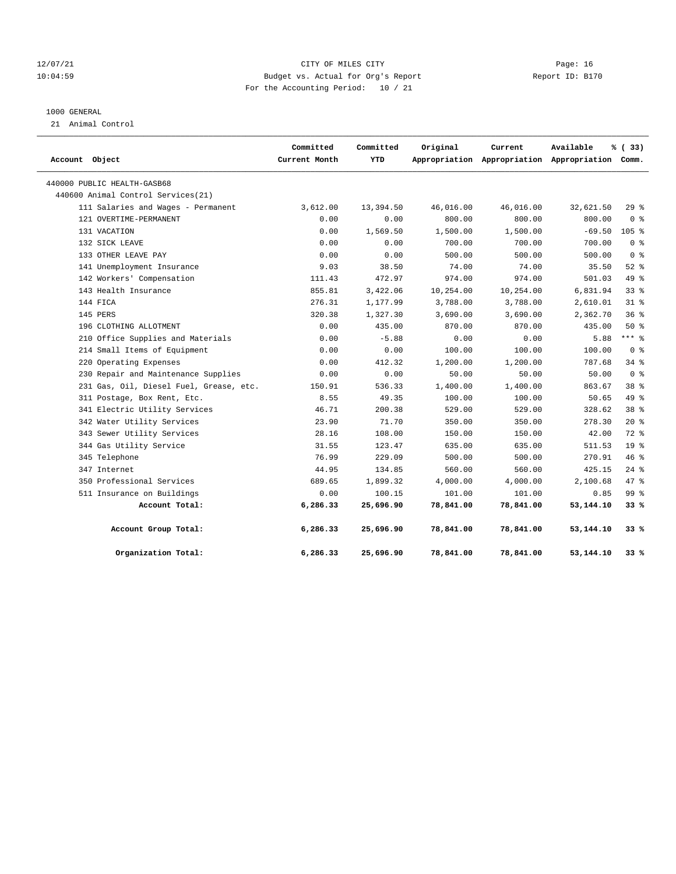#### 12/07/21 CITY OF MILES CITY Page: 16 10:04:59 Budget vs. Actual for Org's Report Report ID: B170 For the Accounting Period: 10 / 21

#### 1000 GENERAL

21 Animal Control

| Account Object                          | Committed<br>Current Month | Committed<br>YTD | Original  | Current   | Available<br>Appropriation Appropriation Appropriation Comm. | % (33)          |
|-----------------------------------------|----------------------------|------------------|-----------|-----------|--------------------------------------------------------------|-----------------|
| 440000 PUBLIC HEALTH-GASB68             |                            |                  |           |           |                                                              |                 |
| 440600 Animal Control Services (21)     |                            |                  |           |           |                                                              |                 |
| 111 Salaries and Wages - Permanent      | 3,612.00                   | 13,394.50        | 46,016.00 | 46,016.00 | 32,621.50                                                    | 298             |
| 121 OVERTIME-PERMANENT                  | 0.00                       | 0.00             | 800.00    | 800.00    | 800.00                                                       | 0 <sup>8</sup>  |
| 131 VACATION                            | 0.00                       | 1,569.50         | 1,500.00  | 1,500.00  | $-69.50$                                                     | $105$ %         |
| 132 SICK LEAVE                          | 0.00                       | 0.00             | 700.00    | 700.00    | 700.00                                                       | 0 <sup>8</sup>  |
| 133 OTHER LEAVE PAY                     | 0.00                       | 0.00             | 500.00    | 500.00    | 500.00                                                       | 0 <sup>8</sup>  |
| 141 Unemployment Insurance              | 9.03                       | 38.50            | 74.00     | 74.00     | 35.50                                                        | $52$ $%$        |
| 142 Workers' Compensation               | 111.43                     | 472.97           | 974.00    | 974.00    | 501.03                                                       | 49 %            |
| 143 Health Insurance                    | 855.81                     | 3,422.06         | 10,254.00 | 10,254.00 | 6,831.94                                                     | $33$ $%$        |
| 144 FICA                                | 276.31                     | 1,177.99         | 3,788.00  | 3,788.00  | 2,610.01                                                     | $31*$           |
| 145 PERS                                | 320.38                     | 1,327.30         | 3,690.00  | 3,690.00  | 2,362.70                                                     | 36%             |
| 196 CLOTHING ALLOTMENT                  | 0.00                       | 435.00           | 870.00    | 870.00    | 435.00                                                       | 50%             |
| 210 Office Supplies and Materials       | 0.00                       | $-5.88$          | 0.00      | 0.00      | 5.88                                                         | $***$ 8         |
| 214 Small Items of Equipment            | 0.00                       | 0.00             | 100.00    | 100.00    | 100.00                                                       | 0 <sup>8</sup>  |
| 220 Operating Expenses                  | 0.00                       | 412.32           | 1,200.00  | 1,200.00  | 787.68                                                       | 34.8            |
| 230 Repair and Maintenance Supplies     | 0.00                       | 0.00             | 50.00     | 50.00     | 50.00                                                        | 0 <sup>8</sup>  |
| 231 Gas, Oil, Diesel Fuel, Grease, etc. | 150.91                     | 536.33           | 1,400.00  | 1,400.00  | 863.67                                                       | 38 %            |
| 311 Postage, Box Rent, Etc.             | 8.55                       | 49.35            | 100.00    | 100.00    | 50.65                                                        | 49 %            |
| 341 Electric Utility Services           | 46.71                      | 200.38           | 529.00    | 529.00    | 328.62                                                       | 38 %            |
| 342 Water Utility Services              | 23.90                      | 71.70            | 350.00    | 350.00    | 278.30                                                       | $20*$           |
| 343 Sewer Utility Services              | 28.16                      | 108.00           | 150.00    | 150.00    | 42.00                                                        | 72 %            |
| 344 Gas Utility Service                 | 31.55                      | 123.47           | 635.00    | 635.00    | 511.53                                                       | 19 <sup>°</sup> |
| 345 Telephone                           | 76.99                      | 229.09           | 500.00    | 500.00    | 270.91                                                       | 46%             |
| 347 Internet                            | 44.95                      | 134.85           | 560.00    | 560.00    | 425.15                                                       | $24$ %          |
| 350 Professional Services               | 689.65                     | 1,899.32         | 4,000.00  | 4,000.00  | 2,100.68                                                     | 47.8            |
| 511 Insurance on Buildings              | 0.00                       | 100.15           | 101.00    | 101.00    | 0.85                                                         | 99 <sub>8</sub> |
| Account Total:                          | 6,286.33                   | 25,696.90        | 78,841.00 | 78,841.00 | 53,144.10                                                    | 33 %            |
| Account Group Total:                    | 6,286.33                   | 25,696.90        | 78,841.00 | 78,841.00 | 53,144.10                                                    | 33%             |
| Organization Total:                     | 6,286.33                   | 25,696.90        | 78,841.00 | 78,841.00 | 53,144.10                                                    | 33%             |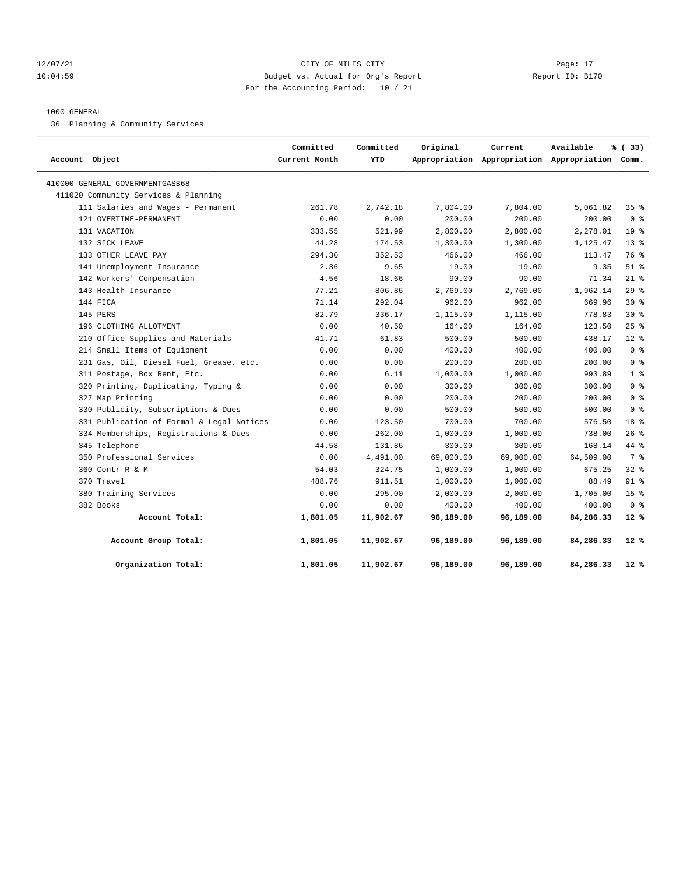#### 12/07/21 CITY OF MILES CITY Page: 17 10:04:59 Budget vs. Actual for Org's Report Report ID: B170 For the Accounting Period: 10 / 21

#### 1000 GENERAL

36 Planning & Community Services

| Account Object                            | Committed<br>Current Month | Committed<br>YTD | Original  | Current   | Available<br>Appropriation Appropriation Appropriation Comm. | % (33)          |
|-------------------------------------------|----------------------------|------------------|-----------|-----------|--------------------------------------------------------------|-----------------|
| 410000 GENERAL GOVERNMENTGASB68           |                            |                  |           |           |                                                              |                 |
| 411020 Community Services & Planning      |                            |                  |           |           |                                                              |                 |
| 111 Salaries and Wages - Permanent        | 261.78                     | 2,742.18         | 7,804.00  | 7,804.00  | 5,061.82                                                     | 35%             |
| 121 OVERTIME-PERMANENT                    | 0.00                       | 0.00             | 200.00    | 200.00    | 200.00                                                       | 0 <sup>8</sup>  |
| 131 VACATION                              | 333.55                     | 521.99           | 2,800.00  | 2,800.00  | 2,278.01                                                     | 19 <sup>°</sup> |
| 132 SICK LEAVE                            | 44.28                      | 174.53           | 1,300.00  | 1,300.00  | 1,125.47                                                     | $13*$           |
| 133 OTHER LEAVE PAY                       | 294.30                     | 352.53           | 466.00    | 466.00    | 113.47                                                       | 76 %            |
| 141 Unemployment Insurance                | 2.36                       | 9.65             | 19.00     | 19.00     | 9.35                                                         | $51$ %          |
| 142 Workers' Compensation                 | 4.56                       | 18.66            | 90.00     | 90.00     | 71.34                                                        | $21*$           |
| 143 Health Insurance                      | 77.21                      | 806.86           | 2,769.00  | 2,769.00  | 1,962.14                                                     | 29%             |
| 144 FICA                                  | 71.14                      | 292.04           | 962.00    | 962.00    | 669.96                                                       | $30*$           |
| 145 PERS                                  | 82.79                      | 336.17           | 1,115.00  | 1,115.00  | 778.83                                                       | $30*$           |
| 196 CLOTHING ALLOTMENT                    | 0.00                       | 40.50            | 164.00    | 164.00    | 123.50                                                       | 25%             |
| 210 Office Supplies and Materials         | 41.71                      | 61.83            | 500.00    | 500.00    | 438.17                                                       | $12*$           |
| 214 Small Items of Equipment              | 0.00                       | 0.00             | 400.00    | 400.00    | 400.00                                                       | 0 <sup>8</sup>  |
| 231 Gas, Oil, Diesel Fuel, Grease, etc.   | 0.00                       | 0.00             | 200.00    | 200.00    | 200.00                                                       | 0 <sup>8</sup>  |
| 311 Postage, Box Rent, Etc.               | 0.00                       | 6.11             | 1,000.00  | 1,000.00  | 993.89                                                       | 1 <sup>8</sup>  |
| 320 Printing, Duplicating, Typing &       | 0.00                       | 0.00             | 300.00    | 300.00    | 300.00                                                       | 0 <sup>8</sup>  |
| 327 Map Printing                          | 0.00                       | 0.00             | 200.00    | 200.00    | 200.00                                                       | 0 <sup>8</sup>  |
| 330 Publicity, Subscriptions & Dues       | 0.00                       | 0.00             | 500.00    | 500.00    | 500.00                                                       | 0 <sup>8</sup>  |
| 331 Publication of Formal & Legal Notices | 0.00                       | 123.50           | 700.00    | 700.00    | 576.50                                                       | 18 <sup>8</sup> |
| 334 Memberships, Registrations & Dues     | 0.00                       | 262.00           | 1,000.00  | 1,000.00  | 738.00                                                       | 26%             |
| 345 Telephone                             | 44.58                      | 131.86           | 300.00    | 300.00    | 168.14                                                       | 44 %            |
| 350 Professional Services                 | 0.00                       | 4,491.00         | 69,000.00 | 69,000.00 | 64,509.00                                                    | 7 %             |
| 360 Contr R & M                           | 54.03                      | 324.75           | 1,000.00  | 1,000.00  | 675.25                                                       | 328             |
| 370 Travel                                | 488.76                     | 911.51           | 1,000.00  | 1,000.00  | 88.49                                                        | $91$ %          |
| 380 Training Services                     | 0.00                       | 295.00           | 2,000.00  | 2,000.00  | 1,705.00                                                     | 15 <sup>°</sup> |
| 382 Books                                 | 0.00                       | 0.00             | 400.00    | 400.00    | 400.00                                                       | 0 <sup>8</sup>  |
| Account Total:                            | 1,801.05                   | 11,902.67        | 96,189.00 | 96,189.00 | 84,286.33                                                    | $12*$           |
| Account Group Total:                      | 1,801.05                   | 11,902.67        | 96,189.00 | 96,189.00 | 84,286.33                                                    | 12 %            |
| Organization Total:                       | 1,801.05                   | 11,902.67        | 96,189.00 | 96,189.00 | 84,286.33                                                    | $12*$           |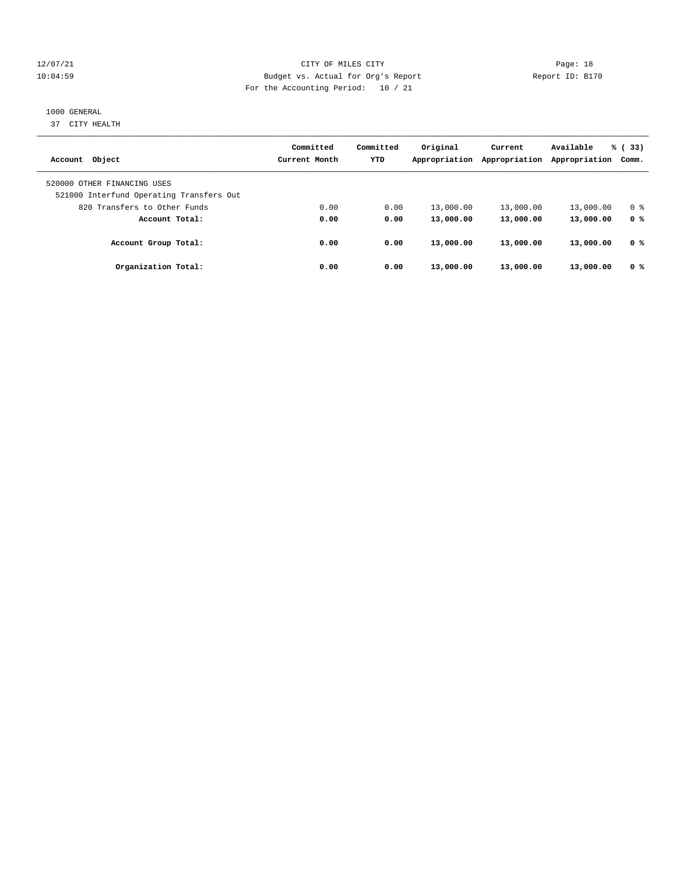#### 12/07/21 CITY OF MILES CITY Page: 18 10:04:59 Budget vs. Actual for Org's Report Report ID: B170 For the Accounting Period: 10 / 21

#### 1000 GENERAL

37 CITY HEALTH

|                                          | Committed     | Committed  | Original      | Current       | Available     | % (33)         |
|------------------------------------------|---------------|------------|---------------|---------------|---------------|----------------|
| Account Object                           | Current Month | <b>YTD</b> | Appropriation | Appropriation | Appropriation | Comm.          |
| 520000 OTHER FINANCING USES              |               |            |               |               |               |                |
| 521000 Interfund Operating Transfers Out |               |            |               |               |               |                |
| 820 Transfers to Other Funds             | 0.00          | 0.00       | 13,000.00     | 13,000.00     | 13,000.00     | 0 <sup>8</sup> |
| Account Total:                           | 0.00          | 0.00       | 13,000.00     | 13,000.00     | 13,000.00     | 0 <sup>8</sup> |
| Account Group Total:                     | 0.00          | 0.00       | 13,000.00     | 13,000.00     | 13,000.00     | 0 %            |
| Organization Total:                      | 0.00          | 0.00       | 13,000.00     | 13,000.00     | 13,000.00     | 0 <sup>8</sup> |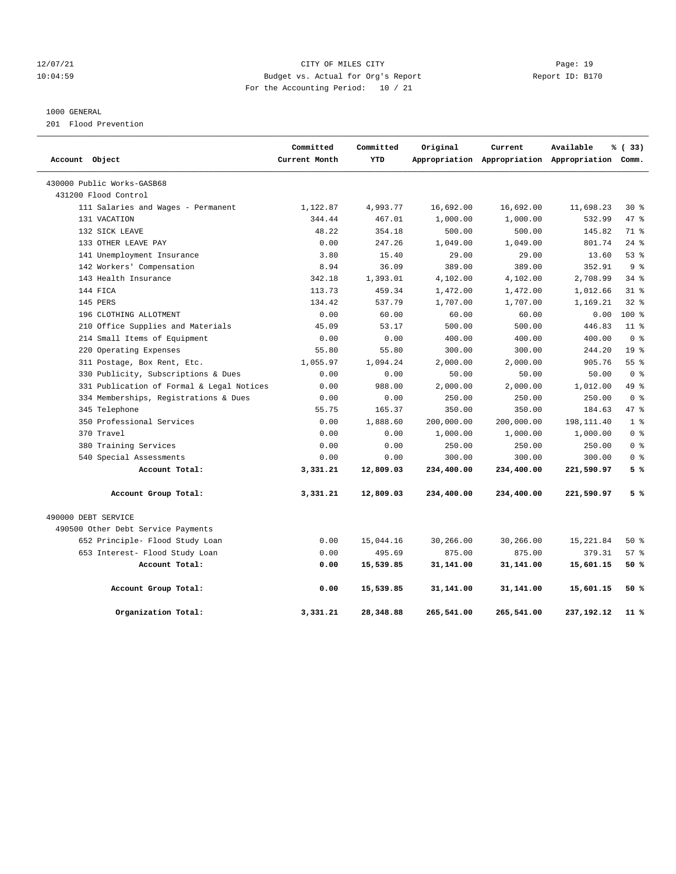#### 12/07/21 CITY OF MILES CITY Page: 19 10:04:59 Budget vs. Actual for Org's Report Report ID: B170 For the Accounting Period: 10 / 21

#### 1000 GENERAL

201 Flood Prevention

|                                           | Committed     | Committed  | Original   | Current    | Available                                       | % (33)          |
|-------------------------------------------|---------------|------------|------------|------------|-------------------------------------------------|-----------------|
| Account Object                            | Current Month | <b>YTD</b> |            |            | Appropriation Appropriation Appropriation Comm. |                 |
| 430000 Public Works-GASB68                |               |            |            |            |                                                 |                 |
| 431200 Flood Control                      |               |            |            |            |                                                 |                 |
| 111 Salaries and Wages - Permanent        | 1,122.87      | 4,993.77   | 16,692.00  | 16,692.00  | 11,698.23                                       | $30*$           |
| 131 VACATION                              | 344.44        | 467.01     | 1,000.00   | 1,000.00   | 532.99                                          | 47 %            |
| 132 SICK LEAVE                            | 48.22         | 354.18     | 500.00     | 500.00     | 145.82                                          | 71 %            |
| 133 OTHER LEAVE PAY                       | 0.00          | 247.26     | 1,049.00   | 1,049.00   | 801.74                                          | $24$ %          |
| 141 Unemployment Insurance                | 3.80          | 15.40      | 29.00      | 29.00      | 13.60                                           | 53%             |
| 142 Workers' Compensation                 | 8.94          | 36.09      | 389.00     | 389.00     | 352.91                                          | 9%              |
| 143 Health Insurance                      | 342.18        | 1,393.01   | 4,102.00   | 4,102.00   | 2,708.99                                        | 34%             |
| 144 FICA                                  | 113.73        | 459.34     | 1,472.00   | 1,472.00   | 1,012.66                                        | $31*$           |
| 145 PERS                                  | 134.42        | 537.79     | 1,707.00   | 1,707.00   | 1,169.21                                        | $32$ $%$        |
| 196 CLOTHING ALLOTMENT                    | 0.00          | 60.00      | 60.00      | 60.00      | 0.00                                            | 100 %           |
| 210 Office Supplies and Materials         | 45.09         | 53.17      | 500.00     | 500.00     | 446.83                                          | 11 <sup>8</sup> |
| 214 Small Items of Equipment              | 0.00          | 0.00       | 400.00     | 400.00     | 400.00                                          | 0 <sup>8</sup>  |
| 220 Operating Expenses                    | 55.80         | 55.80      | 300.00     | 300.00     | 244.20                                          | 19 <sup>°</sup> |
| 311 Postage, Box Rent, Etc.               | 1,055.97      | 1,094.24   | 2,000.00   | 2,000.00   | 905.76                                          | 55%             |
| 330 Publicity, Subscriptions & Dues       | 0.00          | 0.00       | 50.00      | 50.00      | 50.00                                           | 0 <sup>8</sup>  |
| 331 Publication of Formal & Legal Notices | 0.00          | 988.00     | 2,000.00   | 2,000.00   | 1,012.00                                        | 49 %            |
| 334 Memberships, Registrations & Dues     | 0.00          | 0.00       | 250.00     | 250.00     | 250.00                                          | 0 <sup>8</sup>  |
| 345 Telephone                             | 55.75         | 165.37     | 350.00     | 350.00     | 184.63                                          | 47.8            |
| 350 Professional Services                 | 0.00          | 1,888.60   | 200,000.00 | 200,000.00 | 198,111.40                                      | 1 <sup>8</sup>  |
| 370 Travel                                | 0.00          | 0.00       | 1,000.00   | 1,000.00   | 1,000.00                                        | 0 <sup>8</sup>  |
| 380 Training Services                     | 0.00          | 0.00       | 250.00     | 250.00     | 250.00                                          | 0 <sup>8</sup>  |
| 540 Special Assessments                   | 0.00          | 0.00       | 300.00     | 300.00     | 300.00                                          | 0 <sup>8</sup>  |
| Account Total:                            | 3,331.21      | 12,809.03  | 234,400.00 | 234,400.00 | 221,590.97                                      | 5%              |
| Account Group Total:                      | 3,331.21      | 12,809.03  | 234,400.00 | 234,400.00 | 221,590.97                                      | 5%              |
| 490000 DEBT SERVICE                       |               |            |            |            |                                                 |                 |
| 490500 Other Debt Service Payments        |               |            |            |            |                                                 |                 |
| 652 Principle- Flood Study Loan           | 0.00          | 15,044.16  | 30,266.00  | 30,266.00  | 15,221.84                                       | 50%             |
| 653 Interest- Flood Study Loan            | 0.00          | 495.69     | 875.00     | 875.00     | 379.31                                          | 57%             |
| Account Total:                            | 0.00          | 15,539.85  | 31,141.00  | 31,141.00  | 15,601.15                                       | 50 %            |
| Account Group Total:                      | 0.00          | 15,539.85  | 31,141.00  | 31,141.00  | 15,601.15                                       | 50 %            |
| Organization Total:                       | 3,331.21      | 28,348.88  | 265,541.00 | 265,541.00 | 237, 192. 12                                    | 11 %            |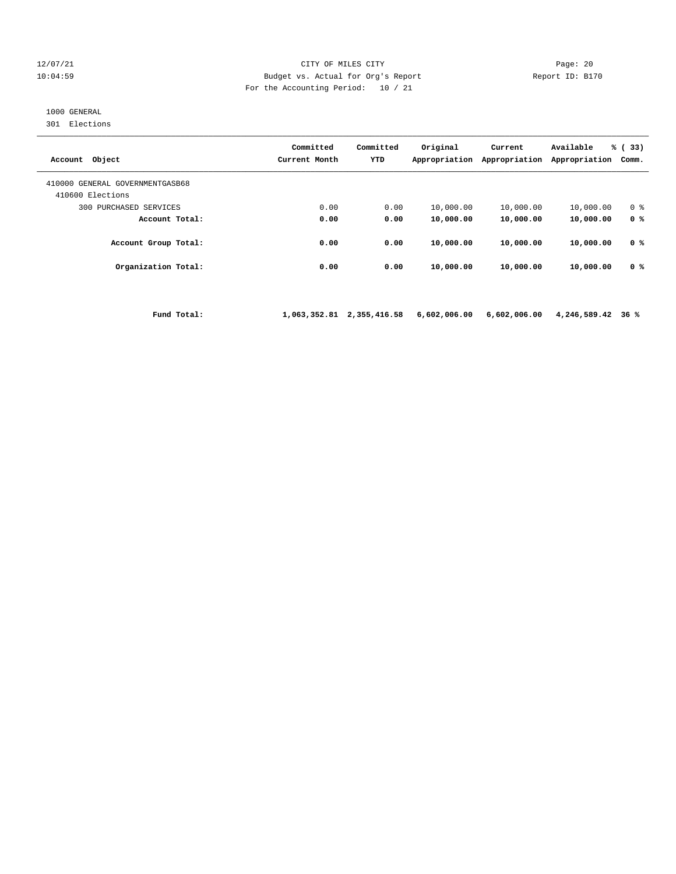#### 12/07/21 CITY OF MILES CITY Page: 20 10:04:59 Budget vs. Actual for Org's Report Report ID: B170 For the Accounting Period: 10 / 21

## 1000 GENERAL

301 Elections

| Account Object                                      | Committed<br>Current Month | Committed<br><b>YTD</b> | Original<br>Appropriation | Current<br>Appropriation | Available<br>Appropriation | % (33)<br>Comm. |
|-----------------------------------------------------|----------------------------|-------------------------|---------------------------|--------------------------|----------------------------|-----------------|
| 410000 GENERAL GOVERNMENTGASB68<br>410600 Elections |                            |                         |                           |                          |                            |                 |
| PURCHASED SERVICES<br>300                           | 0.00                       | 0.00                    | 10,000.00                 | 10,000.00                | 10,000.00                  | 0 <sup>8</sup>  |
| Account Total:                                      | 0.00                       | 0.00                    | 10,000.00                 | 10,000.00                | 10,000.00                  | 0 <sup>8</sup>  |
| Account Group Total:                                | 0.00                       | 0.00                    | 10,000.00                 | 10,000.00                | 10,000.00                  | 0 <sup>8</sup>  |
| Organization Total:                                 | 0.00                       | 0.00                    | 10,000.00                 | 10,000.00                | 10,000.00                  | 0 %             |
|                                                     |                            |                         |                           |                          |                            |                 |

 **Fund Total: 1,063,352.81 2,355,416.58 6,602,006.00 6,602,006.00 4,246,589.42 36 %**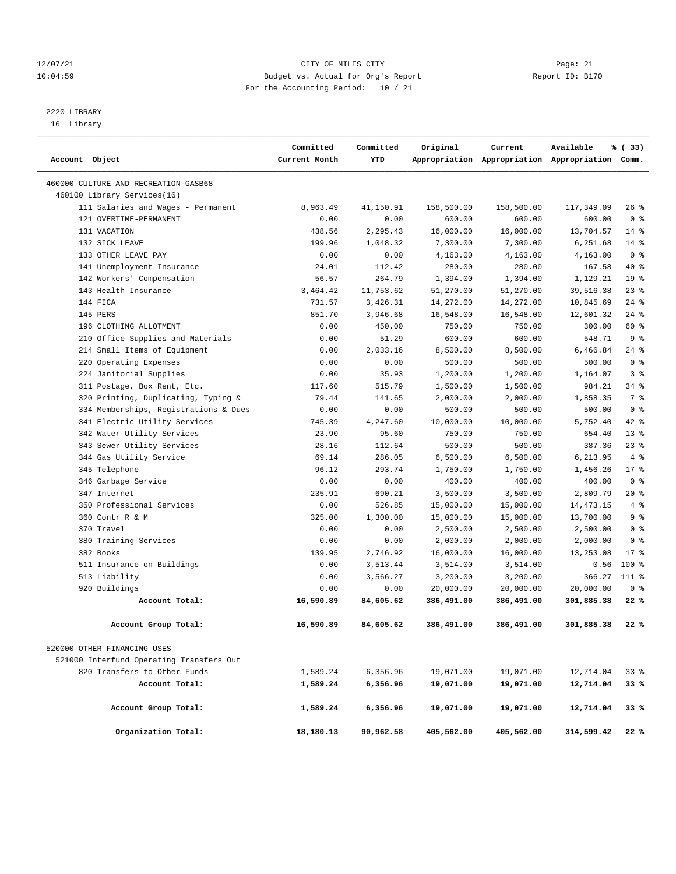#### 12/07/21 CITY OF MILES CITY Page: 21 10:04:59 Budget vs. Actual for Org's Report Report ID: B170 For the Accounting Period: 10 / 21

————————————————————————————————————————————————————————————————————————————————————————————————————————————————————————————————————

# 2220 LIBRARY

16 Library

|                |                                          | Committed     | Committed | Original   | Current    | Available                                       | % (33)          |  |
|----------------|------------------------------------------|---------------|-----------|------------|------------|-------------------------------------------------|-----------------|--|
| Account Object |                                          | Current Month | YTD       |            |            | Appropriation Appropriation Appropriation Comm. |                 |  |
|                | 460000 CULTURE AND RECREATION-GASB68     |               |           |            |            |                                                 |                 |  |
|                | 460100 Library Services(16)              |               |           |            |            |                                                 |                 |  |
|                | 111 Salaries and Wages - Permanent       | 8,963.49      | 41,150.91 | 158,500.00 | 158,500.00 | 117,349.09                                      | 26 %            |  |
|                | 121 OVERTIME-PERMANENT                   | 0.00          | 0.00      | 600.00     | 600.00     | 600.00                                          | 0 <sup>8</sup>  |  |
|                | 131 VACATION                             | 438.56        | 2,295.43  | 16,000.00  | 16,000.00  | 13,704.57                                       | $14*$           |  |
|                | 132 SICK LEAVE                           | 199.96        | 1,048.32  | 7,300.00   | 7,300.00   | 6,251.68                                        | 14 %            |  |
|                | 133 OTHER LEAVE PAY                      | 0.00          | 0.00      | 4,163.00   | 4,163.00   | 4,163.00                                        | 0 <sup>8</sup>  |  |
|                | 141 Unemployment Insurance               | 24.01         | 112.42    | 280.00     | 280.00     | 167.58                                          | 40 %            |  |
|                | 142 Workers' Compensation                | 56.57         | 264.79    | 1,394.00   | 1,394.00   | 1,129.21                                        | 19 <sup>°</sup> |  |
|                | 143 Health Insurance                     | 3,464.42      | 11,753.62 | 51,270.00  | 51,270.00  | 39,516.38                                       | $23$ %          |  |
|                | 144 FICA                                 | 731.57        | 3,426.31  | 14,272.00  | 14,272.00  | 10,845.69                                       | 24%             |  |
|                | 145 PERS                                 | 851.70        | 3,946.68  | 16,548.00  | 16,548.00  | 12,601.32                                       | $24$ %          |  |
|                | 196 CLOTHING ALLOTMENT                   | 0.00          | 450.00    | 750.00     | 750.00     | 300.00                                          | 60 %            |  |
|                | 210 Office Supplies and Materials        | 0.00          | 51.29     | 600.00     | 600.00     | 548.71                                          | 9 <sup>8</sup>  |  |
|                | 214 Small Items of Equipment             | 0.00          | 2,033.16  | 8,500.00   | 8,500.00   | 6,466.84                                        | $24$ %          |  |
|                | 220 Operating Expenses                   | 0.00          | 0.00      | 500.00     | 500.00     | 500.00                                          | 0 <sup>8</sup>  |  |
|                | 224 Janitorial Supplies                  | 0.00          | 35.93     | 1,200.00   | 1,200.00   | 1,164.07                                        | 3 <sup>8</sup>  |  |
|                | 311 Postage, Box Rent, Etc.              | 117.60        | 515.79    | 1,500.00   | 1,500.00   | 984.21                                          | 34 %            |  |
|                | 320 Printing, Duplicating, Typing &      | 79.44         | 141.65    | 2,000.00   | 2,000.00   | 1,858.35                                        | 7 %             |  |
|                | 334 Memberships, Registrations & Dues    | 0.00          | 0.00      | 500.00     | 500.00     | 500.00                                          | 0 <sup>8</sup>  |  |
|                | 341 Electric Utility Services            | 745.39        | 4,247.60  | 10,000.00  | 10,000.00  | 5,752.40                                        | $42*$           |  |
|                | 342 Water Utility Services               | 23.90         | 95.60     | 750.00     | 750.00     | 654.40                                          | $13*$           |  |
|                | 343 Sewer Utility Services               | 28.16         | 112.64    | 500.00     | 500.00     | 387.36                                          | $23$ %          |  |
|                | 344 Gas Utility Service                  | 69.14         | 286.05    | 6,500.00   | 6,500.00   | 6,213.95                                        | 4%              |  |
|                | 345 Telephone                            | 96.12         | 293.74    | 1,750.00   | 1,750.00   | 1,456.26                                        | $17*$           |  |
|                | 346 Garbage Service                      | 0.00          | 0.00      | 400.00     | 400.00     | 400.00                                          | 0 <sup>8</sup>  |  |
|                | 347 Internet                             | 235.91        | 690.21    | 3,500.00   | 3,500.00   | 2,809.79                                        | $20*$           |  |
|                | 350 Professional Services                | 0.00          | 526.85    | 15,000.00  | 15,000.00  | 14, 473. 15                                     | 4%              |  |
|                | 360 Contr R & M                          | 325.00        | 1,300.00  | 15,000.00  | 15,000.00  | 13,700.00                                       | 9 %             |  |
|                | 370 Travel                               | 0.00          | 0.00      | 2,500.00   | 2,500.00   | 2,500.00                                        | 0 <sup>8</sup>  |  |
|                | 380 Training Services                    | 0.00          | 0.00      | 2,000.00   | 2,000.00   | 2,000.00                                        | 0 <sup>8</sup>  |  |
|                | 382 Books                                | 139.95        | 2,746.92  | 16,000.00  | 16,000.00  | 13,253.08                                       | $17*$           |  |
|                | 511 Insurance on Buildings               | 0.00          | 3,513.44  | 3,514.00   | 3,514.00   | 0.56                                            | 100 %           |  |
|                | 513 Liability                            | 0.00          | 3,566.27  | 3,200.00   | 3,200.00   | $-366.27$ 111 %                                 |                 |  |
|                | 920 Buildings                            | 0.00          | 0.00      | 20,000.00  | 20,000.00  | 20,000.00                                       | 0 <sup>8</sup>  |  |
|                | Account Total:                           | 16,590.89     | 84,605.62 | 386,491.00 | 386,491.00 | 301,885.38                                      | 22%             |  |
|                | Account Group Total:                     | 16,590.89     | 84,605.62 | 386,491.00 | 386,491.00 | 301,885.38                                      | 22 %            |  |
|                | 520000 OTHER FINANCING USES              |               |           |            |            |                                                 |                 |  |
|                | 521000 Interfund Operating Transfers Out |               |           |            |            |                                                 |                 |  |
|                | 820 Transfers to Other Funds             | 1,589.24      | 6,356.96  | 19,071.00  | 19,071.00  | 12,714.04                                       | 33%             |  |
|                | Account Total:                           | 1,589.24      | 6,356.96  | 19,071.00  | 19,071.00  | 12,714.04                                       | 33%             |  |
|                | Account Group Total:                     | 1,589.24      | 6,356.96  | 19,071.00  | 19,071.00  | 12,714.04                                       | 33%             |  |
|                | Organization Total:                      | 18,180.13     | 90,962.58 | 405,562.00 | 405,562.00 | 314,599.42                                      | 22%             |  |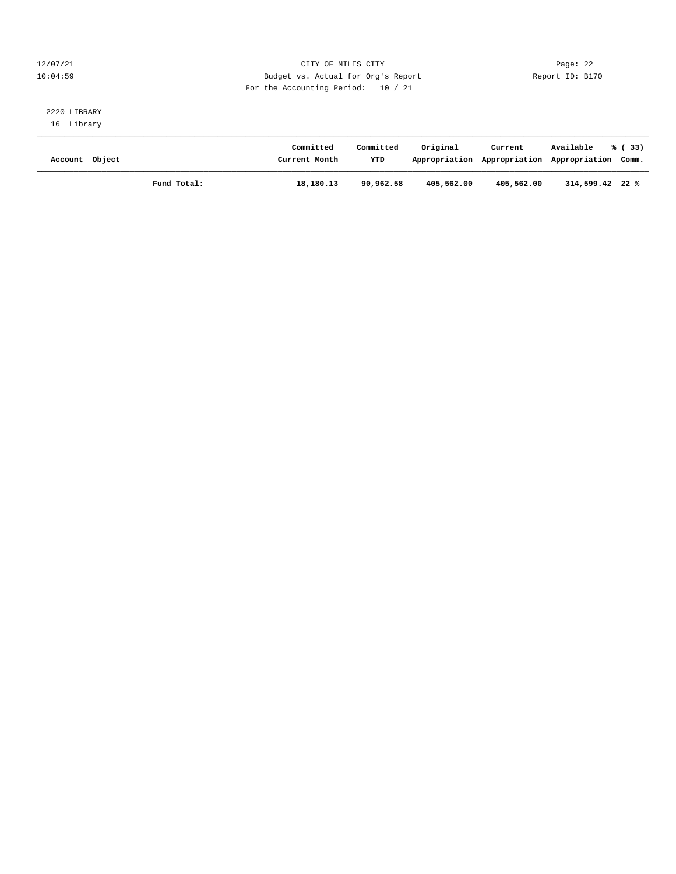#### 12/07/21 CITY OF MILES CITY Page: 22 10:04:59 Budget vs. Actual for Org's Report Report ID: B170 For the Accounting Period: 10 / 21

# 2220 LIBRARY

16 Library

| Account Object |             | Committed<br>Current Month | Committed<br>YTD | Original<br>Appropriation Appropriation | Current    | Available<br>Appropriation Comm. | % (33) |
|----------------|-------------|----------------------------|------------------|-----------------------------------------|------------|----------------------------------|--------|
|                | Fund Total: | 18,180.13                  | 90,962.58        | 405,562.00                              | 405,562.00 | $314,599.42$ 22 %                |        |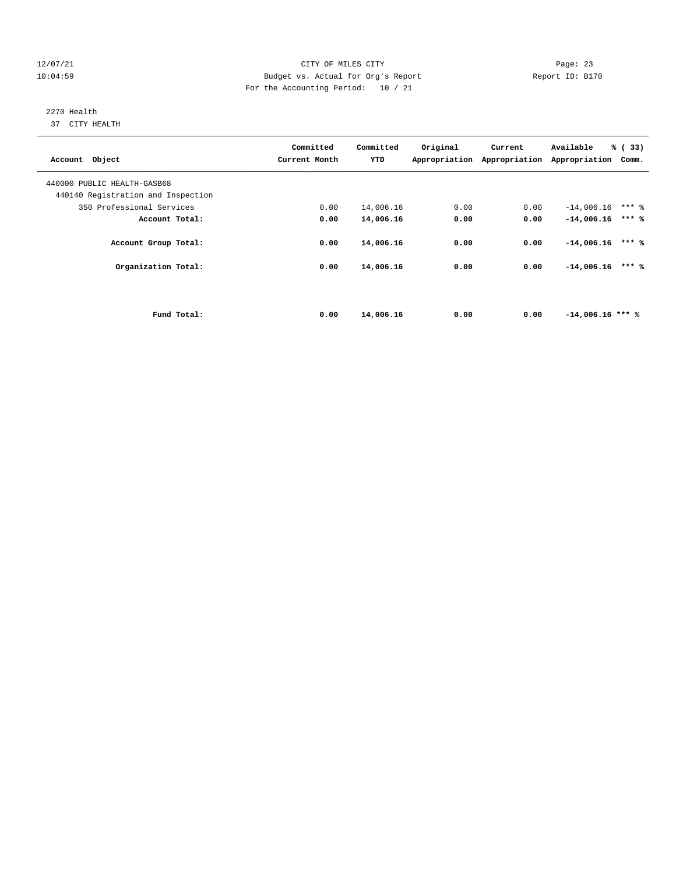#### 12/07/21 CITY OF MILES CITY Page: 23 10:04:59 Budget vs. Actual for Org's Report Report ID: B170 For the Accounting Period: 10 / 21

# 2270 Health

37 CITY HEALTH

| Account Object                     | Committed<br>Current Month | Committed<br>YTD | Original | Current<br>Appropriation Appropriation Appropriation | Available          | % (33)<br>Comm. |  |
|------------------------------------|----------------------------|------------------|----------|------------------------------------------------------|--------------------|-----------------|--|
| 440000 PUBLIC HEALTH-GASB68        |                            |                  |          |                                                      |                    |                 |  |
| 440140 Registration and Inspection |                            |                  |          |                                                      |                    |                 |  |
| 350 Professional Services          | 0.00                       | 14,006.16        | 0.00     | 0.00                                                 | $-14,006.16$       | $***$ 2         |  |
| Account Total:                     | 0.00                       | 14,006.16        | 0.00     | 0.00                                                 | $-14,006.16$       | $***$ %         |  |
| Account Group Total:               | 0.00                       | 14,006.16        | 0.00     | 0.00                                                 | $-14,006.16$       | $***$ %         |  |
| Organization Total:                | 0.00                       | 14,006.16        | 0.00     | 0.00                                                 | $-14,006.16$       | $***$ %         |  |
|                                    |                            |                  |          |                                                      |                    |                 |  |
| Fund Total:                        | 0.00                       | 14,006.16        | 0.00     | 0.00                                                 | $-14,006.16$ *** % |                 |  |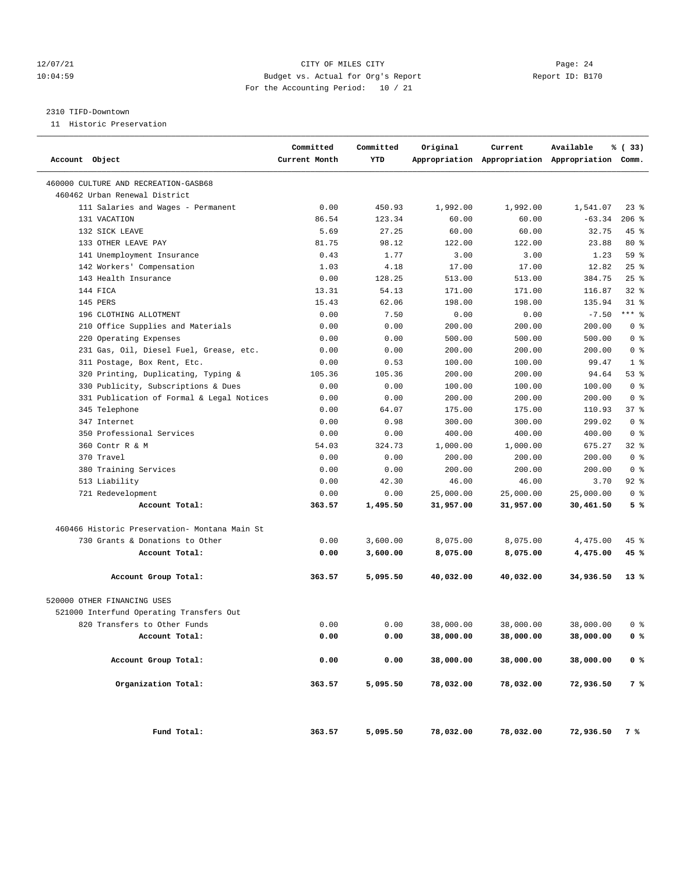#### 12/07/21 CITY OF MILES CITY Page: 24 10:04:59 Budget vs. Actual for Org's Report Report ID: B170 For the Accounting Period: 10 / 21

#### 2310 TIFD-Downtown

11 Historic Preservation

| Account Object                                | Committed<br>Current Month | Committed<br>YTD | Original  | Current   | Available<br>Appropriation Appropriation Appropriation Comm. | % (33)         |
|-----------------------------------------------|----------------------------|------------------|-----------|-----------|--------------------------------------------------------------|----------------|
| 460000 CULTURE AND RECREATION-GASB68          |                            |                  |           |           |                                                              |                |
| 460462 Urban Renewal District                 |                            |                  |           |           |                                                              |                |
| 111 Salaries and Wages - Permanent            | 0.00                       | 450.93           | 1,992.00  | 1,992.00  | 1,541.07                                                     | 238            |
| 131 VACATION                                  | 86.54                      | 123.34           | 60.00     | 60.00     | $-63.34$                                                     | $206$ %        |
| 132 SICK LEAVE                                | 5.69                       | 27.25            | 60.00     | 60.00     | 32.75                                                        | $45$ %         |
| 133 OTHER LEAVE PAY                           | 81.75                      | 98.12            | 122.00    | 122.00    | 23.88                                                        | $80*$          |
| 141 Unemployment Insurance                    | 0.43                       | 1.77             | 3.00      | 3.00      | 1.23                                                         | 59 %           |
| 142 Workers' Compensation                     | 1.03                       | 4.18             | 17.00     | 17.00     | 12.82                                                        | 25%            |
| 143 Health Insurance                          | 0.00                       | 128.25           | 513.00    | 513.00    | 384.75                                                       | $25$ %         |
| 144 FICA                                      | 13.31                      | 54.13            | 171.00    | 171.00    | 116.87                                                       | $32$ $%$       |
| 145 PERS                                      | 15.43                      | 62.06            | 198.00    | 198.00    | 135.94                                                       | $31$ %         |
| 196 CLOTHING ALLOTMENT                        | 0.00                       | 7.50             | 0.00      | 0.00      | $-7.50$                                                      | $***$ 8        |
| 210 Office Supplies and Materials             | 0.00                       | 0.00             | 200.00    | 200.00    | 200.00                                                       | 0 <sup>8</sup> |
| 220 Operating Expenses                        | 0.00                       | 0.00             | 500.00    | 500.00    | 500.00                                                       | 0 <sup>8</sup> |
| 231 Gas, Oil, Diesel Fuel, Grease, etc.       | 0.00                       | 0.00             | 200.00    | 200.00    | 200.00                                                       | 0 <sup>8</sup> |
| 311 Postage, Box Rent, Etc.                   | 0.00                       | 0.53             | 100.00    | 100.00    | 99.47                                                        | 1 <sup>8</sup> |
| 320 Printing, Duplicating, Typing &           | 105.36                     | 105.36           | 200.00    | 200.00    | 94.64                                                        | 53%            |
| 330 Publicity, Subscriptions & Dues           | 0.00                       | 0.00             | 100.00    | 100.00    | 100.00                                                       | 0 <sup>8</sup> |
| 331 Publication of Formal & Legal Notices     | 0.00                       | 0.00             | 200.00    | 200.00    | 200.00                                                       | 0 <sup>8</sup> |
| 345 Telephone                                 | 0.00                       | 64.07            | 175.00    | 175.00    | 110.93                                                       | 37%            |
| 347 Internet                                  | 0.00                       | 0.98             | 300.00    | 300.00    | 299.02                                                       | 0 <sup>8</sup> |
| 350 Professional Services                     | 0.00                       | 0.00             | 400.00    | 400.00    | 400.00                                                       | 0 <sup>8</sup> |
| 360 Contr R & M                               | 54.03                      | 324.73           | 1,000.00  | 1,000.00  | 675.27                                                       | $32*$          |
| 370 Travel                                    | 0.00                       | 0.00             | 200.00    | 200.00    | 200.00                                                       | 0 <sup>8</sup> |
| 380 Training Services                         | 0.00                       | 0.00             | 200.00    | 200.00    | 200.00                                                       | 0 <sup>8</sup> |
| 513 Liability                                 | 0.00                       | 42.30            | 46.00     | 46.00     | 3.70                                                         | $92$ $%$       |
| 721 Redevelopment                             | 0.00                       | 0.00             | 25,000.00 | 25,000.00 | 25,000.00                                                    | 0 <sup>8</sup> |
| Account Total:                                | 363.57                     | 1,495.50         | 31,957.00 | 31,957.00 | 30,461.50                                                    | 5%             |
| 460466 Historic Preservation- Montana Main St |                            |                  |           |           |                                                              |                |
| 730 Grants & Donations to Other               | 0.00                       | 3,600.00         | 8,075.00  | 8,075.00  | 4,475.00                                                     | $45$ %         |
| Account Total:                                | 0.00                       | 3,600.00         | 8,075.00  | 8,075.00  | 4,475.00                                                     | 45 %           |
| Account Group Total:                          | 363.57                     | 5,095.50         | 40,032.00 | 40,032.00 | 34,936.50                                                    | $13*$          |
| 520000 OTHER FINANCING USES                   |                            |                  |           |           |                                                              |                |
| 521000 Interfund Operating Transfers Out      |                            |                  |           |           |                                                              |                |
| 820 Transfers to Other Funds                  | 0.00                       | 0.00             | 38,000.00 | 38,000.00 | 38,000.00                                                    | 0 %            |
| Account Total:                                | 0.00                       | 0.00             | 38,000.00 | 38,000.00 | 38,000.00                                                    | 0%             |
| Account Group Total:                          | 0.00                       | 0.00             | 38,000.00 | 38,000.00 | 38,000.00                                                    | 0 <sup>8</sup> |
| Organization Total:                           | 363.57                     | 5,095.50         | 78,032.00 | 78,032.00 | 72,936.50                                                    | 7 %            |
| Fund Total:                                   | 363.57                     | 5,095.50         | 78,032.00 | 78,032.00 | 72,936.50                                                    | 7 %            |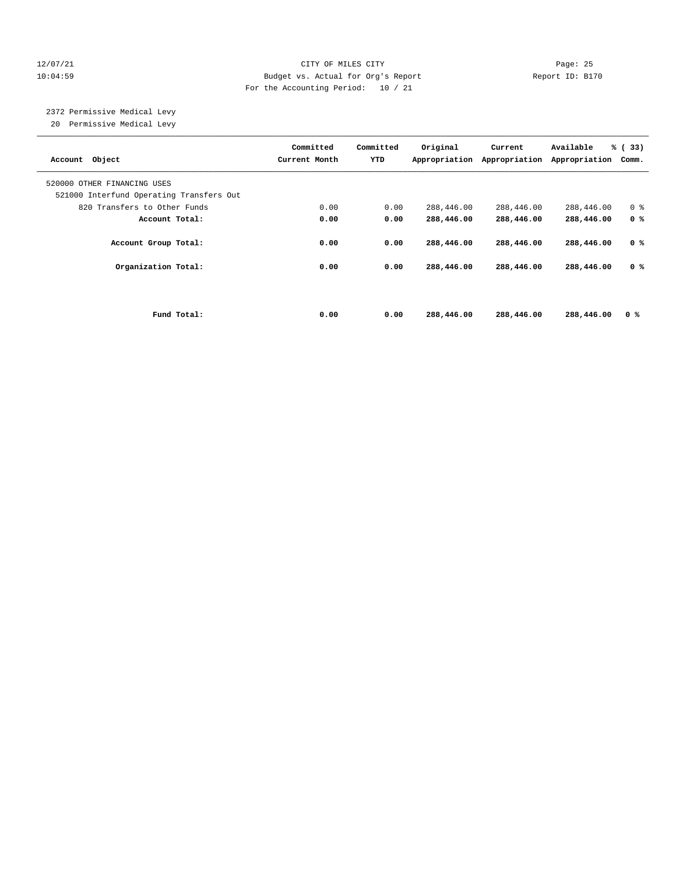#### 12/07/21 CITY OF MILES CITY Page: 25 10:04:59 Budget vs. Actual for Org's Report Report ID: B170 For the Accounting Period: 10 / 21

 2372 Permissive Medical Levy 20 Permissive Medical Levy

| Account Object                                                          | Committed<br>Current Month | Committed<br>YTD | Original<br>Appropriation | Current<br>Appropriation | Available<br>Appropriation | % (33)<br>Comm. |
|-------------------------------------------------------------------------|----------------------------|------------------|---------------------------|--------------------------|----------------------------|-----------------|
| 520000 OTHER FINANCING USES<br>521000 Interfund Operating Transfers Out |                            |                  |                           |                          |                            |                 |
| 820 Transfers to Other Funds                                            | 0.00                       | 0.00             | 288,446.00                | 288,446.00               | 288,446.00                 | 0 <sup>8</sup>  |
| Account Total:                                                          | 0.00                       | 0.00             | 288,446.00                | 288,446.00               | 288,446.00                 | 0 <sup>8</sup>  |
| Account Group Total:                                                    | 0.00                       | 0.00             | 288,446.00                | 288,446.00               | 288,446.00                 | 0 <sup>8</sup>  |
| Organization Total:                                                     | 0.00                       | 0.00             | 288,446.00                | 288,446.00               | 288,446.00                 | 0 <sup>8</sup>  |
|                                                                         |                            |                  |                           |                          |                            |                 |
| Fund Total:                                                             | 0.00                       | 0.00             | 288,446.00                | 288,446.00               | 288,446.00                 | 0 <sup>8</sup>  |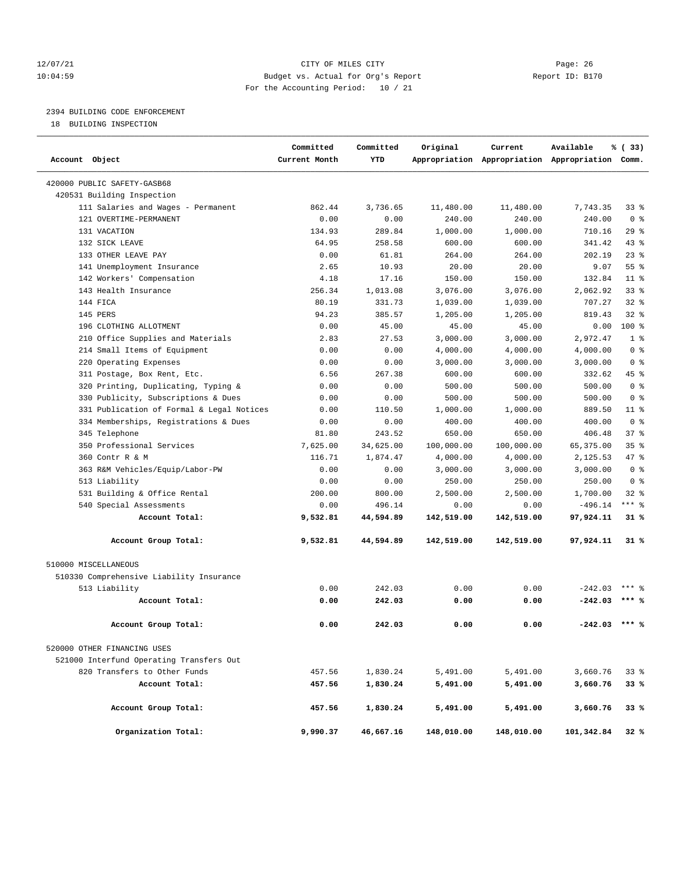#### 12/07/21 CITY OF MILES CITY Page: 26 10:04:59 Budget vs. Actual for Org's Report Report ID: B170 For the Accounting Period: 10 / 21

### 2394 BUILDING CODE ENFORCEMENT

18 BUILDING INSPECTION

| Account Object                            | Committed<br>Current Month | Committed<br>YTD | Original   | Current    | Available<br>Appropriation Appropriation Appropriation Comm. | % (33)          |  |
|-------------------------------------------|----------------------------|------------------|------------|------------|--------------------------------------------------------------|-----------------|--|
| 420000 PUBLIC SAFETY-GASB68               |                            |                  |            |            |                                                              |                 |  |
| 420531 Building Inspection                |                            |                  |            |            |                                                              |                 |  |
| 111 Salaries and Wages - Permanent        | 862.44                     | 3,736.65         | 11,480.00  | 11,480.00  | 7,743.35                                                     | 33 %            |  |
| 121 OVERTIME-PERMANENT                    | 0.00                       | 0.00             | 240.00     | 240.00     | 240.00                                                       | 0 <sup>8</sup>  |  |
| 131 VACATION                              | 134.93                     | 289.84           | 1,000.00   | 1,000.00   | 710.16                                                       | 29%             |  |
| 132 SICK LEAVE                            | 64.95                      | 258.58           | 600.00     | 600.00     | 341.42                                                       | $43$ %          |  |
| 133 OTHER LEAVE PAY                       | 0.00                       | 61.81            | 264.00     | 264.00     | 202.19                                                       | $23$ %          |  |
| 141 Unemployment Insurance                | 2.65                       | 10.93            | 20.00      | 20.00      | 9.07                                                         | 55%             |  |
| 142 Workers' Compensation                 | 4.18                       | 17.16            | 150.00     | 150.00     | 132.84                                                       | 11 <sup>8</sup> |  |
| 143 Health Insurance                      | 256.34                     | 1,013.08         | 3,076.00   | 3,076.00   | 2,062.92                                                     | 33%             |  |
| 144 FICA                                  | 80.19                      | 331.73           | 1,039.00   | 1,039.00   | 707.27                                                       | $32$ $%$        |  |
| 145 PERS                                  | 94.23                      | 385.57           | 1,205.00   | 1,205.00   | 819.43                                                       | $32$ $%$        |  |
| 196 CLOTHING ALLOTMENT                    | 0.00                       | 45.00            | 45.00      | 45.00      | 0.00                                                         | $100*$          |  |
| 210 Office Supplies and Materials         | 2.83                       | 27.53            | 3,000.00   | 3,000.00   | 2,972.47                                                     | 1 <sup>8</sup>  |  |
| 214 Small Items of Equipment              | 0.00                       | 0.00             | 4,000.00   | 4,000.00   | 4,000.00                                                     | 0 <sup>8</sup>  |  |
| 220 Operating Expenses                    | 0.00                       | 0.00             | 3,000.00   | 3,000.00   | 3,000.00                                                     | 0 <sup>8</sup>  |  |
| 311 Postage, Box Rent, Etc.               | 6.56                       | 267.38           | 600.00     | 600.00     | 332.62                                                       | 45 %            |  |
| 320 Printing, Duplicating, Typing &       | 0.00                       | 0.00             | 500.00     | 500.00     | 500.00                                                       | 0 <sup>8</sup>  |  |
| 330 Publicity, Subscriptions & Dues       | 0.00                       | 0.00             | 500.00     | 500.00     | 500.00                                                       | 0 <sup>8</sup>  |  |
| 331 Publication of Formal & Legal Notices | 0.00                       | 110.50           | 1,000.00   | 1,000.00   | 889.50                                                       | $11$ %          |  |
| 334 Memberships, Registrations & Dues     | 0.00                       | 0.00             | 400.00     | 400.00     | 400.00                                                       | 0 <sup>8</sup>  |  |
| 345 Telephone                             | 81.80                      | 243.52           | 650.00     | 650.00     | 406.48                                                       | 37%             |  |
| 350 Professional Services                 | 7,625.00                   | 34,625.00        | 100,000.00 | 100,000.00 | 65,375.00                                                    | 35%             |  |
| 360 Contr R & M                           | 116.71                     | 1,874.47         | 4,000.00   | 4,000.00   | 2,125.53                                                     | 47 %            |  |
| 363 R&M Vehicles/Equip/Labor-PW           | 0.00                       | 0.00             | 3,000.00   | 3,000.00   | 3,000.00                                                     | 0 <sup>8</sup>  |  |
| 513 Liability                             | 0.00                       | 0.00             | 250.00     | 250.00     | 250.00                                                       | 0 <sup>8</sup>  |  |
| 531 Building & Office Rental              | 200.00                     | 800.00           | 2,500.00   | 2,500.00   | 1,700.00                                                     | $32$ $%$        |  |
| 540 Special Assessments                   | 0.00                       | 496.14           | 0.00       | 0.00       | $-496.14$                                                    | $***$ 8         |  |
| Account Total:                            | 9,532.81                   | 44,594.89        | 142,519.00 | 142,519.00 | 97,924.11                                                    | $31*$           |  |
| Account Group Total:                      | 9,532.81                   | 44,594.89        | 142,519.00 | 142,519.00 | 97,924.11                                                    | 31 %            |  |
| 510000 MISCELLANEOUS                      |                            |                  |            |            |                                                              |                 |  |
| 510330 Comprehensive Liability Insurance  |                            |                  |            |            |                                                              |                 |  |
| 513 Liability                             | 0.00                       | 242.03           | 0.00       | 0.00       | $-242.03$                                                    | $***$ 2         |  |
| Account Total:                            | 0.00                       | 242.03           | 0.00       | 0.00       | $-242.03$                                                    | $***$ %         |  |
| Account Group Total:                      | 0.00                       | 242.03           | 0.00       | 0.00       | $-242.03$                                                    | $***$ %         |  |
| 520000 OTHER FINANCING USES               |                            |                  |            |            |                                                              |                 |  |
| 521000 Interfund Operating Transfers Out  |                            |                  |            |            |                                                              |                 |  |
| 820 Transfers to Other Funds              | 457.56                     | 1,830.24         | 5,491.00   | 5,491.00   | 3,660.76                                                     | 33%             |  |
| Account Total:                            | 457.56                     | 1,830.24         | 5,491.00   | 5,491.00   | 3,660.76                                                     | 33%             |  |
| Account Group Total:                      | 457.56                     | 1,830.24         | 5,491.00   | 5,491.00   | 3,660.76                                                     | 33%             |  |
| Organization Total:                       | 9,990.37                   | 46,667.16        | 148,010.00 | 148,010.00 | 101,342.84                                                   | 32%             |  |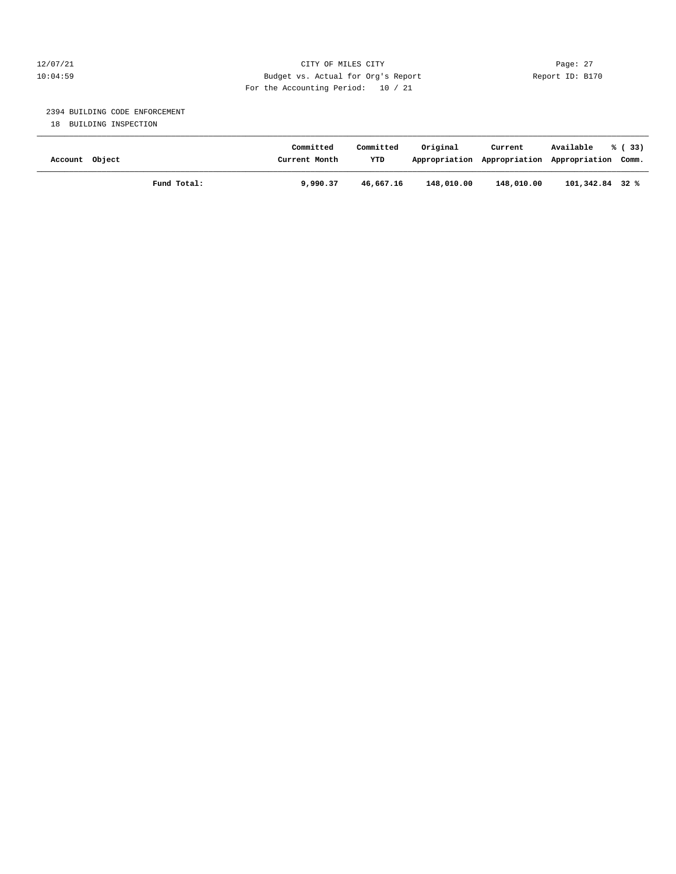#### 12/07/21 CITY OF MILES CITY Page: 27 10:04:59 Budget vs. Actual for Org's Report Report ID: B170 For the Accounting Period: 10 / 21

#### 2394 BUILDING CODE ENFORCEMENT

18 BUILDING INSPECTION

| Account Object | Committed<br>Current Month | Committed<br>YTD | Original   | Current<br>Appropriation Appropriation Appropriation Comm. | Available       | % (33) |
|----------------|----------------------------|------------------|------------|------------------------------------------------------------|-----------------|--------|
| Fund Total:    | 9,990.37                   | 46,667.16        | 148,010.00 | 148,010.00                                                 | 101,342.84 32 % |        |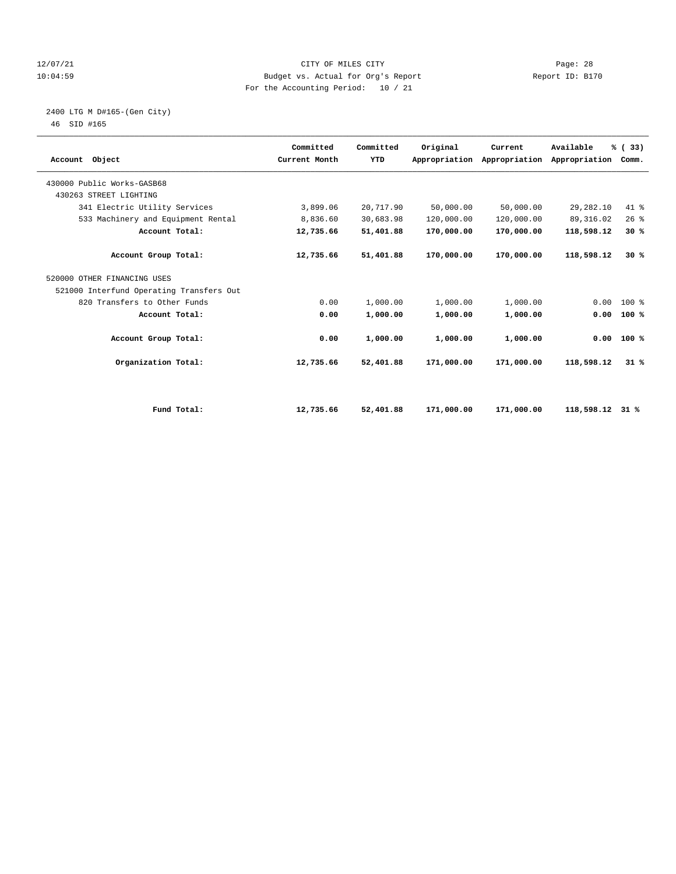#### 12/07/21 CITY OF MILES CITY Page: 28 10:04:59 Budget vs. Actual for Org's Report Report ID: B170 For the Accounting Period: 10 / 21

# 2400 LTG M D#165-(Gen City)

| Account Object                           | Committed<br>Current Month | Committed<br>YTD | Original   | Current<br>Appropriation Appropriation | Available<br>Appropriation | % (33)<br>Comm. |  |
|------------------------------------------|----------------------------|------------------|------------|----------------------------------------|----------------------------|-----------------|--|
| 430000 Public Works-GASB68               |                            |                  |            |                                        |                            |                 |  |
| 430263 STREET LIGHTING                   |                            |                  |            |                                        |                            |                 |  |
| 341 Electric Utility Services            | 3,899.06                   | 20,717.90        | 50,000.00  | 50,000.00                              | 29,282.10                  | 41.8            |  |
| 533 Machinery and Equipment Rental       | 8,836.60                   | 30,683.98        | 120,000.00 | 120,000.00                             | 89, 316.02                 | 26%             |  |
| Account Total:                           | 12,735.66                  | 51,401.88        | 170,000.00 | 170,000.00                             | 118,598.12                 | 30%             |  |
| Account Group Total:                     | 12,735.66                  | 51,401.88        | 170,000.00 | 170,000.00                             | 118,598.12                 | 30%             |  |
| 520000 OTHER FINANCING USES              |                            |                  |            |                                        |                            |                 |  |
| 521000 Interfund Operating Transfers Out |                            |                  |            |                                        |                            |                 |  |
| 820 Transfers to Other Funds             | 0.00                       | 1,000.00         | 1,000.00   | 1,000.00                               | 0.00                       | 100 %           |  |
| Account Total:                           | 0.00                       | 1,000.00         | 1,000.00   | 1,000.00                               | 0.00                       | 100%            |  |
| Account Group Total:                     | 0.00                       | 1,000.00         | 1,000.00   | 1,000.00                               | 0.00                       | 100%            |  |
| Organization Total:                      | 12,735.66                  | 52,401.88        | 171,000.00 | 171,000.00                             | 118,598.12                 | 31%             |  |
|                                          |                            |                  |            |                                        |                            |                 |  |
| Fund Total:                              | 12,735.66                  | 52,401.88        | 171,000.00 | 171,000.00                             | 118,598.12                 | 31 %            |  |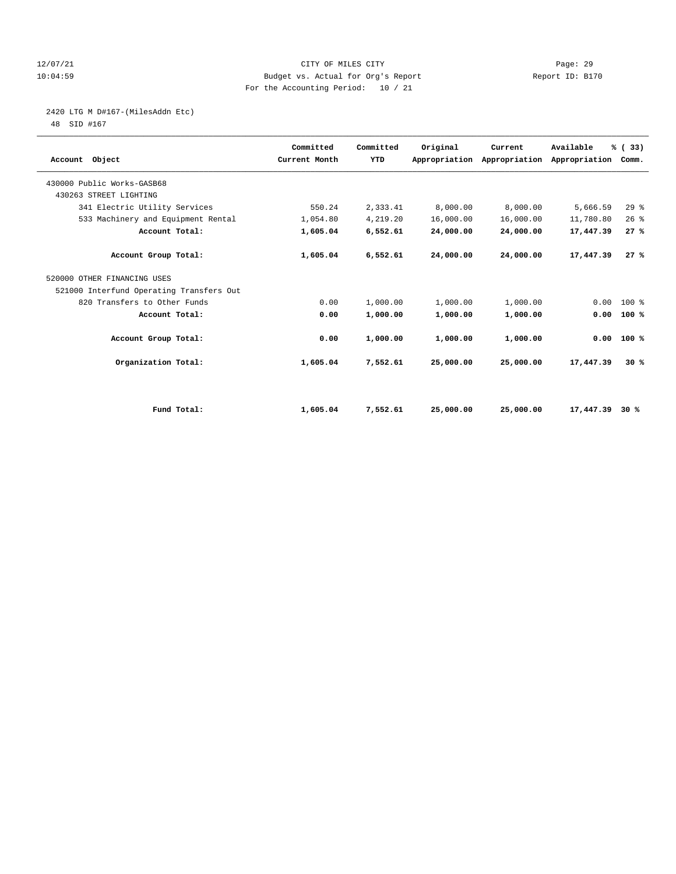#### 12/07/21 CITY OF MILES CITY Page: 29 10:04:59 Budget vs. Actual for Org's Report Report ID: B170 For the Accounting Period: 10 / 21

# 2420 LTG M D#167-(MilesAddn Etc)

| Account Object                           | Committed<br>Current Month | Committed<br>YTD | Original  | Current<br>Appropriation Appropriation | Available<br>Appropriation | % (33)<br>Comm. |  |
|------------------------------------------|----------------------------|------------------|-----------|----------------------------------------|----------------------------|-----------------|--|
| 430000 Public Works-GASB68               |                            |                  |           |                                        |                            |                 |  |
| 430263 STREET LIGHTING                   |                            |                  |           |                                        |                            |                 |  |
| 341 Electric Utility Services            | 550.24                     | 2,333.41         | 8,000.00  | 8,000.00                               | 5,666.59                   | $29$ $%$        |  |
| 533 Machinery and Equipment Rental       | 1,054.80                   | 4,219.20         | 16,000.00 | 16,000.00                              | 11,780.80                  | 26%             |  |
| Account Total:                           | 1,605.04                   | 6,552.61         | 24,000.00 | 24,000.00                              | 17,447.39                  | 27%             |  |
| Account Group Total:                     | 1,605.04                   | 6,552.61         | 24,000.00 | 24,000.00                              | 17,447.39                  | 27%             |  |
| 520000 OTHER FINANCING USES              |                            |                  |           |                                        |                            |                 |  |
| 521000 Interfund Operating Transfers Out |                            |                  |           |                                        |                            |                 |  |
| 820 Transfers to Other Funds             | 0.00                       | 1,000.00         | 1,000.00  | 1,000.00                               | 0.00                       | $100*$          |  |
| Account Total:                           | 0.00                       | 1,000.00         | 1,000.00  | 1,000.00                               | 0.00                       | 100%            |  |
| Account Group Total:                     | 0.00                       | 1,000.00         | 1,000.00  | 1,000.00                               | 0.00                       | 100%            |  |
| Organization Total:                      | 1,605.04                   | 7,552.61         | 25,000.00 | 25,000.00                              | 17,447.39                  | 30%             |  |
|                                          |                            |                  |           |                                        |                            |                 |  |
| Fund Total:                              | 1,605.04                   | 7,552.61         | 25,000.00 | 25,000.00                              | 17,447.39                  | 30%             |  |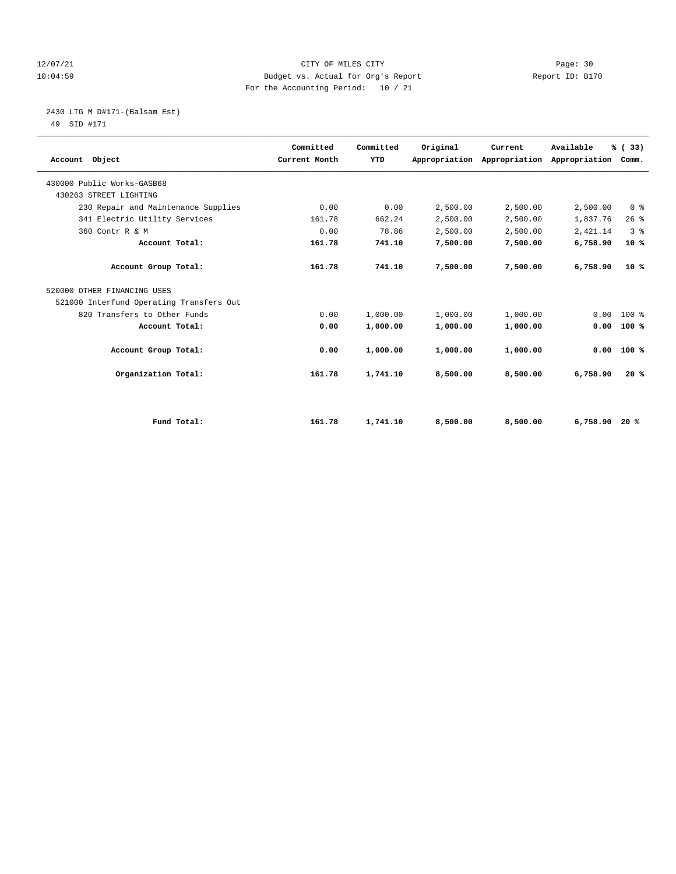#### 12/07/21 CITY OF MILES CITY Page: 30 10:04:59 Budget vs. Actual for Org's Report Report ID: B170 For the Accounting Period: 10 / 21

2430 LTG M D#171-(Balsam Est)

| Account Object                           | Committed<br>Current Month | Committed<br>YTD | Original | Current<br>Appropriation Appropriation | Available<br>Appropriation Comm. | % (33)         |  |
|------------------------------------------|----------------------------|------------------|----------|----------------------------------------|----------------------------------|----------------|--|
| 430000 Public Works-GASB68               |                            |                  |          |                                        |                                  |                |  |
| 430263 STREET LIGHTING                   |                            |                  |          |                                        |                                  |                |  |
| 230 Repair and Maintenance Supplies      | 0.00                       | 0.00             | 2,500.00 | 2,500.00                               | 2,500.00                         | 0 <sup>8</sup> |  |
| 341 Electric Utility Services            | 161.78                     | 662.24           | 2,500.00 | 2,500.00                               | 1,837.76                         | 26%            |  |
| 360 Contr R & M                          | 0.00                       | 78.86            | 2,500.00 | 2,500.00                               | 2,421.14                         | 3 <sup>8</sup> |  |
| Account Total:                           | 161.78                     | 741.10           | 7,500.00 | 7,500.00                               | 6,758.90                         | $10*$          |  |
| Account Group Total:                     | 161.78                     | 741.10           | 7,500.00 | 7,500.00                               | 6,758.90                         | $10*$          |  |
| 520000 OTHER FINANCING USES              |                            |                  |          |                                        |                                  |                |  |
| 521000 Interfund Operating Transfers Out |                            |                  |          |                                        |                                  |                |  |
| 820 Transfers to Other Funds             | 0.00                       | 1,000.00         | 1,000.00 | 1,000.00                               | 0.00                             | $100*$         |  |
| Account Total:                           | 0.00                       | 1,000.00         | 1,000.00 | 1,000.00                               | 0.00                             | 100%           |  |
| Account Group Total:                     | 0.00                       | 1,000.00         | 1,000.00 | 1,000.00                               | 0.00                             | 100%           |  |
| Organization Total:                      | 161.78                     | 1,741.10         | 8,500.00 | 8,500.00                               | 6,758.90                         | 20%            |  |
|                                          |                            |                  |          |                                        |                                  |                |  |
| Fund Total:                              | 161.78                     | 1,741.10         | 8,500.00 | 8,500.00                               | 6,758.90                         | 20%            |  |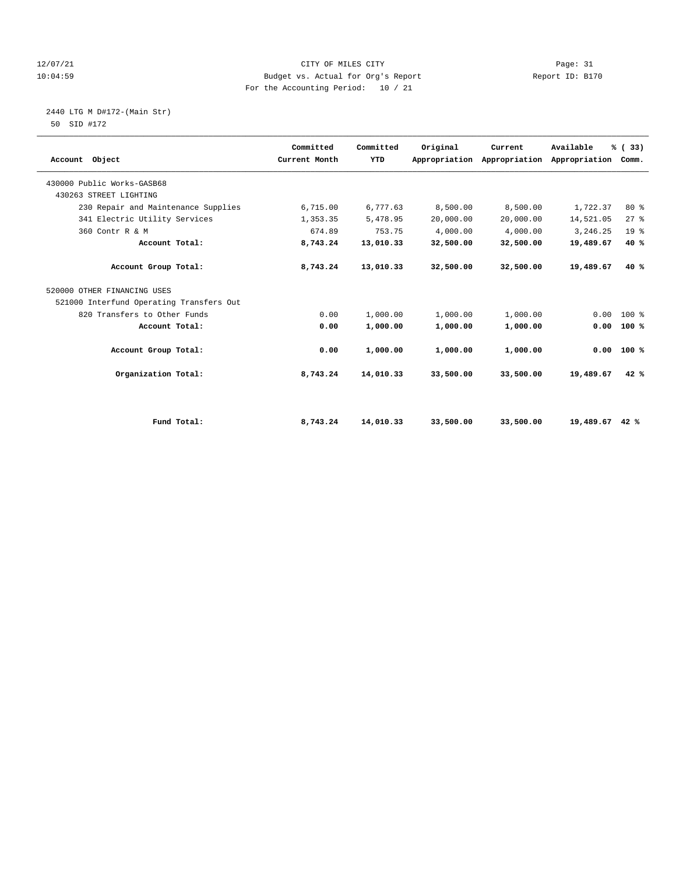#### 12/07/21 CITY OF MILES CITY Page: 31 10:04:59 Budget vs. Actual for Org's Report Report ID: B170 For the Accounting Period: 10 / 21

# 2440 LTG M D#172-(Main Str)

| Account Object                           | Committed<br>Current Month | Committed<br>YTD | Original  | Current<br>Appropriation Appropriation | Available<br>Appropriation Comm. | % (33)          |  |
|------------------------------------------|----------------------------|------------------|-----------|----------------------------------------|----------------------------------|-----------------|--|
| 430000 Public Works-GASB68               |                            |                  |           |                                        |                                  |                 |  |
| 430263 STREET LIGHTING                   |                            |                  |           |                                        |                                  |                 |  |
| 230 Repair and Maintenance Supplies      | 6,715.00                   | 6,777.63         | 8,500.00  | 8,500.00                               | 1,722.37                         | 80 %            |  |
| 341 Electric Utility Services            | 1,353.35                   | 5,478.95         | 20,000.00 | 20,000.00                              | 14,521.05                        | 27%             |  |
| 360 Contr R & M                          | 674.89                     | 753.75           | 4,000.00  | 4,000.00                               | 3,246.25                         | 19 <sup>°</sup> |  |
| Account Total:                           | 8,743.24                   | 13,010.33        | 32,500.00 | 32,500.00                              | 19,489.67                        | 40%             |  |
| Account Group Total:                     | 8,743.24                   | 13,010.33        | 32,500.00 | 32,500.00                              | 19,489.67                        | 40%             |  |
| 520000 OTHER FINANCING USES              |                            |                  |           |                                        |                                  |                 |  |
| 521000 Interfund Operating Transfers Out |                            |                  |           |                                        |                                  |                 |  |
| 820 Transfers to Other Funds             | 0.00                       | 1,000.00         | 1,000.00  | 1,000.00                               | 0.00                             | $100*$          |  |
| Account Total:                           | 0.00                       | 1,000.00         | 1,000.00  | 1,000.00                               | 0.00                             | 100%            |  |
| Account Group Total:                     | 0.00                       | 1,000.00         | 1,000.00  | 1,000.00                               | 0.00                             | 100%            |  |
| Organization Total:                      | 8,743.24                   | 14,010.33        | 33,500.00 | 33,500.00                              | 19,489.67                        | 42%             |  |
|                                          |                            |                  |           |                                        |                                  |                 |  |
| Fund Total:                              | 8,743.24                   | 14,010.33        | 33,500.00 | 33,500.00                              | 19,489.67 42 %                   |                 |  |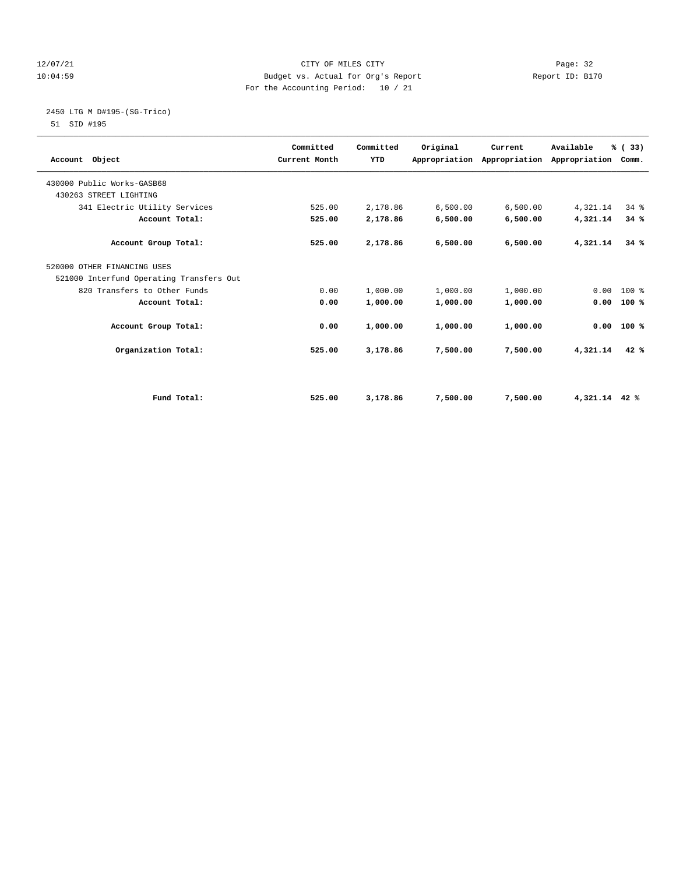#### 12/07/21 CITY OF MILES CITY Page: 32 10:04:59 Budget vs. Actual for Org's Report Report ID: B170 For the Accounting Period: 10 / 21

# 2450 LTG M D#195-(SG-Trico)

| Account Object                           | Committed<br>Current Month | Committed<br><b>YTD</b> | Original | Current<br>Appropriation Appropriation Appropriation Comm. | Available     | % (33) |  |
|------------------------------------------|----------------------------|-------------------------|----------|------------------------------------------------------------|---------------|--------|--|
| 430000 Public Works-GASB68               |                            |                         |          |                                                            |               |        |  |
| 430263 STREET LIGHTING                   |                            |                         |          |                                                            |               |        |  |
| 341 Electric Utility Services            | 525.00                     | 2,178.86                | 6,500.00 | 6,500.00                                                   | 4,321.14      | 34%    |  |
| Account Total:                           | 525.00                     | 2,178.86                | 6,500.00 | 6,500.00                                                   | 4,321.14      | 34%    |  |
| Account Group Total:                     | 525.00                     | 2,178.86                | 6,500.00 | 6,500.00                                                   | 4,321.14      | 34%    |  |
| 520000 OTHER FINANCING USES              |                            |                         |          |                                                            |               |        |  |
| 521000 Interfund Operating Transfers Out |                            |                         |          |                                                            |               |        |  |
| 820 Transfers to Other Funds             | 0.00                       | 1,000.00                | 1,000.00 | 1,000.00                                                   | 0.00          | $100*$ |  |
| Account Total:                           | 0.00                       | 1,000.00                | 1,000.00 | 1,000.00                                                   | 0.00          | 100%   |  |
| Account Group Total:                     | 0.00                       | 1,000.00                | 1,000.00 | 1,000.00                                                   | 0.00          | 100 %  |  |
| Organization Total:                      | 525.00                     | 3,178.86                | 7,500.00 | 7,500.00                                                   | 4,321.14      | 42%    |  |
|                                          |                            |                         |          |                                                            |               |        |  |
| Fund Total:                              | 525.00                     | 3,178.86                | 7,500.00 | 7,500.00                                                   | 4,321.14 42 % |        |  |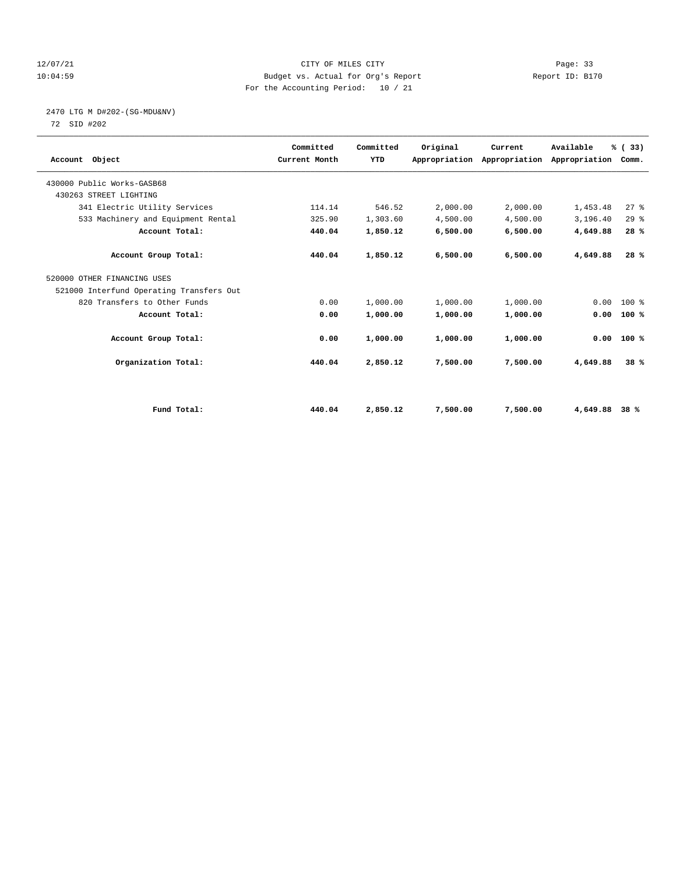#### 12/07/21 CITY OF MILES CITY Page: 33 10:04:59 Budget vs. Actual for Org's Report Report ID: B170 For the Accounting Period: 10 / 21

# 2470 LTG M D#202-(SG-MDU&NV)

| Account Object                           | Committed<br>Current Month | Committed<br><b>YTD</b> | Original | Current<br>Appropriation Appropriation Appropriation | Available | % (33)<br>Comm. |  |
|------------------------------------------|----------------------------|-------------------------|----------|------------------------------------------------------|-----------|-----------------|--|
| 430000 Public Works-GASB68               |                            |                         |          |                                                      |           |                 |  |
| 430263 STREET LIGHTING                   |                            |                         |          |                                                      |           |                 |  |
| 341 Electric Utility Services            | 114.14                     | 546.52                  | 2,000.00 | 2,000.00                                             | 1,453.48  | $27$ $%$        |  |
| 533 Machinery and Equipment Rental       | 325.90                     | 1,303.60                | 4,500.00 | 4,500.00                                             | 3,196.40  | 29%             |  |
| Account Total:                           | 440.04                     | 1,850.12                | 6,500.00 | 6,500.00                                             | 4,649.88  | 28%             |  |
| Account Group Total:                     | 440.04                     | 1,850.12                | 6,500.00 | 6,500.00                                             | 4,649.88  | 28%             |  |
| 520000 OTHER FINANCING USES              |                            |                         |          |                                                      |           |                 |  |
| 521000 Interfund Operating Transfers Out |                            |                         |          |                                                      |           |                 |  |
| 820 Transfers to Other Funds             | 0.00                       | 1,000.00                | 1,000.00 | 1,000.00                                             | 0.00      | $100*$          |  |
| Account Total:                           | 0.00                       | 1,000.00                | 1,000.00 | 1,000.00                                             | 0.00      | 100%            |  |
| Account Group Total:                     | 0.00                       | 1,000.00                | 1,000.00 | 1,000.00                                             | 0.00      | 100%            |  |
| Organization Total:                      | 440.04                     | 2,850.12                | 7,500.00 | 7,500.00                                             | 4,649.88  | 38%             |  |
|                                          |                            |                         |          |                                                      |           |                 |  |
| Fund Total:                              | 440.04                     | 2,850.12                | 7,500.00 | 7,500.00                                             | 4,649.88  | 38%             |  |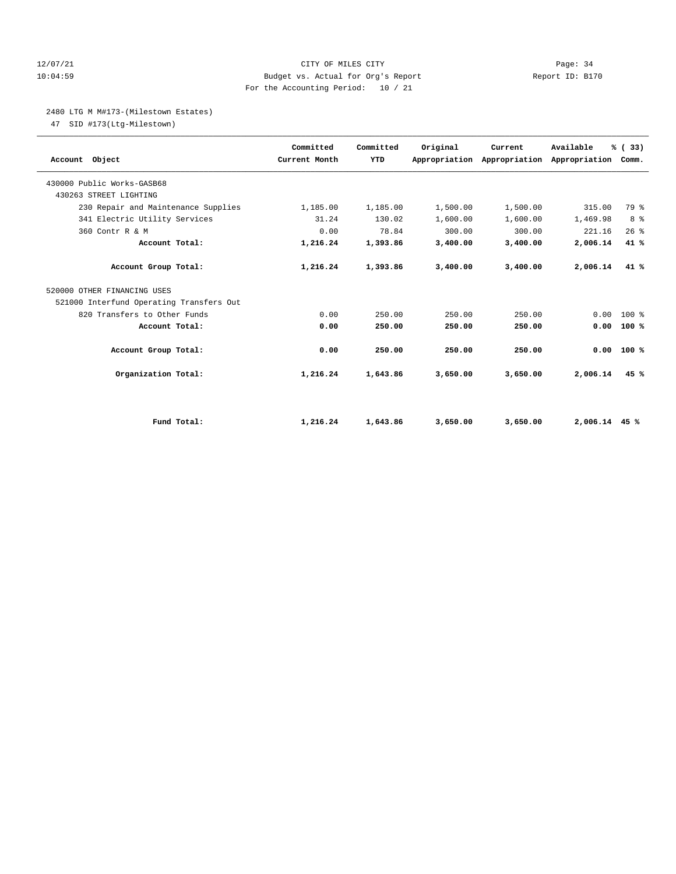#### 12/07/21 CITY OF MILES CITY Page: 34 10:04:59 Budget vs. Actual for Org's Report Report ID: B170 For the Accounting Period: 10 / 21

#### 2480 LTG M M#173-(Milestown Estates)

47 SID #173(Ltg-Milestown)

| Account Object                           | Committed<br>Current Month | Committed<br>YTD | Original | Current<br>Appropriation Appropriation | Available<br>Appropriation Comm. | % (33) |  |
|------------------------------------------|----------------------------|------------------|----------|----------------------------------------|----------------------------------|--------|--|
| 430000 Public Works-GASB68               |                            |                  |          |                                        |                                  |        |  |
| 430263 STREET LIGHTING                   |                            |                  |          |                                        |                                  |        |  |
| 230 Repair and Maintenance Supplies      | 1,185.00                   | 1,185.00         | 1,500.00 | 1,500.00                               | 315.00                           | 79 %   |  |
| 341 Electric Utility Services            | 31.24                      | 130.02           | 1,600.00 | 1,600.00                               | 1,469.98                         | 8 %    |  |
| 360 Contr R & M                          | 0.00                       | 78.84            | 300.00   | 300.00                                 | 221.16                           | 26%    |  |
| Account Total:                           | 1,216.24                   | 1,393.86         | 3,400.00 | 3,400.00                               | 2,006.14                         | 41 %   |  |
| Account Group Total:                     | 1,216.24                   | 1,393.86         | 3,400.00 | 3,400.00                               | 2,006.14                         | 41 %   |  |
| 520000 OTHER FINANCING USES              |                            |                  |          |                                        |                                  |        |  |
| 521000 Interfund Operating Transfers Out |                            |                  |          |                                        |                                  |        |  |
| 820 Transfers to Other Funds             | 0.00                       | 250.00           | 250.00   | 250.00                                 | 0.00                             | $100*$ |  |
| Account Total:                           | 0.00                       | 250.00           | 250.00   | 250.00                                 | 0.00                             | 100%   |  |
| Account Group Total:                     | 0.00                       | 250.00           | 250.00   | 250.00                                 | 0.00                             | 100%   |  |
| Organization Total:                      | 1,216.24                   | 1,643.86         | 3,650.00 | 3,650.00                               | 2,006.14                         | 45%    |  |
|                                          |                            |                  |          |                                        |                                  |        |  |
| Fund Total:                              | 1,216.24                   | 1,643.86         | 3,650.00 | 3,650.00                               | $2,006.14$ 45 %                  |        |  |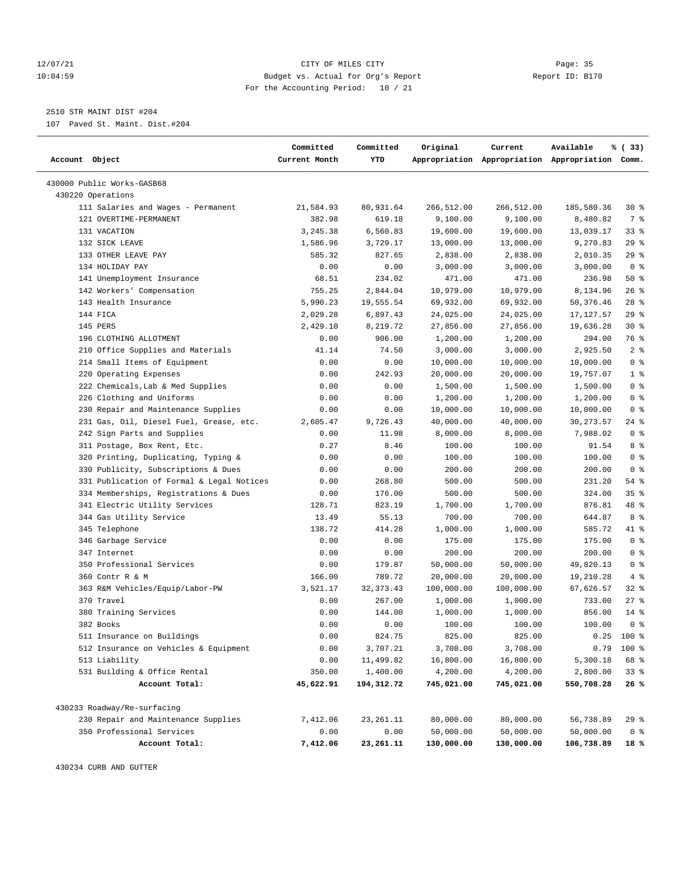#### 12/07/21 CITY OF MILES CITY Page: 35 10:04:59 Budget vs. Actual for Org's Report Report ID: B170 For the Accounting Period: 10 / 21

————————————————————————————————————————————————————————————————————————————————————————————————————————————————————————————————————

## 2510 STR MAINT DIST #204

107 Paved St. Maint. Dist.#204

|                                           | Committed     | Committed  | Original   | Current    | Available                                       | % (33)         |
|-------------------------------------------|---------------|------------|------------|------------|-------------------------------------------------|----------------|
| Account Object                            | Current Month | YTD        |            |            | Appropriation Appropriation Appropriation Comm. |                |
| 430000 Public Works-GASB68                |               |            |            |            |                                                 |                |
| 430220 Operations                         |               |            |            |            |                                                 |                |
| 111 Salaries and Wages - Permanent        | 21,584.93     | 80,931.64  | 266,512.00 | 266,512.00 | 185,580.36                                      | 30%            |
| 121 OVERTIME-PERMANENT                    | 382.98        | 619.18     | 9,100.00   | 9,100.00   | 8,480.82                                        | 7 %            |
| 131 VACATION                              | 3,245.38      | 6,560.83   | 19,600.00  | 19,600.00  | 13,039.17                                       | 33%            |
| 132 SICK LEAVE                            | 1,586.96      | 3,729.17   | 13,000.00  | 13,000.00  | 9,270.83                                        | 29%            |
| 133 OTHER LEAVE PAY                       | 585.32        | 827.65     | 2,838.00   | 2,838.00   | 2,010.35                                        | 29%            |
| 134 HOLIDAY PAY                           | 0.00          | 0.00       | 3,000.00   | 3,000.00   | 3,000.00                                        | 0 <sup>8</sup> |
| 141 Unemployment Insurance                | 68.51         | 234.02     | 471.00     | 471.00     | 236.98                                          | 50%            |
| 142 Workers' Compensation                 | 755.25        | 2,844.04   | 10,979.00  | 10,979.00  | 8,134.96                                        | 26%            |
| 143 Health Insurance                      | 5,990.23      | 19,555.54  | 69,932.00  | 69,932.00  | 50,376.46                                       | $28$ %         |
| 144 FICA                                  | 2,029.28      | 6,897.43   | 24,025.00  | 24,025.00  | 17,127.57                                       | 29%            |
| 145 PERS                                  | 2,429.10      | 8,219.72   | 27,856.00  | 27,856.00  | 19,636.28                                       | $30*$          |
| 196 CLOTHING ALLOTMENT                    | 0.00          | 906.00     | 1,200.00   | 1,200.00   | 294.00                                          | 76 %           |
| 210 Office Supplies and Materials         | 41.14         | 74.50      | 3,000.00   | 3,000.00   | 2,925.50                                        | 2 <sup>8</sup> |
| 214 Small Items of Equipment              | 0.00          | 0.00       | 10,000.00  | 10,000.00  | 10,000.00                                       | 0 <sup>8</sup> |
| 220 Operating Expenses                    | 0.00          | 242.93     | 20,000.00  | 20,000.00  | 19,757.07                                       | 1 <sup>8</sup> |
| 222 Chemicals, Lab & Med Supplies         | 0.00          | 0.00       | 1,500.00   | 1,500.00   | 1,500.00                                        | 0 <sup>8</sup> |
| 226 Clothing and Uniforms                 | 0.00          | 0.00       | 1,200.00   | 1,200.00   | 1,200.00                                        | 0 <sup>8</sup> |
| 230 Repair and Maintenance Supplies       | 0.00          | 0.00       | 10,000.00  | 10,000.00  | 10,000.00                                       | 0 <sup>8</sup> |
| 231 Gas, Oil, Diesel Fuel, Grease, etc.   | 2,605.47      | 9,726.43   | 40,000.00  | 40,000.00  | 30, 273.57                                      | $24$ %         |
| 242 Sign Parts and Supplies               | 0.00          | 11.98      | 8,000.00   | 8,000.00   | 7,988.02                                        | 0 <sup>8</sup> |
| 311 Postage, Box Rent, Etc.               | 0.27          | 8.46       | 100.00     | 100.00     | 91.54                                           | 8 %            |
| 320 Printing, Duplicating, Typing &       | 0.00          | 0.00       | 100.00     | 100.00     | 100.00                                          | 0 <sup>8</sup> |
| 330 Publicity, Subscriptions & Dues       | 0.00          | 0.00       | 200.00     | 200.00     | 200.00                                          | 0 <sup>8</sup> |
| 331 Publication of Formal & Legal Notices | 0.00          | 268.80     | 500.00     | 500.00     | 231.20                                          | $54$ %         |
| 334 Memberships, Registrations & Dues     | 0.00          | 176.00     | 500.00     | 500.00     | 324.00                                          | 35%            |
| 341 Electric Utility Services             | 128.71        | 823.19     | 1,700.00   | 1,700.00   | 876.81                                          | 48 %           |
| 344 Gas Utility Service                   | 13.49         | 55.13      | 700.00     | 700.00     | 644.87                                          | 8 %            |
| 345 Telephone                             | 138.72        | 414.28     | 1,000.00   | 1,000.00   | 585.72                                          | 41 %           |
| 346 Garbage Service                       | 0.00          | 0.00       | 175.00     | 175.00     | 175.00                                          | 0 <sup>8</sup> |
| 347 Internet                              | 0.00          | 0.00       | 200.00     | 200.00     | 200.00                                          | 0 <sup>8</sup> |
| 350 Professional Services                 | 0.00          | 179.87     | 50,000.00  | 50,000.00  | 49,820.13                                       | 0 <sup>8</sup> |
| 360 Contr R & M                           | 166.00        | 789.72     | 20,000.00  | 20,000.00  | 19,210.28                                       | 4%             |
| 363 R&M Vehicles/Equip/Labor-PW           | 3,521.17      | 32, 373.43 | 100,000.00 | 100,000.00 | 67,626.57                                       | $32$ $%$       |
| 370 Travel                                | 0.00          | 267.00     | 1,000.00   | 1,000.00   | 733.00                                          | $27$ %         |
| 380 Training Services                     | 0.00          | 144.00     | 1,000.00   | 1,000.00   | 856.00                                          | $14$ %         |
| 382 Books                                 | 0.00          | 0.00       | 100.00     | 100.00     | 100.00                                          | 0 <sup>8</sup> |
| 511 Insurance on Buildings                | 0.00          | 824.75     | 825.00     | 825.00     |                                                 | $0.25$ 100 %   |
| 512 Insurance on Vehicles & Equipment     | 0.00          | 3,707.21   | 3,708.00   | 3,708.00   |                                                 | $0.79$ 100 %   |
| 513 Liability                             | 0.00          | 11,499.82  | 16,800.00  | 16,800.00  | 5,300.18                                        | 68 %           |
| 531 Building & Office Rental              | 350.00        | 1,400.00   | 4,200.00   | 4,200.00   | 2,800.00                                        | 33%            |
| Account Total:                            | 45,622.91     | 194,312.72 | 745,021.00 | 745,021.00 | 550,708.28                                      | 26%            |
| 430233 Roadway/Re-surfacing               |               |            |            |            |                                                 |                |
| 230 Repair and Maintenance Supplies       | 7,412.06      | 23, 261.11 | 80,000.00  | 80,000.00  | 56,738.89                                       | 29 %           |
| 350 Professional Services                 | 0.00          | 0.00       | 50,000.00  | 50,000.00  | 50,000.00                                       | 0 <sub>8</sub> |
| Account Total:                            | 7,412.06      | 23,261.11  | 130,000.00 | 130,000.00 | 106,738.89                                      | 18 %           |

430234 CURB AND GUTTER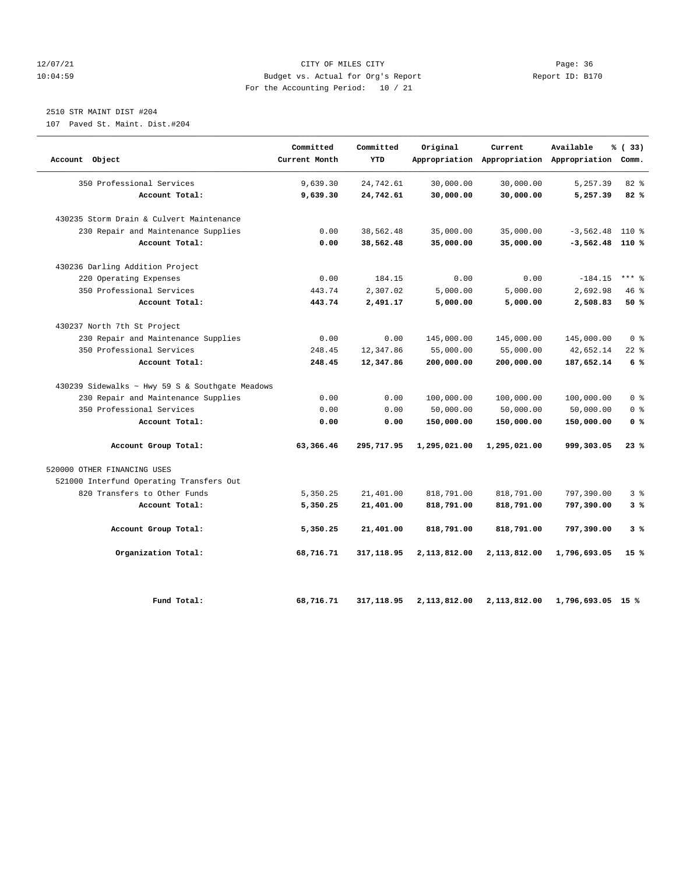#### 12/07/21 CITY OF MILES CITY Page: 36 10:04:59 Budget vs. Actual for Org's Report Report ID: B170 For the Accounting Period: 10 / 21

## 2510 STR MAINT DIST #204

107 Paved St. Maint. Dist.#204

| Account Object                                  | Committed<br>Current Month | Committed<br>YTD | Original     | Current      | Available<br>Appropriation Appropriation Appropriation Comm. | % (33)         |
|-------------------------------------------------|----------------------------|------------------|--------------|--------------|--------------------------------------------------------------|----------------|
| 350 Professional Services                       | 9,639.30                   | 24,742.61        | 30,000.00    | 30,000.00    | 5,257.39                                                     | 82%            |
| Account Total:                                  | 9,639.30                   | 24,742.61        | 30,000.00    | 30,000.00    | 5,257.39                                                     | 82%            |
| 430235 Storm Drain & Culvert Maintenance        |                            |                  |              |              |                                                              |                |
| 230 Repair and Maintenance Supplies             | 0.00                       | 38,562.48        | 35,000.00    | 35,000.00    | $-3,562.48$                                                  | $110*$         |
| Account Total:                                  | 0.00                       | 38,562.48        | 35,000.00    | 35,000.00    | $-3,562.48$ 110 %                                            |                |
| 430236 Darling Addition Project                 |                            |                  |              |              |                                                              |                |
| 220 Operating Expenses                          | 0.00                       | 184.15           | 0.00         | 0.00         | $-184.15$                                                    | $***$ 8        |
| 350 Professional Services                       | 443.74                     | 2,307.02         | 5,000.00     | 5,000.00     | 2,692.98                                                     | 46%            |
| Account Total:                                  | 443.74                     | 2,491.17         | 5,000.00     | 5,000.00     | 2,508.83                                                     | 50%            |
| 430237 North 7th St Project                     |                            |                  |              |              |                                                              |                |
| 230 Repair and Maintenance Supplies             | 0.00                       | 0.00             | 145,000.00   | 145,000.00   | 145,000.00                                                   | 0 <sup>8</sup> |
| 350 Professional Services                       | 248.45                     | 12,347.86        | 55,000.00    | 55,000.00    | 42,652.14                                                    | $22$ %         |
| Account Total:                                  | 248.45                     | 12,347.86        | 200,000.00   | 200,000.00   | 187,652.14                                                   | 6%             |
| 430239 Sidewalks ~ Hwy 59 S & Southgate Meadows |                            |                  |              |              |                                                              |                |
| 230 Repair and Maintenance Supplies             | 0.00                       | 0.00             | 100,000.00   | 100,000.00   | 100,000.00                                                   | 0 <sup>8</sup> |
| 350 Professional Services                       | 0.00                       | 0.00             | 50,000.00    | 50,000.00    | 50,000.00                                                    | 0 <sup>8</sup> |
| Account Total:                                  | 0.00                       | 0.00             | 150,000.00   | 150,000.00   | 150,000.00                                                   | 0 <sup>8</sup> |
| Account Group Total:                            | 63,366.46                  | 295,717.95       | 1,295,021.00 | 1,295,021.00 | 999,303.05                                                   | 23%            |
| 520000 OTHER FINANCING USES                     |                            |                  |              |              |                                                              |                |
| 521000 Interfund Operating Transfers Out        |                            |                  |              |              |                                                              |                |
| 820 Transfers to Other Funds                    | 5,350.25                   | 21,401.00        | 818,791.00   | 818,791.00   | 797,390.00                                                   | 3%             |
| Account Total:                                  | 5,350.25                   | 21,401.00        | 818,791.00   | 818,791.00   | 797,390.00                                                   | 3%             |
| Account Group Total:                            | 5,350.25                   | 21,401.00        | 818,791.00   | 818,791.00   | 797,390.00                                                   | 3%             |
| Organization Total:                             | 68,716.71                  | 317,118.95       | 2,113,812.00 | 2,113,812.00 | 1,796,693.05                                                 | 15%            |
| Fund Total:                                     | 68,716.71                  | 317, 118.95      | 2,113,812.00 | 2,113,812.00 | 1,796,693.05 15 %                                            |                |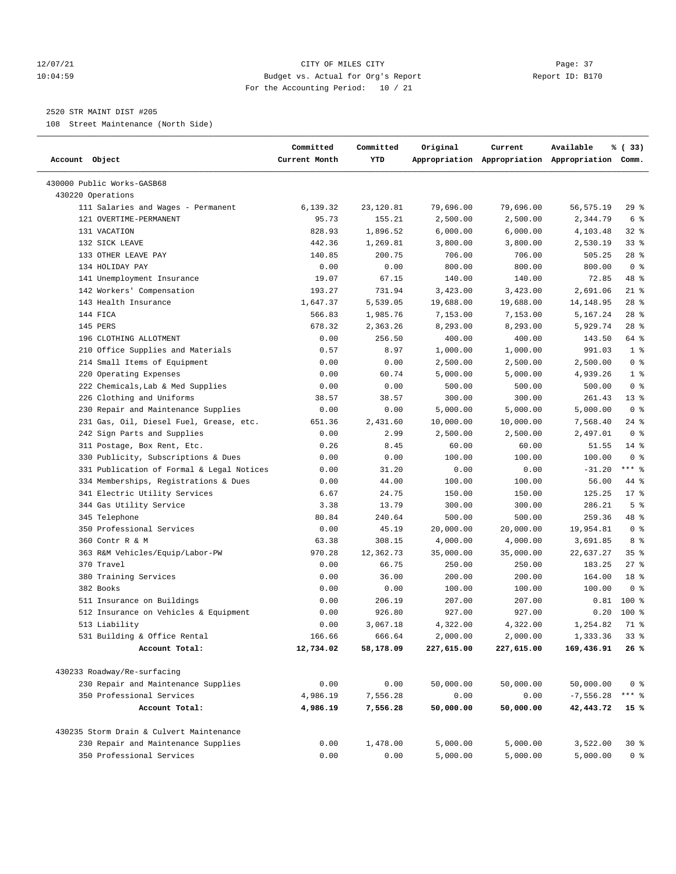# 12/07/21 CITY OF MILES CITY Page: 37 10:04:59 Budget vs. Actual for Org's Report Report ID: B170 For the Accounting Period: 10 / 21

# 2520 STR MAINT DIST #205

108 Street Maintenance (North Side)

| Account Object                            | Committed<br>Current Month | Committed<br>YTD | Original   | Current    | Available<br>Appropriation Appropriation Appropriation Comm. | % (33)          |
|-------------------------------------------|----------------------------|------------------|------------|------------|--------------------------------------------------------------|-----------------|
| 430000 Public Works-GASB68                |                            |                  |            |            |                                                              |                 |
| 430220 Operations                         |                            |                  |            |            |                                                              |                 |
| 111 Salaries and Wages - Permanent        | 6,139.32                   | 23,120.81        | 79,696.00  | 79,696.00  | 56,575.19                                                    | 29 %            |
| 121 OVERTIME-PERMANENT                    | 95.73                      | 155.21           | 2,500.00   | 2,500.00   | 2,344.79                                                     | 6 %             |
| 131 VACATION                              | 828.93                     | 1,896.52         | 6,000.00   | 6,000.00   | 4,103.48                                                     | $32$ $%$        |
| 132 SICK LEAVE                            | 442.36                     | 1,269.81         | 3,800.00   | 3,800.00   | 2,530.19                                                     | $33$ $%$        |
| 133 OTHER LEAVE PAY                       | 140.85                     | 200.75           | 706.00     | 706.00     | 505.25                                                       | $28$ %          |
| 134 HOLIDAY PAY                           | 0.00                       | 0.00             | 800.00     | 800.00     | 800.00                                                       | 0 <sup>8</sup>  |
| 141 Unemployment Insurance                | 19.07                      | 67.15            | 140.00     | 140.00     | 72.85                                                        | 48 %            |
| 142 Workers' Compensation                 | 193.27                     | 731.94           | 3,423.00   | 3,423.00   | 2,691.06                                                     | $21$ %          |
| 143 Health Insurance                      | 1,647.37                   | 5,539.05         | 19,688.00  | 19,688.00  | 14,148.95                                                    | $28$ %          |
| 144 FICA                                  | 566.83                     | 1,985.76         | 7,153.00   | 7,153.00   | 5,167.24                                                     | $28$ %          |
| 145 PERS                                  | 678.32                     | 2,363.26         | 8,293.00   | 8,293.00   | 5,929.74                                                     | $28$ %          |
| 196 CLOTHING ALLOTMENT                    | 0.00                       | 256.50           | 400.00     | 400.00     | 143.50                                                       | 64 %            |
| 210 Office Supplies and Materials         | 0.57                       | 8.97             | 1,000.00   | 1,000.00   | 991.03                                                       | 1 <sup>8</sup>  |
| 214 Small Items of Equipment              | 0.00                       | 0.00             | 2,500.00   | 2,500.00   | 2,500.00                                                     | 0 <sup>8</sup>  |
| 220 Operating Expenses                    | 0.00                       | 60.74            | 5,000.00   | 5,000.00   | 4,939.26                                                     | 1 <sup>8</sup>  |
| 222 Chemicals, Lab & Med Supplies         | 0.00                       | 0.00             | 500.00     | 500.00     | 500.00                                                       | 0 <sup>8</sup>  |
| 226 Clothing and Uniforms                 | 38.57                      | 38.57            | 300.00     | 300.00     | 261.43                                                       | $13*$           |
| 230 Repair and Maintenance Supplies       | 0.00                       | 0.00             | 5,000.00   | 5,000.00   | 5,000.00                                                     | 0 <sup>8</sup>  |
| 231 Gas, Oil, Diesel Fuel, Grease, etc.   | 651.36                     | 2,431.60         | 10,000.00  | 10,000.00  | 7,568.40                                                     | $24$ %          |
| 242 Sign Parts and Supplies               | 0.00                       | 2.99             | 2,500.00   | 2,500.00   | 2,497.01                                                     | 0 <sup>8</sup>  |
| 311 Postage, Box Rent, Etc.               | 0.26                       | 8.45             | 60.00      | 60.00      | 51.55                                                        | $14$ %          |
| 330 Publicity, Subscriptions & Dues       | 0.00                       | 0.00             | 100.00     | 100.00     | 100.00                                                       | 0 <sup>8</sup>  |
| 331 Publication of Formal & Legal Notices | 0.00                       | 31.20            | 0.00       | 0.00       | $-31.20$                                                     | $***$ $-$       |
| 334 Memberships, Registrations & Dues     | 0.00                       | 44.00            | 100.00     | 100.00     | 56.00                                                        | 44 %            |
| 341 Electric Utility Services             | 6.67                       | 24.75            | 150.00     | 150.00     | 125.25                                                       | $17*$           |
| 344 Gas Utility Service                   | 3.38                       | 13.79            | 300.00     | 300.00     | 286.21                                                       | 5 <sup>8</sup>  |
| 345 Telephone                             | 80.84                      | 240.64           | 500.00     | 500.00     | 259.36                                                       | 48 %            |
| 350 Professional Services                 | 0.00                       | 45.19            | 20,000.00  | 20,000.00  | 19,954.81                                                    | 0 <sup>8</sup>  |
| 360 Contr R & M                           | 63.38                      | 308.15           | 4,000.00   | 4,000.00   | 3,691.85                                                     | 8 %             |
| 363 R&M Vehicles/Equip/Labor-PW           | 970.28                     | 12,362.73        | 35,000.00  | 35,000.00  | 22,637.27                                                    | 35 <sup>8</sup> |
| 370 Travel                                | 0.00                       | 66.75            | 250.00     | 250.00     | 183.25                                                       | $27$ %          |
| 380 Training Services                     | 0.00                       | 36.00            | 200.00     | 200.00     | 164.00                                                       | 18 <sup>8</sup> |
| 382 Books                                 | 0.00                       | 0.00             | 100.00     | 100.00     | 100.00                                                       | 0 <sup>8</sup>  |
| 511 Insurance on Buildings                | 0.00                       | 206.19           | 207.00     | 207.00     | 0.81                                                         | 100 %           |
| 512 Insurance on Vehicles & Equipment     | 0.00                       | 926.80           | 927.00     | 927.00     | 0.20                                                         | $100$ %         |
| 513 Liability                             | 0.00                       | 3,067.18         | 4,322.00   | 4,322.00   | 1,254.82                                                     | 71 %            |
| 531 Building & Office Rental              | 166.66                     | 666.64           | 2,000.00   | 2,000.00   | 1,333.36                                                     | 33%             |
| Account Total:                            | 12,734.02                  | 58,178.09        | 227,615.00 | 227,615.00 | 169,436.91                                                   | 26%             |
| 430233 Roadway/Re-surfacing               |                            |                  |            |            |                                                              |                 |
| 230 Repair and Maintenance Supplies       | 0.00                       | 0.00             | 50,000.00  | 50,000.00  | 50,000.00                                                    | 0 <sup>8</sup>  |
| 350 Professional Services                 | 4,986.19                   | 7,556.28         | 0.00       | 0.00       | $-7,556.28$                                                  | $***$ $_{8}$    |
| Account Total:                            | 4,986.19                   | 7,556.28         | 50,000.00  | 50,000.00  | 42,443.72                                                    | 15 %            |
|                                           |                            |                  |            |            |                                                              |                 |
| 430235 Storm Drain & Culvert Maintenance  |                            |                  |            |            |                                                              |                 |
| 230 Repair and Maintenance Supplies       | 0.00                       | 1,478.00         | 5,000.00   | 5,000.00   | 3,522.00                                                     | $30*$           |
| 350 Professional Services                 | 0.00                       | 0.00             | 5,000.00   | 5,000.00   | 5,000.00                                                     | 0 <sup>8</sup>  |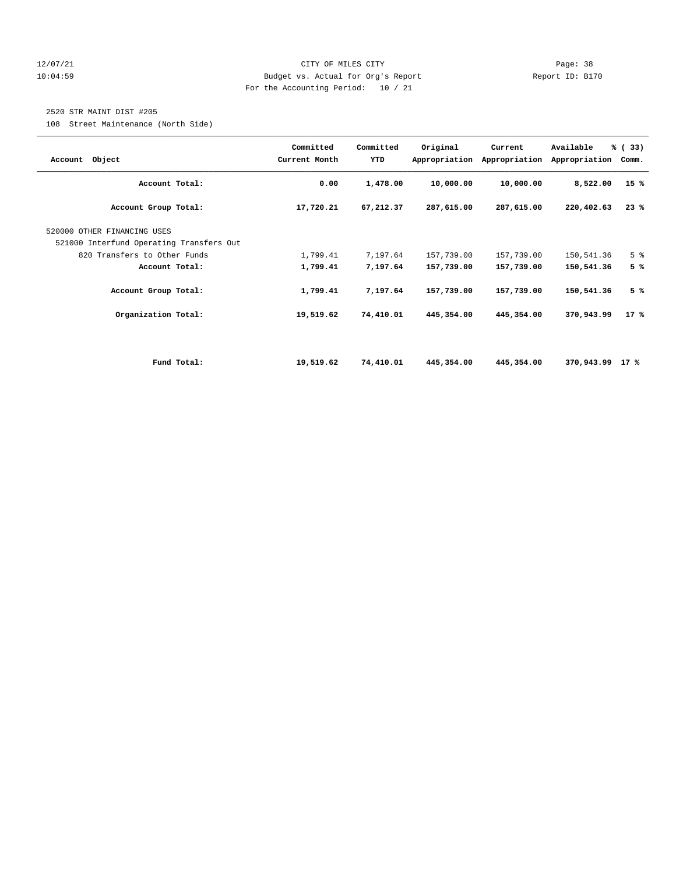# 12/07/21 CITY OF MILES CITY Page: 38 10:04:59 Budget vs. Actual for Org's Report Report ID: B170 For the Accounting Period: 10 / 21

# 2520 STR MAINT DIST #205

108 Street Maintenance (North Side)

| Account Object                                                          | Committed<br>Current Month | Committed<br>YTD | Original   | Current<br>Appropriation Appropriation | Available<br>Appropriation | % (33)<br>Comm. |
|-------------------------------------------------------------------------|----------------------------|------------------|------------|----------------------------------------|----------------------------|-----------------|
| Account Total:                                                          | 0.00                       | 1,478.00         | 10,000.00  | 10,000.00                              | 8,522.00                   | 15%             |
| Account Group Total:                                                    | 17,720.21                  | 67,212.37        | 287,615.00 | 287,615.00                             | 220,402.63                 | 23%             |
| 520000 OTHER FINANCING USES<br>521000 Interfund Operating Transfers Out |                            |                  |            |                                        |                            |                 |
| 820 Transfers to Other Funds                                            | 1,799.41                   | 7,197.64         | 157,739.00 | 157,739.00                             | 150,541.36                 | 5 <sup>8</sup>  |
| Account Total:                                                          | 1,799.41                   | 7,197.64         | 157,739.00 | 157,739.00                             | 150,541.36                 | 5%              |
| Account Group Total:                                                    | 1,799.41                   | 7,197.64         | 157,739.00 | 157,739.00                             | 150,541.36                 | 5%              |
| Organization Total:                                                     | 19,519.62                  | 74,410.01        | 445,354.00 | 445,354.00                             | 370,943.99                 | $17*$           |
|                                                                         |                            |                  |            |                                        |                            |                 |
| Fund Total:                                                             | 19,519.62                  | 74,410.01        | 445,354.00 | 445,354.00                             | 370,943.99                 | 17 %            |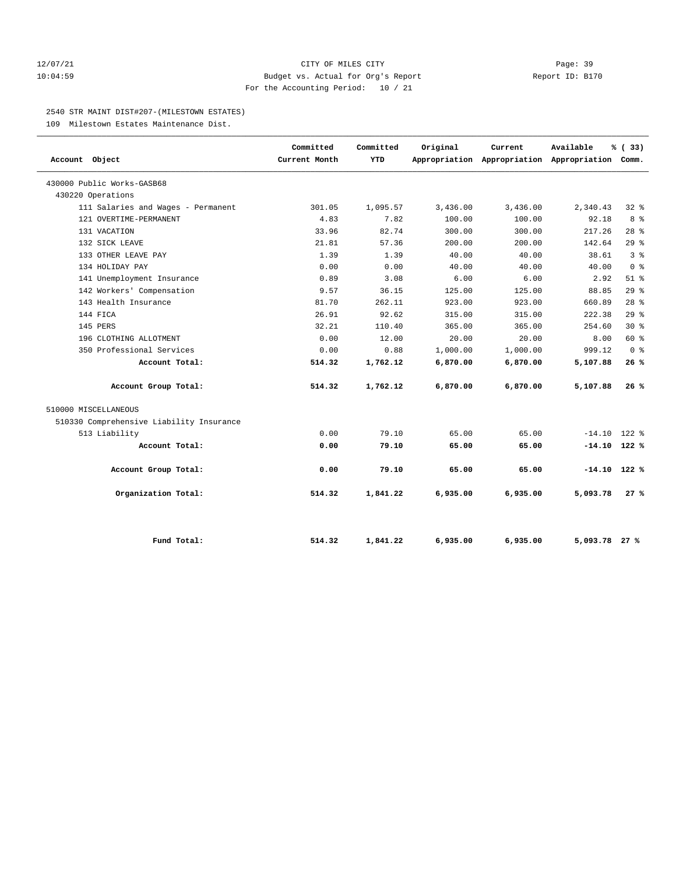# 12/07/21 CITY OF MILES CITY Page: 39 10:04:59 Budget vs. Actual for Org's Report Report ID: B170 For the Accounting Period: 10 / 21

#### 2540 STR MAINT DIST#207-(MILESTOWN ESTATES)

109 Milestown Estates Maintenance Dist.

| Account Object                           | Committed<br>Current Month | Committed<br><b>YTD</b> | Original | Current<br>Appropriation Appropriation Appropriation Comm. | Available      | % (33)         |
|------------------------------------------|----------------------------|-------------------------|----------|------------------------------------------------------------|----------------|----------------|
| 430000 Public Works-GASB68               |                            |                         |          |                                                            |                |                |
| 430220 Operations                        |                            |                         |          |                                                            |                |                |
| 111 Salaries and Wages - Permanent       | 301.05                     | 1,095.57                | 3,436.00 | 3,436.00                                                   | 2,340.43       | 328            |
| 121 OVERTIME-PERMANENT                   | 4.83                       | 7.82                    | 100.00   | 100.00                                                     | 92.18          | 8 %            |
| 131 VACATION                             | 33.96                      | 82.74                   | 300.00   | 300.00                                                     | 217.26         | $28$ %         |
| 132 SICK LEAVE                           | 21.81                      | 57.36                   | 200.00   | 200.00                                                     | 142.64         | 29%            |
| 133 OTHER LEAVE PAY                      | 1.39                       | 1.39                    | 40.00    | 40.00                                                      | 38.61          | 3 <sup>8</sup> |
| 134 HOLIDAY PAY                          | 0.00                       | 0.00                    | 40.00    | 40.00                                                      | 40.00          | 0 <sup>8</sup> |
| 141 Unemployment Insurance               | 0.89                       | 3.08                    | 6.00     | 6.00                                                       | 2.92           | $51$ %         |
| 142 Workers' Compensation                | 9.57                       | 36.15                   | 125.00   | 125.00                                                     | 88.85          | 29%            |
| 143 Health Insurance                     | 81.70                      | 262.11                  | 923.00   | 923.00                                                     | 660.89         | $28$ $%$       |
| 144 FICA                                 | 26.91                      | 92.62                   | 315.00   | 315.00                                                     | 222.38         | $29*$          |
| 145 PERS                                 | 32.21                      | 110.40                  | 365.00   | 365.00                                                     | 254.60         | $30*$          |
| 196 CLOTHING ALLOTMENT                   | 0.00                       | 12.00                   | 20.00    | 20.00                                                      | 8.00           | 60 %           |
| 350 Professional Services                | 0.00                       | 0.88                    | 1,000.00 | 1,000.00                                                   | 999.12         | 0 <sup>8</sup> |
| Account Total:                           | 514.32                     | 1,762.12                | 6,870.00 | 6,870.00                                                   | 5,107.88       | 26%            |
| Account Group Total:                     | 514.32                     | 1,762.12                | 6,870.00 | 6,870.00                                                   | 5,107.88       | 26%            |
| 510000 MISCELLANEOUS                     |                            |                         |          |                                                            |                |                |
| 510330 Comprehensive Liability Insurance |                            |                         |          |                                                            |                |                |
| 513 Liability                            | 0.00                       | 79.10                   | 65.00    | 65.00                                                      | $-14.10$       | $122$ %        |
| Account Total:                           | 0.00                       | 79.10                   | 65.00    | 65.00                                                      | $-14.10$ 122 % |                |
| Account Group Total:                     | 0.00                       | 79.10                   | 65.00    | 65.00                                                      | $-14.10$ 122 % |                |
| Organization Total:                      | 514.32                     | 1,841.22                | 6,935.00 | 6,935.00                                                   | 5,093.78       | 27%            |
| Fund Total:                              | 514.32                     | 1,841.22                | 6,935.00 | 6,935.00                                                   | 5,093.78 27 %  |                |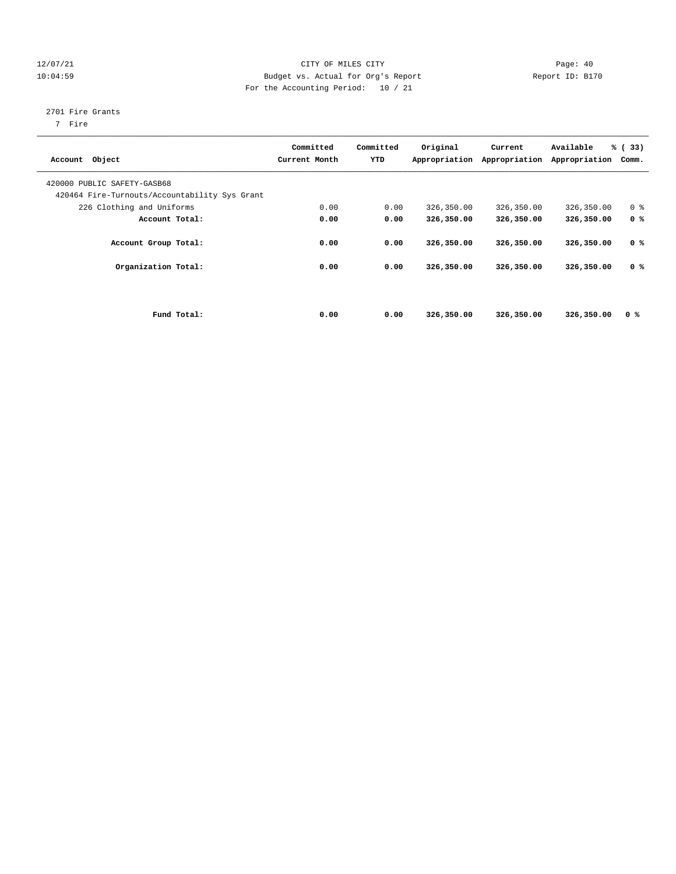# 12/07/21 CITY OF MILES CITY Page: 40 10:04:59 Budget vs. Actual for Org's Report Report ID: B170 For the Accounting Period: 10 / 21

# 2701 Fire Grants

7 Fire

| Account Object                                                               | Committed<br>Current Month | Committed<br>YTD | Original<br>Appropriation | Current<br>Appropriation | Available<br>Appropriation | % (33)<br>Comm. |  |
|------------------------------------------------------------------------------|----------------------------|------------------|---------------------------|--------------------------|----------------------------|-----------------|--|
| 420000 PUBLIC SAFETY-GASB68<br>420464 Fire-Turnouts/Accountability Sys Grant |                            |                  |                           |                          |                            |                 |  |
| 226 Clothing and Uniforms                                                    | 0.00                       | 0.00             | 326,350.00                | 326,350.00               | 326,350.00                 | 0 <sup>8</sup>  |  |
| Account Total:                                                               | 0.00                       | 0.00             | 326,350.00                | 326,350.00               | 326,350.00                 | 0 <sup>8</sup>  |  |
| Account Group Total:                                                         | 0.00                       | 0.00             | 326,350.00                | 326,350.00               | 326,350.00                 | 0 <sup>8</sup>  |  |
| Organization Total:                                                          | 0.00                       | 0.00             | 326,350.00                | 326,350.00               | 326,350.00                 | 0 <sup>8</sup>  |  |
|                                                                              |                            |                  |                           |                          |                            |                 |  |
| Fund Total:                                                                  | 0.00                       | 0.00             | 326,350.00                | 326,350.00               | 326,350.00                 | 0 <sup>8</sup>  |  |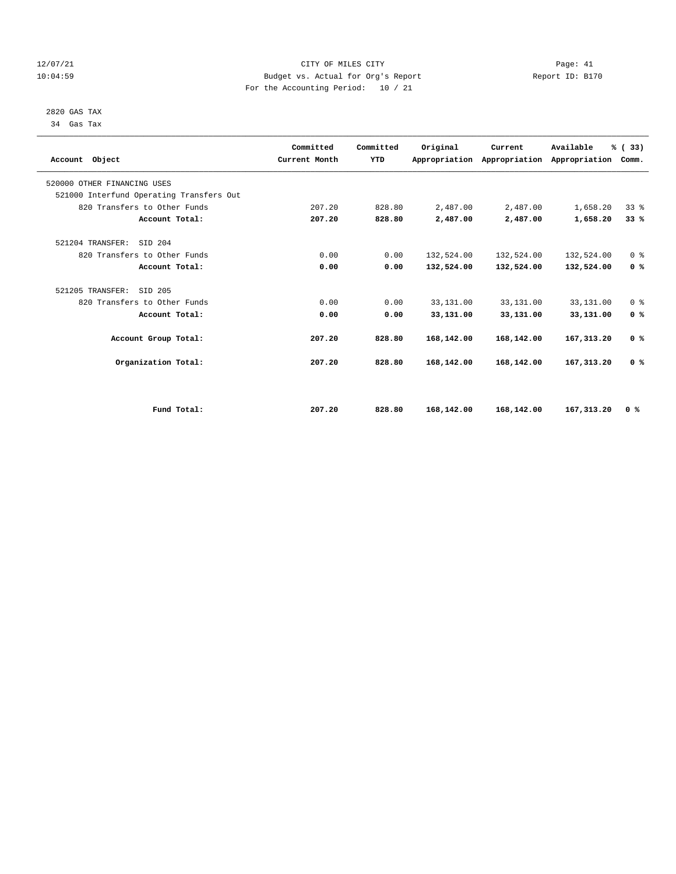# 12/07/21 CITY OF MILES CITY Page: 41 10:04:59 Budget vs. Actual for Org's Report Report ID: B170 For the Accounting Period: 10 / 21

 2820 GAS TAX 34 Gas Tax

| Account Object                           | Committed<br>Current Month | Committed<br><b>YTD</b> | Original   | Current<br>Appropriation Appropriation | Available<br>Appropriation | % (33)<br>Comm. |  |
|------------------------------------------|----------------------------|-------------------------|------------|----------------------------------------|----------------------------|-----------------|--|
| 520000 OTHER FINANCING USES              |                            |                         |            |                                        |                            |                 |  |
| 521000 Interfund Operating Transfers Out |                            |                         |            |                                        |                            |                 |  |
| 820 Transfers to Other Funds             | 207.20                     | 828.80                  | 2,487.00   | 2,487.00                               | 1,658.20                   | 338             |  |
| Account Total:                           | 207.20                     | 828.80                  | 2,487.00   | 2,487.00                               | 1,658.20                   | 33%             |  |
| SID 204<br>521204 TRANSFER:              |                            |                         |            |                                        |                            |                 |  |
| 820 Transfers to Other Funds             | 0.00                       | 0.00                    | 132,524.00 | 132,524.00                             | 132,524.00                 | 0 <sup>8</sup>  |  |
| Account Total:                           | 0.00                       | 0.00                    | 132,524.00 | 132,524.00                             | 132,524.00                 | 0 <sup>8</sup>  |  |
| 521205 TRANSFER:<br>SID 205              |                            |                         |            |                                        |                            |                 |  |
| 820 Transfers to Other Funds             | 0.00                       | 0.00                    | 33,131.00  | 33,131.00                              | 33,131.00                  | 0 <sup>8</sup>  |  |
| Account Total:                           | 0.00                       | 0.00                    | 33,131.00  | 33,131.00                              | 33,131.00                  | 0 <sup>8</sup>  |  |
| Account Group Total:                     | 207.20                     | 828.80                  | 168,142.00 | 168,142.00                             | 167, 313, 20               | 0 <sup>8</sup>  |  |
| Organization Total:                      | 207.20                     | 828.80                  | 168,142.00 | 168,142.00                             | 167, 313.20                | 0 <sup>8</sup>  |  |
|                                          |                            |                         |            |                                        |                            |                 |  |
| Fund Total:                              | 207.20                     | 828.80                  | 168,142.00 | 168,142.00                             | 167, 313, 20               | 0 <sup>8</sup>  |  |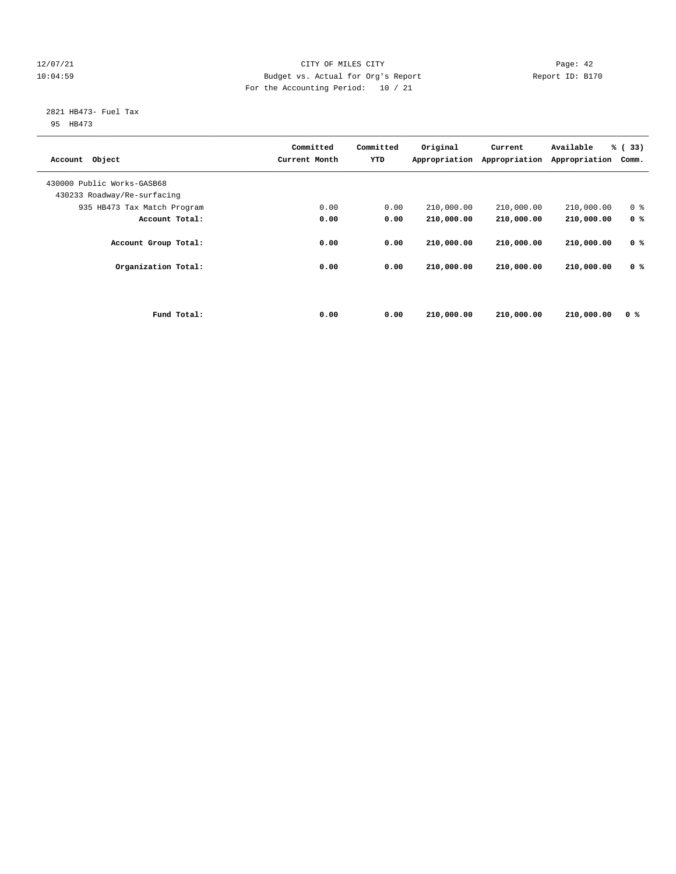# 12/07/21 CITY OF MILES CITY Page: 42 10:04:59 Budget vs. Actual for Org's Report Report ID: B170 For the Accounting Period: 10 / 21

# 2821 HB473- Fuel Tax

95 HB473

| Object<br>Account           |             | Committed<br>Current Month | Committed<br>YTD | Original<br>Appropriation | Current<br>Appropriation | Available<br>Appropriation | % (33)<br>Comm. |
|-----------------------------|-------------|----------------------------|------------------|---------------------------|--------------------------|----------------------------|-----------------|
| 430000 Public Works-GASB68  |             |                            |                  |                           |                          |                            |                 |
| 430233 Roadway/Re-surfacing |             | 0.00                       | 0.00             | 210,000.00                | 210,000.00               | 210,000.00                 | 0 <sup>8</sup>  |
| 935 HB473 Tax Match Program |             |                            |                  |                           |                          |                            |                 |
| Account Total:              |             | 0.00                       | 0.00             | 210,000.00                | 210,000.00               | 210,000.00                 | 0 <sup>8</sup>  |
| Account Group Total:        |             | 0.00                       | 0.00             | 210,000.00                | 210,000.00               | 210,000.00                 | 0 <sup>8</sup>  |
| Organization Total:         |             | 0.00                       | 0.00             | 210,000.00                | 210,000.00               | 210,000.00                 | 0 <sup>8</sup>  |
|                             | Fund Total: | 0.00                       | 0.00             | 210,000.00                | 210,000.00               | 210,000.00                 | 0 %             |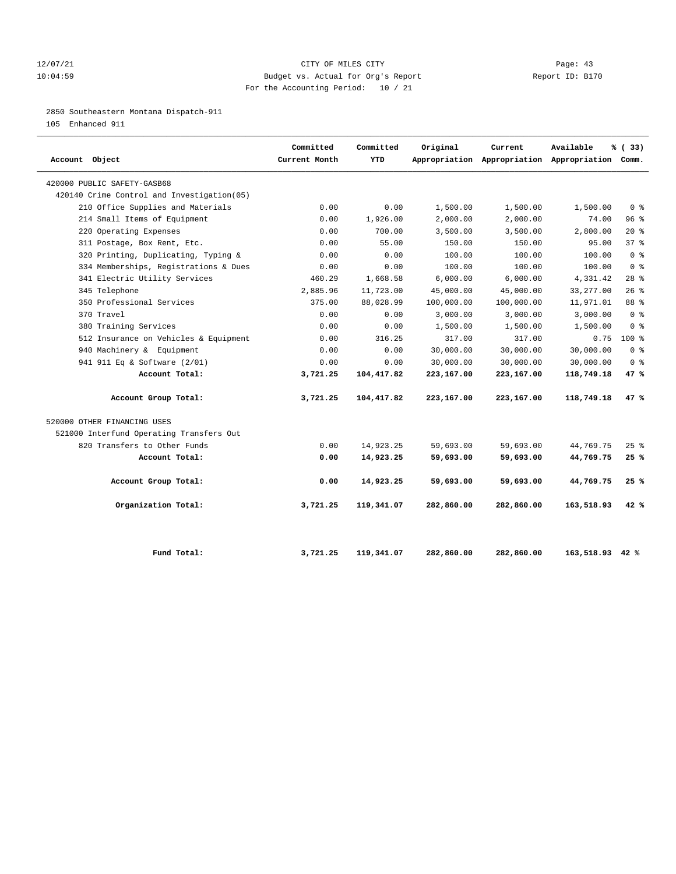# 12/07/21 CITY OF MILES CITY Page: 43 10:04:59 Budget vs. Actual for Org's Report Report ID: B170 For the Accounting Period: 10 / 21

2850 Southeastern Montana Dispatch-911

105 Enhanced 911

| Account Object                              | Committed<br>Current Month | Committed<br><b>YTD</b> | Original   | Current    | Available<br>Appropriation Appropriation Appropriation Comm. | % (33)         |
|---------------------------------------------|----------------------------|-------------------------|------------|------------|--------------------------------------------------------------|----------------|
| 420000 PUBLIC SAFETY-GASB68                 |                            |                         |            |            |                                                              |                |
| 420140 Crime Control and Investigation (05) |                            |                         |            |            |                                                              |                |
| 210 Office Supplies and Materials           | 0.00                       | 0.00                    | 1,500.00   | 1,500.00   | 1,500.00                                                     | 0 <sup>8</sup> |
| 214 Small Items of Equipment                | 0.00                       | 1,926.00                | 2,000.00   | 2,000.00   | 74.00                                                        | 96%            |
| 220 Operating Expenses                      | 0.00                       | 700.00                  | 3,500.00   | 3,500.00   | 2,800.00                                                     | $20*$          |
| 311 Postage, Box Rent, Etc.                 | 0.00                       | 55.00                   | 150.00     | 150.00     | 95.00                                                        | 37%            |
| 320 Printing, Duplicating, Typing &         | 0.00                       | 0.00                    | 100.00     | 100.00     | 100.00                                                       | 0 <sup>8</sup> |
| 334 Memberships, Registrations & Dues       | 0.00                       | 0.00                    | 100.00     | 100.00     | 100.00                                                       | 0 <sup>8</sup> |
| 341 Electric Utility Services               | 460.29                     | 1,668.58                | 6,000.00   | 6,000.00   | 4,331.42                                                     | $28$ %         |
| 345 Telephone                               | 2,885.96                   | 11,723.00               | 45,000.00  | 45,000.00  | 33, 277.00                                                   | 26%            |
| 350 Professional Services                   | 375.00                     | 88,028.99               | 100,000.00 | 100,000.00 | 11,971.01                                                    | 88 %           |
| 370 Travel                                  | 0.00                       | 0.00                    | 3,000.00   | 3,000.00   | 3,000.00                                                     | 0 <sup>8</sup> |
| 380 Training Services                       | 0.00                       | 0.00                    | 1,500.00   | 1,500.00   | 1,500.00                                                     | 0 <sup>8</sup> |
| 512 Insurance on Vehicles & Equipment       | 0.00                       | 316.25                  | 317.00     | 317.00     | 0.75                                                         | $100*$         |
| 940 Machinery & Equipment                   | 0.00                       | 0.00                    | 30,000.00  | 30,000.00  | 30,000.00                                                    | 0 <sup>8</sup> |
| 941 911 Eq & Software (2/01)                | 0.00                       | 0.00                    | 30,000.00  | 30,000.00  | 30,000.00                                                    | 0 <sup>8</sup> |
| Account Total:                              | 3,721.25                   | 104,417.82              | 223,167.00 | 223,167.00 | 118,749.18                                                   | 47%            |
| Account Group Total:                        | 3,721.25                   | 104,417.82              | 223,167.00 | 223,167.00 | 118,749.18                                                   | 47%            |
| 520000 OTHER FINANCING USES                 |                            |                         |            |            |                                                              |                |
| 521000 Interfund Operating Transfers Out    |                            |                         |            |            |                                                              |                |
| 820 Transfers to Other Funds                | 0.00                       | 14,923.25               | 59,693.00  | 59,693.00  | 44,769.75                                                    | $25$ $%$       |
| Account Total:                              | 0.00                       | 14,923.25               | 59,693.00  | 59,693.00  | 44,769.75                                                    | 25%            |
| Account Group Total:                        | 0.00                       | 14,923.25               | 59,693.00  | 59,693.00  | 44,769.75                                                    | 25%            |
| Organization Total:                         | 3,721.25                   | 119,341.07              | 282,860.00 | 282,860.00 | 163,518.93                                                   | 42%            |
| Fund Total:                                 | 3,721.25                   | 119,341.07              | 282,860.00 | 282,860.00 | 163,518.93 42 %                                              |                |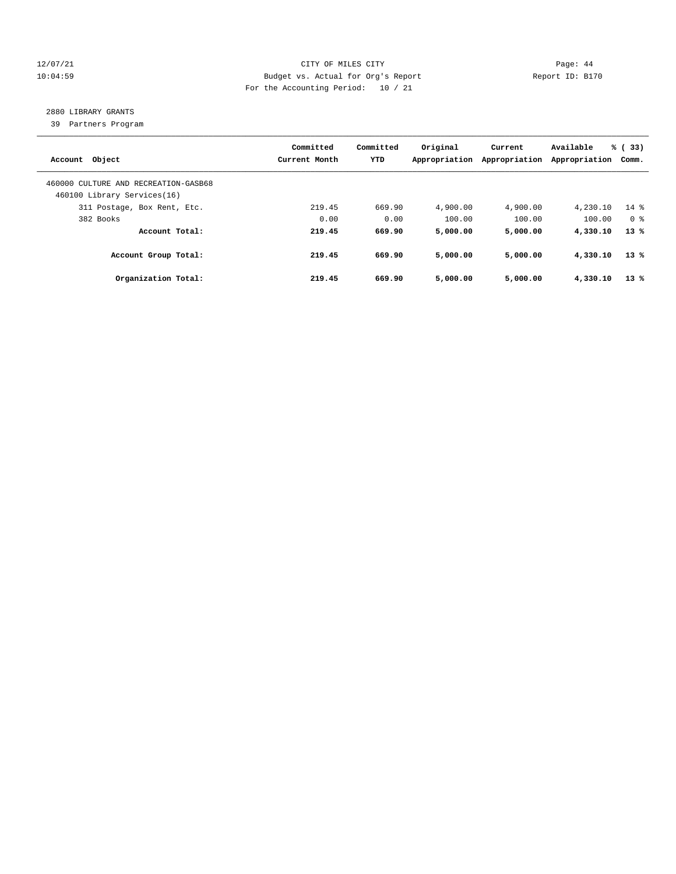# 12/07/21 CITY OF MILES CITY Page: 44 10:04:59 Budget vs. Actual for Org's Report Report ID: B170 For the Accounting Period: 10 / 21

# 2880 LIBRARY GRANTS

39 Partners Program

| Account Object                                                      | Committed<br>Current Month | Committed<br><b>YTD</b> | Original<br>Appropriation | Current<br>Appropriation | Available<br>Appropriation | % (33)<br>Comm. |
|---------------------------------------------------------------------|----------------------------|-------------------------|---------------------------|--------------------------|----------------------------|-----------------|
| 460000 CULTURE AND RECREATION-GASB68<br>460100 Library Services(16) |                            |                         |                           |                          |                            |                 |
| 311 Postage, Box Rent, Etc.                                         | 219.45                     | 669.90                  | 4,900.00                  | 4,900.00                 | 4,230.10                   | $14*$           |
| 382 Books                                                           | 0.00                       | 0.00                    | 100.00                    | 100.00                   | 100.00                     | 0 <sup>8</sup>  |
| Account Total:                                                      | 219.45                     | 669.90                  | 5,000.00                  | 5,000.00                 | 4,330.10                   | $13*$           |
| Account Group Total:                                                | 219.45                     | 669.90                  | 5,000.00                  | 5,000.00                 | 4,330.10                   | $13*$           |
| Organization Total:                                                 | 219.45                     | 669.90                  | 5,000.00                  | 5,000.00                 | 4,330.10                   | $13*$           |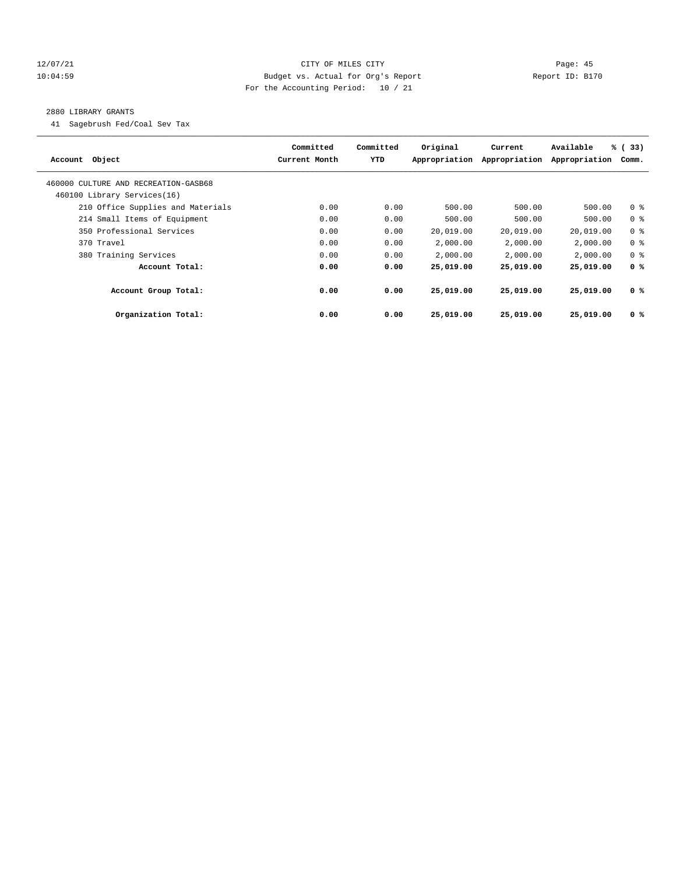# 12/07/21 CITY OF MILES CITY Page: 45 10:04:59 Budget vs. Actual for Org's Report Report ID: B170 For the Accounting Period: 10 / 21

#### 2880 LIBRARY GRANTS

41 Sagebrush Fed/Coal Sev Tax

| Account Object                       | Committed<br>Current Month | Committed<br>YTD | Original<br>Appropriation | Current<br>Appropriation | Available<br>Appropriation | % (33)<br>Comm. |
|--------------------------------------|----------------------------|------------------|---------------------------|--------------------------|----------------------------|-----------------|
| 460000 CULTURE AND RECREATION-GASB68 |                            |                  |                           |                          |                            |                 |
| 460100 Library Services(16)          |                            |                  |                           |                          |                            |                 |
| 210 Office Supplies and Materials    | 0.00                       | 0.00             | 500.00                    | 500.00                   | 500.00                     | 0 <sup>8</sup>  |
| 214 Small Items of Equipment         | 0.00                       | 0.00             | 500.00                    | 500.00                   | 500.00                     | 0 <sup>8</sup>  |
| 350 Professional Services            | 0.00                       | 0.00             | 20,019.00                 | 20,019.00                | 20,019.00                  | 0 <sup>8</sup>  |
| 370 Travel                           | 0.00                       | 0.00             | 2,000.00                  | 2,000.00                 | 2,000.00                   | 0 <sup>8</sup>  |
| 380 Training Services                | 0.00                       | 0.00             | 2,000.00                  | 2,000.00                 | 2,000.00                   | 0 <sup>8</sup>  |
| Account Total:                       | 0.00                       | 0.00             | 25,019.00                 | 25,019.00                | 25,019.00                  | 0 <sup>8</sup>  |
| Account Group Total:                 | 0.00                       | 0.00             | 25,019.00                 | 25,019.00                | 25,019,00                  | 0 <sup>8</sup>  |
| Organization Total:                  | 0.00                       | 0.00             | 25,019.00                 | 25,019.00                | 25,019.00                  | 0 <sup>8</sup>  |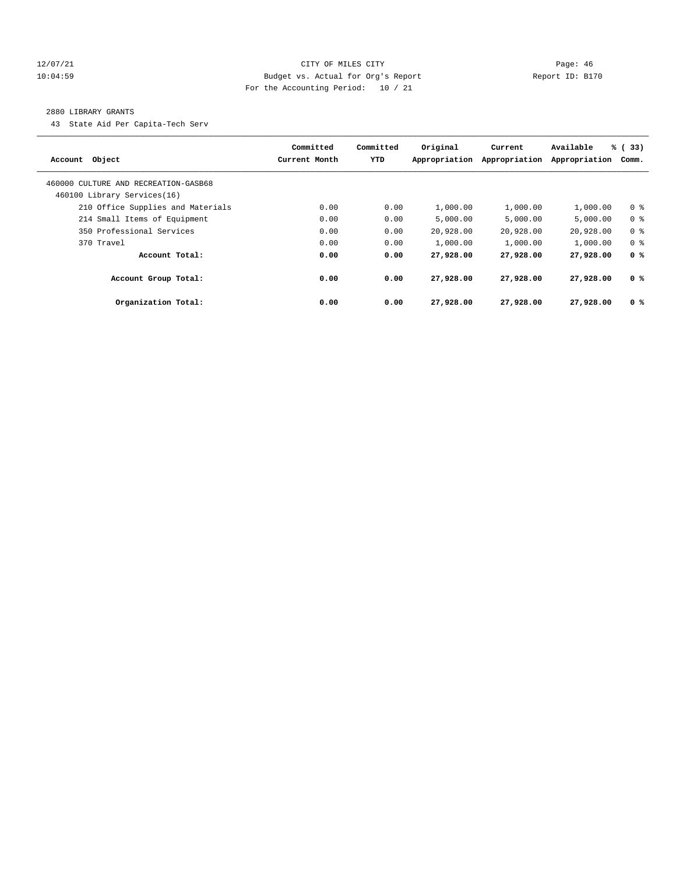# 12/07/21 CITY OF MILES CITY Page: 46 10:04:59 Budget vs. Actual for Org's Report Report ID: B170 For the Accounting Period: 10 / 21

#### 2880 LIBRARY GRANTS

43 State Aid Per Capita-Tech Serv

| Account Object                       | Committed<br>Current Month | Committed<br><b>YTD</b> | Original<br>Appropriation | Current<br>Appropriation | Available<br>Appropriation | % (33)<br>Comm. |
|--------------------------------------|----------------------------|-------------------------|---------------------------|--------------------------|----------------------------|-----------------|
| 460000 CULTURE AND RECREATION-GASB68 |                            |                         |                           |                          |                            |                 |
| 460100 Library Services(16)          |                            |                         |                           |                          |                            |                 |
| 210 Office Supplies and Materials    | 0.00                       | 0.00                    | 1,000.00                  | 1,000.00                 | 1,000.00                   | 0 <sup>8</sup>  |
| 214 Small Items of Equipment         | 0.00                       | 0.00                    | 5.000.00                  | 5.000.00                 | 5.000.00                   | 0 <sup>8</sup>  |
| 350 Professional Services            | 0.00                       | 0.00                    | 20,928.00                 | 20,928.00                | 20,928.00                  | 0 <sup>8</sup>  |
| 370 Travel                           | 0.00                       | 0.00                    | 1,000.00                  | 1,000.00                 | 1,000.00                   | 0 <sup>8</sup>  |
| Account Total:                       | 0.00                       | 0.00                    | 27,928.00                 | 27,928.00                | 27,928.00                  | 0 <sup>8</sup>  |
| Account Group Total:                 | 0.00                       | 0.00                    | 27,928.00                 | 27,928,00                | 27,928.00                  | 0 <sup>8</sup>  |
| Organization Total:                  | 0.00                       | 0.00                    | 27,928.00                 | 27,928.00                | 27,928.00                  | 0 <sup>8</sup>  |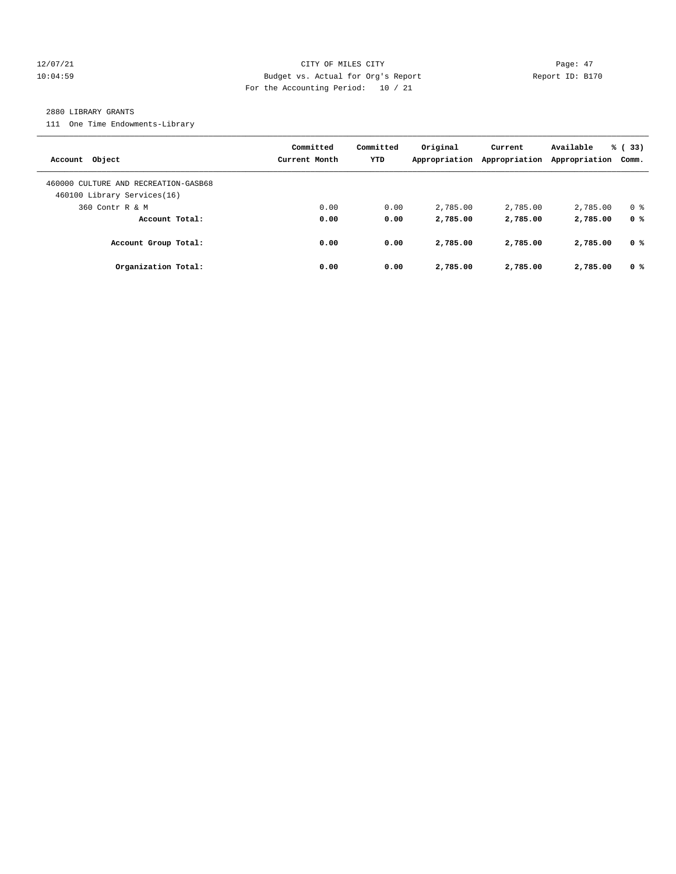# 12/07/21 CITY OF MILES CITY Page: 47 10:04:59 Budget vs. Actual for Org's Report Report ID: B170 For the Accounting Period: 10 / 21

#### 2880 LIBRARY GRANTS

111 One Time Endowments-Library

| Account Object                                                      | Committed<br>Current Month | Committed<br>YTD | Original<br>Appropriation | Current<br>Appropriation | Available<br>Appropriation | % (33)<br>Comm. |
|---------------------------------------------------------------------|----------------------------|------------------|---------------------------|--------------------------|----------------------------|-----------------|
| 460000 CULTURE AND RECREATION-GASB68<br>460100 Library Services(16) |                            |                  |                           |                          |                            |                 |
| 360 Contr R & M                                                     | 0.00                       | 0.00             | 2,785.00                  | 2,785.00                 | 2,785.00                   | 0 <sup>8</sup>  |
| Account Total:                                                      | 0.00                       | 0.00             | 2,785.00                  | 2,785.00                 | 2,785.00                   | 0 <sup>8</sup>  |
| Account Group Total:                                                | 0.00                       | 0.00             | 2,785.00                  | 2,785.00                 | 2,785.00                   | 0 %             |
| Organization Total:                                                 | 0.00                       | 0.00             | 2,785.00                  | 2,785.00                 | 2,785.00                   | 0 <sup>8</sup>  |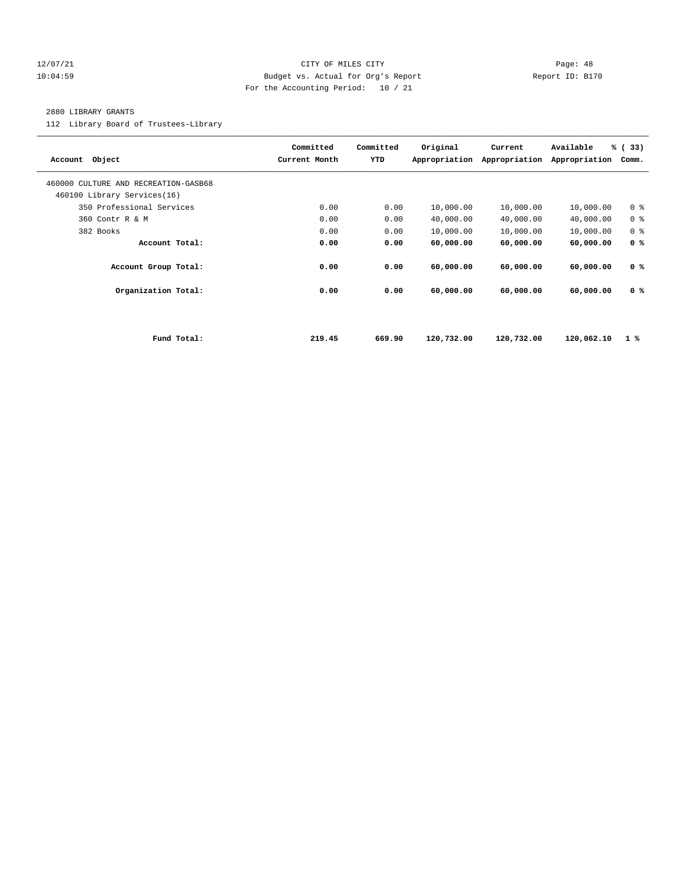# 12/07/21 CITY OF MILES CITY Page: 48 10:04:59 Budget vs. Actual for Org's Report Report ID: B170 For the Accounting Period: 10 / 21

#### 2880 LIBRARY GRANTS

112 Library Board of Trustees-Library

| Account Object                       |             | Committed<br>Current Month | Committed<br>YTD | Original<br>Appropriation | Current<br>Appropriation | Available<br>Appropriation | % (33)<br>Comm. |
|--------------------------------------|-------------|----------------------------|------------------|---------------------------|--------------------------|----------------------------|-----------------|
| 460000 CULTURE AND RECREATION-GASB68 |             |                            |                  |                           |                          |                            |                 |
| 460100 Library Services(16)          |             |                            |                  |                           |                          |                            |                 |
| 350 Professional Services            |             | 0.00                       | 0.00             | 10,000.00                 | 10,000.00                | 10,000.00                  | 0 <sup>8</sup>  |
| 360 Contr R & M                      |             | 0.00                       | 0.00             | 40,000.00                 | 40,000.00                | 40,000.00                  | 0 <sup>8</sup>  |
| 382 Books                            |             | 0.00                       | 0.00             | 10,000.00                 | 10,000.00                | 10,000.00                  | 0 <sup>8</sup>  |
| Account Total:                       |             | 0.00                       | 0.00             | 60,000.00                 | 60,000.00                | 60,000.00                  | 0 <sup>8</sup>  |
| Account Group Total:                 |             | 0.00                       | 0.00             | 60,000.00                 | 60,000.00                | 60,000.00                  | 0 <sup>8</sup>  |
| Organization Total:                  |             | 0.00                       | 0.00             | 60,000.00                 | 60,000.00                | 60,000.00                  | 0 <sup>8</sup>  |
|                                      |             |                            |                  |                           |                          |                            |                 |
|                                      | Fund Total: | 219.45                     | 669.90           | 120,732.00                | 120,732.00               | 120,062.10                 | 1%              |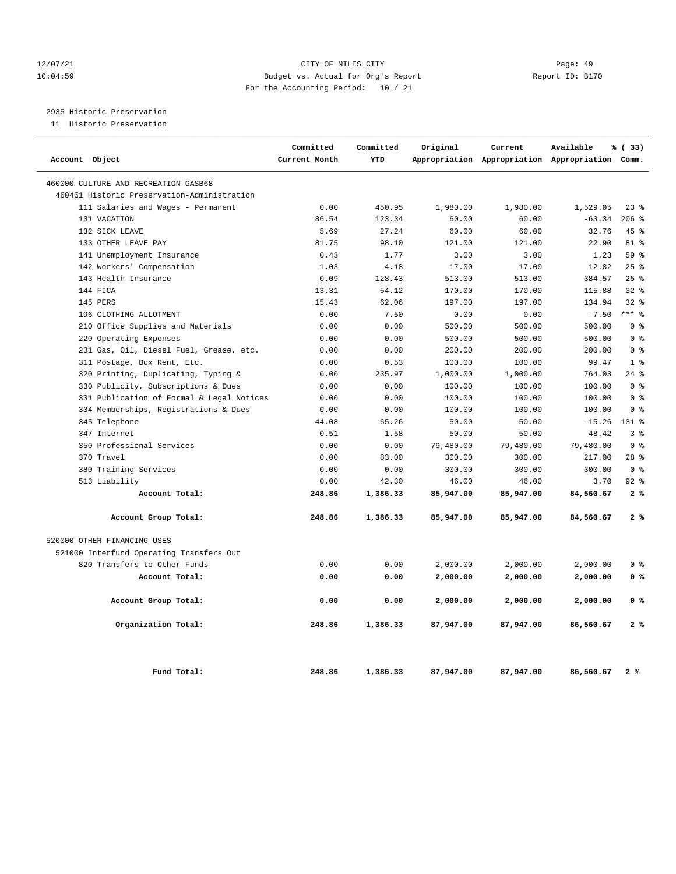# 12/07/21 CITY OF MILES CITY Page: 49 10:04:59 Budget vs. Actual for Org's Report Report ID: B170 For the Accounting Period: 10 / 21

# 2935 Historic Preservation

11 Historic Preservation

| Account Object                              | Committed<br>Current Month | Committed<br>YTD | Original  | Current   | Available<br>Appropriation Appropriation Appropriation Comm. | % (33)         |
|---------------------------------------------|----------------------------|------------------|-----------|-----------|--------------------------------------------------------------|----------------|
|                                             |                            |                  |           |           |                                                              |                |
| 460000 CULTURE AND RECREATION-GASB68        |                            |                  |           |           |                                                              |                |
| 460461 Historic Preservation-Administration |                            |                  |           |           |                                                              |                |
| 111 Salaries and Wages - Permanent          | 0.00                       | 450.95           | 1,980.00  | 1,980.00  | 1,529.05                                                     | $23$ $%$       |
| 131 VACATION                                | 86.54                      | 123.34           | 60.00     | 60.00     | $-63.34$                                                     | 206%           |
| 132 SICK LEAVE                              | 5.69                       | 27.24            | 60.00     | 60.00     | 32.76                                                        | $45*$          |
| 133 OTHER LEAVE PAY                         | 81.75                      | 98.10            | 121.00    | 121.00    | 22.90                                                        | $81*$          |
| 141 Unemployment Insurance                  | 0.43                       | 1.77             | 3.00      | 3.00      | 1.23                                                         | 59 %           |
| 142 Workers' Compensation                   | 1.03                       | 4.18             | 17.00     | 17.00     | 12.82                                                        | 25%            |
| 143 Health Insurance                        | 0.09                       | 128.43           | 513.00    | 513.00    | 384.57                                                       | $25$ %         |
| 144 FICA                                    | 13.31                      | 54.12            | 170.00    | 170.00    | 115.88                                                       | $32$ $%$       |
| 145 PERS                                    | 15.43                      | 62.06            | 197.00    | 197.00    | 134.94                                                       | $32$ $%$       |
| 196 CLOTHING ALLOTMENT                      | 0.00                       | 7.50             | 0.00      | 0.00      | $-7.50$                                                      | $***$ 8        |
| 210 Office Supplies and Materials           | 0.00                       | 0.00             | 500.00    | 500.00    | 500.00                                                       | 0 <sup>8</sup> |
| 220 Operating Expenses                      | 0.00                       | 0.00             | 500.00    | 500.00    | 500.00                                                       | 0 <sup>8</sup> |
| 231 Gas, Oil, Diesel Fuel, Grease, etc.     | 0.00                       | 0.00             | 200.00    | 200.00    | 200.00                                                       | 0 <sup>8</sup> |
| 311 Postage, Box Rent, Etc.                 | 0.00                       | 0.53             | 100.00    | 100.00    | 99.47                                                        | 1 <sup>8</sup> |
| 320 Printing, Duplicating, Typing &         | 0.00                       | 235.97           | 1,000.00  | 1,000.00  | 764.03                                                       | $24$ %         |
| Publicity, Subscriptions & Dues<br>330      | 0.00                       | 0.00             | 100.00    | 100.00    | 100.00                                                       | 0 <sup>8</sup> |
| 331 Publication of Formal & Legal Notices   | 0.00                       | 0.00             | 100.00    | 100.00    | 100.00                                                       | 0 <sup>8</sup> |
| 334 Memberships, Registrations & Dues       | 0.00                       | 0.00             | 100.00    | 100.00    | 100.00                                                       | 0 <sup>°</sup> |
| 345 Telephone                               | 44.08                      | 65.26            | 50.00     | 50.00     | $-15.26$                                                     | 131 %          |
| 347 Internet                                | 0.51                       | 1.58             | 50.00     | 50.00     | 48.42                                                        | 3 <sup>8</sup> |
| 350 Professional Services                   | 0.00                       | 0.00             | 79,480.00 | 79,480.00 | 79,480.00                                                    | 0 <sup>8</sup> |
| 370 Travel                                  | 0.00                       | 83.00            | 300.00    | 300.00    | 217.00                                                       | $28$ $%$       |
| 380 Training Services                       | 0.00                       | 0.00             | 300.00    | 300.00    | 300.00                                                       | 0 <sup>8</sup> |
| 513 Liability                               | 0.00                       | 42.30            | 46.00     | 46.00     | 3.70                                                         | $92$ %         |
| Account Total:                              | 248.86                     | 1,386.33         | 85,947.00 | 85,947.00 | 84,560.67                                                    | 2%             |
| Account Group Total:                        | 248.86                     | 1,386.33         | 85,947.00 | 85,947.00 | 84,560.67                                                    | 2%             |
| 520000 OTHER FINANCING USES                 |                            |                  |           |           |                                                              |                |
| 521000 Interfund Operating Transfers Out    |                            |                  |           |           |                                                              |                |
| 820 Transfers to Other Funds                | 0.00                       | 0.00             | 2,000.00  | 2,000.00  | 2,000.00                                                     | 0 <sup>8</sup> |
| Account Total:                              | 0.00                       | 0.00             | 2,000.00  | 2,000.00  | 2,000.00                                                     | 0 <sup>8</sup> |
| Account Group Total:                        | 0.00                       | 0.00             | 2,000.00  | 2,000.00  | 2,000.00                                                     | 0 <sup>8</sup> |
| Organization Total:                         | 248.86                     | 1,386.33         | 87,947.00 | 87,947.00 | 86,560.67                                                    | 2%             |
| Fund Total:                                 | 248.86                     | 1,386.33         | 87,947.00 | 87,947.00 | 86,560.67                                                    | 2%             |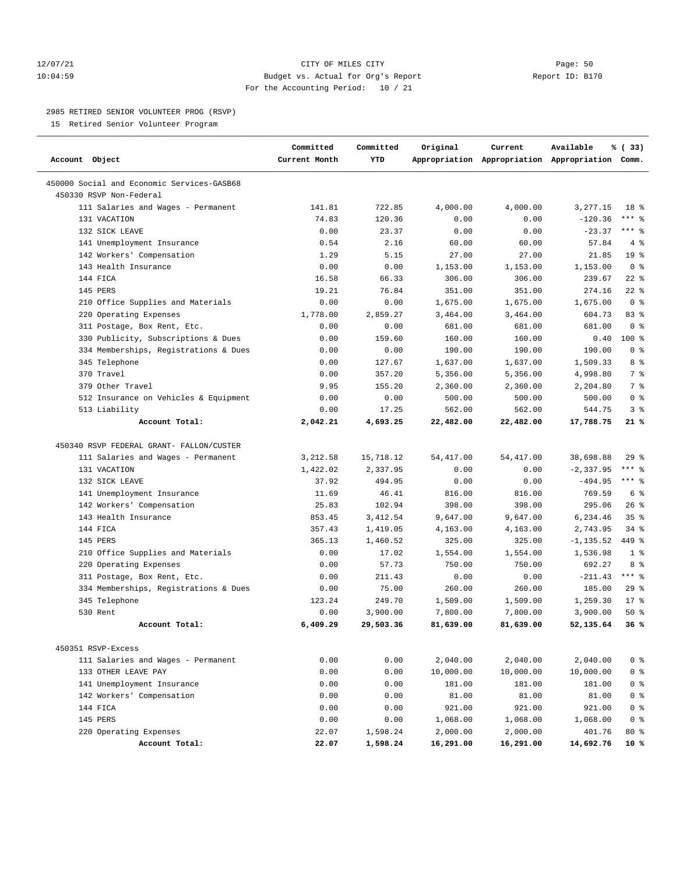# 12/07/21 CITY OF MILES CITY Page: 50 10:04:59 Budget vs. Actual for Org's Report Report ID: B170 For the Accounting Period: 10 / 21

# 2985 RETIRED SENIOR VOLUNTEER PROG (RSVP)

15 Retired Senior Volunteer Program

| Account Object                                                        | Committed<br>Current Month | Committed<br>YTD   | Original     | Current    | Available<br>Appropriation Appropriation Appropriation Comm. | % (33)          |
|-----------------------------------------------------------------------|----------------------------|--------------------|--------------|------------|--------------------------------------------------------------|-----------------|
| 450000 Social and Economic Services-GASB68<br>450330 RSVP Non-Federal |                            |                    |              |            |                                                              |                 |
| 111 Salaries and Wages - Permanent                                    | 141.81                     | 722.85             | 4,000.00     | 4,000.00   | 3,277.15                                                     | 18 %            |
| 131 VACATION                                                          | 74.83                      | 120.36             | 0.00         | 0.00       | $-120.36$                                                    | $***$ $%$       |
| 132 SICK LEAVE                                                        | 0.00                       | 23.37              | 0.00         | 0.00       | $-23.37$                                                     | $***$ $%$       |
| 141 Unemployment Insurance                                            | 0.54                       | 2.16               | 60.00        | 60.00      | 57.84                                                        | 4%              |
| 142 Workers' Compensation                                             | 1.29                       | 5.15               | 27.00        | 27.00      | 21.85                                                        | 19 <sup>°</sup> |
| 143 Health Insurance                                                  | 0.00                       | 0.00               | 1,153.00     | 1,153.00   | 1,153.00                                                     | 0 <sup>8</sup>  |
| 144 FICA                                                              | 16.58                      | 66.33              | 306.00       | 306.00     | 239.67                                                       | $22$ %          |
| 145 PERS                                                              | 19.21                      | 76.84              | 351.00       | 351.00     | 274.16                                                       | $22$ %          |
| 210 Office Supplies and Materials                                     | 0.00                       | 0.00               | 1,675.00     | 1,675.00   | 1,675.00                                                     | 0 <sup>8</sup>  |
| 220 Operating Expenses                                                | 1,778.00                   | 2,859.27           | 3,464.00     | 3,464.00   | 604.73                                                       | 83%             |
| 311 Postage, Box Rent, Etc.                                           | 0.00                       | 0.00               | 681.00       | 681.00     | 681.00                                                       | 0 <sup>8</sup>  |
| 330 Publicity, Subscriptions & Dues                                   | 0.00                       | 159.60             | 160.00       | 160.00     | 0.40                                                         | $100*$          |
| 334 Memberships, Registrations & Dues                                 | 0.00                       | 0.00               | 190.00       | 190.00     | 190.00                                                       | 0 <sup>8</sup>  |
| 345 Telephone                                                         | 0.00                       | 127.67             | 1,637.00     | 1,637.00   | 1,509.33                                                     | 8 %             |
| 370 Travel                                                            | 0.00                       | 357.20             | 5,356.00     | 5,356.00   | 4,998.80                                                     | 7 <sup>8</sup>  |
| 379 Other Travel                                                      | 9.95                       | 155.20             | 2,360.00     | 2,360.00   | 2,204.80                                                     | 7 %             |
| 512 Insurance on Vehicles & Equipment                                 | 0.00                       | 0.00               | 500.00       | 500.00     | 500.00                                                       | 0 <sup>8</sup>  |
| 513 Liability                                                         | 0.00                       | 17.25              | 562.00       | 562.00     | 544.75                                                       | 3%              |
| Account Total:                                                        | 2,042.21                   | 4,693.25           | 22,482.00    | 22,482.00  | 17,788.75                                                    | 21%             |
| 450340 RSVP FEDERAL GRANT- FALLON/CUSTER                              |                            |                    |              |            |                                                              |                 |
|                                                                       |                            |                    | 54, 417.00   | 54, 417.00 |                                                              | 29%             |
| 111 Salaries and Wages - Permanent<br>131 VACATION                    | 3,212.58                   | 15,718.12          |              | 0.00       | 38,698.88                                                    | $***$ $-$       |
| 132 SICK LEAVE                                                        | 1,422.02<br>37.92          | 2,337.95<br>494.95 | 0.00<br>0.00 | 0.00       | $-2, 337.95$<br>$-494.95$                                    | $***$ $8$       |
| 141 Unemployment Insurance                                            | 11.69                      | 46.41              | 816.00       | 816.00     | 769.59                                                       | 6 <sup>°</sup>  |
| 142 Workers' Compensation                                             | 25.83                      | 102.94             | 398.00       | 398.00     | 295.06                                                       | $26$ %          |
| 143 Health Insurance                                                  | 853.45                     | 3, 412.54          | 9,647.00     | 9,647.00   | 6,234.46                                                     | 35 <sup>8</sup> |
| 144 FICA                                                              | 357.43                     | 1,419.05           | 4,163.00     | 4,163.00   | 2,743.95                                                     | $34$ $%$        |
| 145 PERS                                                              | 365.13                     | 1,460.52           | 325.00       | 325.00     | $-1, 135.52$                                                 | 449 %           |
| 210 Office Supplies and Materials                                     | 0.00                       | 17.02              | 1,554.00     | 1,554.00   | 1,536.98                                                     | 1 <sup>8</sup>  |
| 220 Operating Expenses                                                | 0.00                       | 57.73              | 750.00       | 750.00     | 692.27                                                       | 8 %             |
| 311 Postage, Box Rent, Etc.                                           | 0.00                       | 211.43             | 0.00         | 0.00       | $-211.43$                                                    | $***$ $%$       |
| 334 Memberships, Registrations & Dues                                 | 0.00                       | 75.00              | 260.00       | 260.00     | 185.00                                                       | 29%             |
| 345 Telephone                                                         | 123.24                     | 249.70             | 1,509.00     | 1,509.00   | 1,259.30                                                     | $17*$           |
| 530 Rent                                                              | 0.00                       | 3,900.00           | 7,800.00     | 7,800.00   | 3,900.00                                                     | 50%             |
| Account Total:                                                        | 6,409.29                   | 29,503.36          | 81,639.00    | 81,639.00  | 52,135.64                                                    | 36%             |
|                                                                       |                            |                    |              |            |                                                              |                 |
| 450351 RSVP-Excess                                                    |                            |                    |              |            |                                                              |                 |
| 111 Salaries and Wages - Permanent                                    | 0.00                       | 0.00               | 2,040.00     | 2,040.00   | 2,040.00                                                     | 0 <sup>8</sup>  |
| 133 OTHER LEAVE PAY                                                   | 0.00                       | 0.00               | 10,000.00    | 10,000.00  | 10,000.00                                                    | 0 <sup>8</sup>  |
| 141 Unemployment Insurance                                            | 0.00                       | 0.00               | 181.00       | 181.00     | 181.00                                                       | 0 <sup>8</sup>  |
| 142 Workers' Compensation                                             | 0.00                       | 0.00               | 81.00        | 81.00      | 81.00                                                        | 0 <sup>8</sup>  |
| 144 FICA                                                              | 0.00                       | 0.00               | 921.00       | 921.00     | 921.00                                                       | 0 <sup>8</sup>  |
| 145 PERS                                                              | 0.00                       | 0.00               | 1,068.00     | 1,068.00   | 1,068.00                                                     | 0 <sup>8</sup>  |
| 220 Operating Expenses                                                | 22.07                      | 1,598.24           | 2,000.00     | 2,000.00   | 401.76                                                       | $80*$           |
| Account Total:                                                        | 22.07                      | 1,598.24           | 16,291.00    | 16,291.00  | 14,692.76                                                    | 10 %            |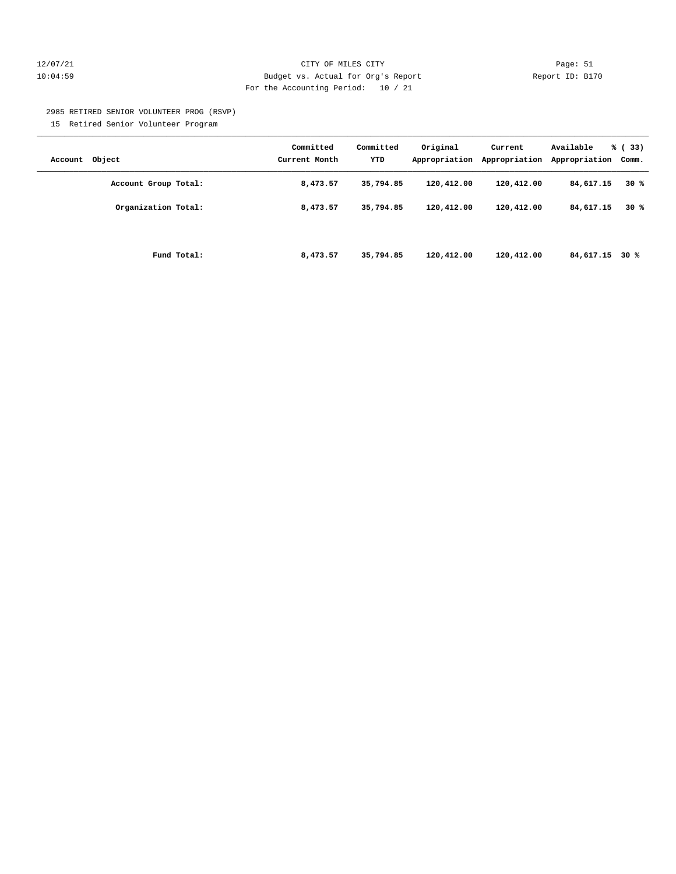# 12/07/21 CITY OF MILES CITY Page: 51 10:04:59 Budget vs. Actual for Org's Report Report ID: B170 For the Accounting Period: 10 / 21

2985 RETIRED SENIOR VOLUNTEER PROG (RSVP)

15 Retired Senior Volunteer Program

| Account Object       | Committed<br>Current Month | Committed<br>YTD | Original<br>Appropriation | Current<br>Appropriation | Available<br>Appropriation | % (33)<br>Comm. |
|----------------------|----------------------------|------------------|---------------------------|--------------------------|----------------------------|-----------------|
| Account Group Total: | 8,473.57                   | 35,794.85        | 120,412.00                | 120,412.00               | 84,617.15                  | $30*$           |
| Organization Total:  | 8,473.57                   | 35,794.85        | 120,412.00                | 120,412.00               | 84,617.15                  | 30%             |
| Fund Total:          | 8,473.57                   | 35,794.85        | 120,412.00                | 120,412.00               | 84,617.15 30 %             |                 |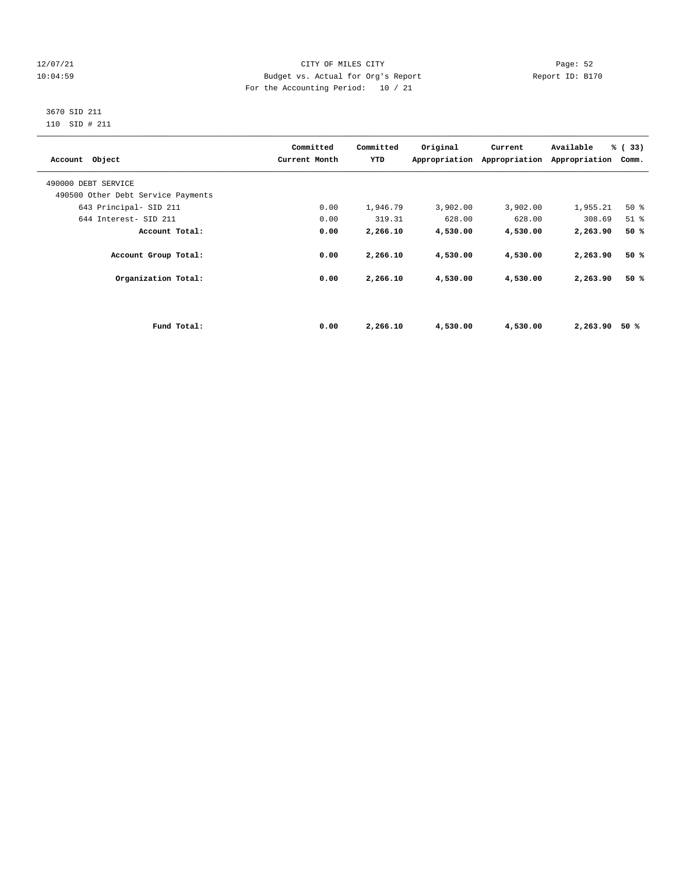# 12/07/21 CITY OF MILES CITY Page: 52 10:04:59 Budget vs. Actual for Org's Report Report ID: B170 For the Accounting Period: 10 / 21

# 3670 SID 211 110 SID # 211

| Account Object                     |             | Committed<br>Current Month | Committed<br>YTD | Original | Current<br>Appropriation Appropriation | Available<br>Appropriation | % (33)<br>Comm. |
|------------------------------------|-------------|----------------------------|------------------|----------|----------------------------------------|----------------------------|-----------------|
| 490000 DEBT SERVICE                |             |                            |                  |          |                                        |                            |                 |
| 490500 Other Debt Service Payments |             |                            |                  |          |                                        |                            |                 |
| 643 Principal- SID 211             |             | 0.00                       | 1,946.79         | 3,902.00 | 3,902.00                               | 1,955.21                   | 50%             |
| 644 Interest- SID 211              |             | 0.00                       | 319.31           | 628.00   | 628.00                                 | 308.69                     | $51$ $%$        |
| Account Total:                     |             | 0.00                       | 2,266.10         | 4,530.00 | 4,530.00                               | 2,263.90                   | 50%             |
| Account Group Total:               |             | 0.00                       | 2,266.10         | 4,530.00 | 4,530.00                               | 2,263.90                   | 50%             |
| Organization Total:                |             | 0.00                       | 2,266.10         | 4,530.00 | 4,530.00                               | 2,263.90                   | 50%             |
|                                    |             |                            |                  |          |                                        |                            |                 |
|                                    | Fund Total: | 0.00                       | 2,266.10         | 4,530.00 | 4,530.00                               | 2,263.90                   | 50 %            |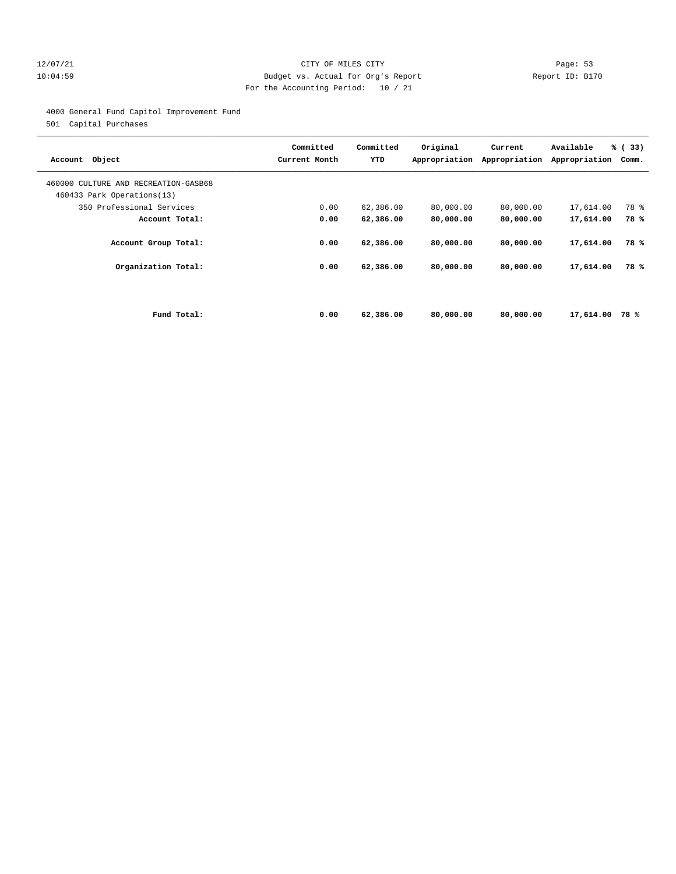# 12/07/21 CITY OF MILES CITY Page: 53 10:04:59 Budget vs. Actual for Org's Report Report ID: B170 For the Accounting Period: 10 / 21

4000 General Fund Capitol Improvement Fund

501 Capital Purchases

| Account Object                                                     |             | Committed<br>Current Month | Committed<br>YTD | Original<br>Appropriation | Current<br>Appropriation | Available<br>Appropriation | % (33)<br>Comm. |
|--------------------------------------------------------------------|-------------|----------------------------|------------------|---------------------------|--------------------------|----------------------------|-----------------|
| 460000 CULTURE AND RECREATION-GASB68<br>460433 Park Operations(13) |             |                            |                  |                           |                          |                            |                 |
| 350 Professional Services                                          |             | 0.00                       | 62,386.00        | 80,000.00                 | 80,000.00                | 17,614.00                  | 78 %            |
| Account Total:                                                     |             | 0.00                       | 62,386.00        | 80,000.00                 | 80,000.00                | 17,614.00                  | 78%             |
| Account Group Total:                                               |             | 0.00                       | 62,386.00        | 80,000.00                 | 80,000.00                | 17,614.00                  | 78 %            |
| Organization Total:                                                |             | 0.00                       | 62,386.00        | 80,000.00                 | 80,000.00                | 17,614.00                  | 78%             |
|                                                                    |             |                            |                  |                           |                          |                            |                 |
|                                                                    | Fund Total: | 0.00                       | 62,386.00        | 80,000,00                 | 80,000,00                | 17,614.00                  | 78%             |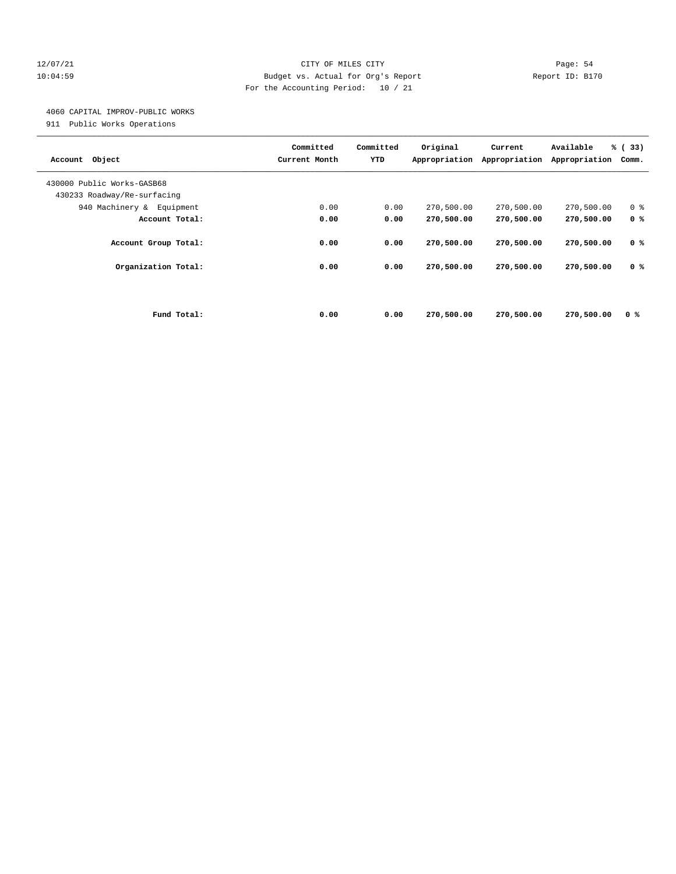# 12/07/21 CITY OF MILES CITY Page: 54 10:04:59 Budget vs. Actual for Org's Report Report ID: B170 For the Accounting Period: 10 / 21

# 4060 CAPITAL IMPROV-PUBLIC WORKS

911 Public Works Operations

| Object<br>Account                                         |             | Committed<br>Current Month | Committed<br>YTD | Original<br>Appropriation | Current<br>Appropriation | Available<br>Appropriation | % (33)<br>Comm. |
|-----------------------------------------------------------|-------------|----------------------------|------------------|---------------------------|--------------------------|----------------------------|-----------------|
| 430000 Public Works-GASB68<br>430233 Roadway/Re-surfacing |             |                            |                  |                           |                          |                            |                 |
| 940 Machinery & Equipment                                 |             | 0.00                       | 0.00             | 270,500.00                | 270,500.00               | 270,500.00                 | 0 <sup>8</sup>  |
| Account Total:                                            |             | 0.00                       | 0.00             | 270,500.00                | 270,500.00               | 270,500.00                 | 0 <sup>8</sup>  |
| Account Group Total:                                      |             | 0.00                       | 0.00             | 270,500.00                | 270,500.00               | 270,500.00                 | 0 <sup>8</sup>  |
| Organization Total:                                       |             | 0.00                       | 0.00             | 270,500.00                | 270,500.00               | 270,500.00                 | 0 %             |
|                                                           |             |                            |                  |                           |                          |                            |                 |
|                                                           | Fund Total: | 0.00                       | 0.00             | 270,500.00                | 270,500.00               | 270,500.00                 | 0 %             |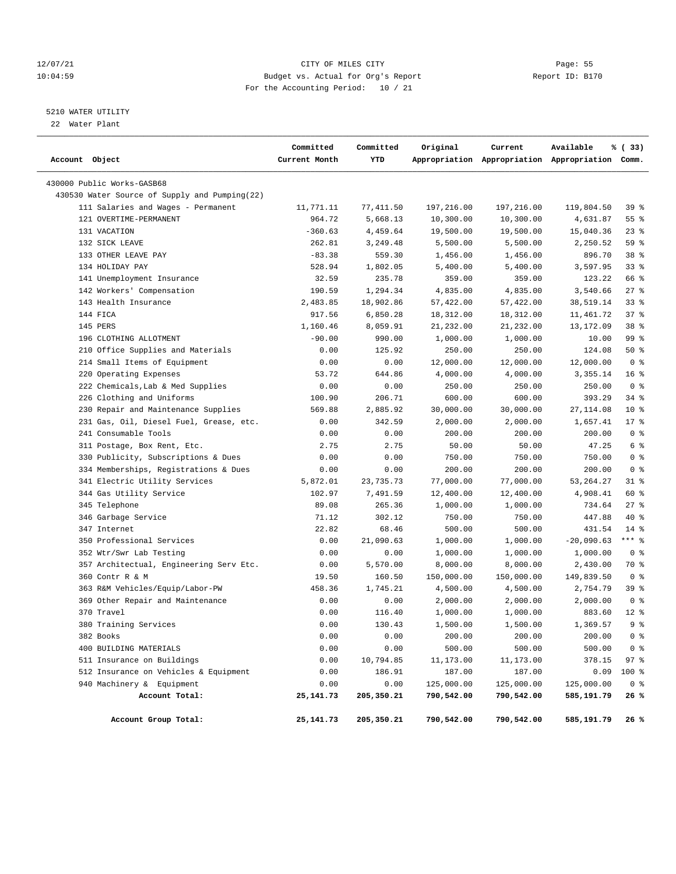# 12/07/21 CITY OF MILES CITY Page: 55 10:04:59 Budget vs. Actual for Org's Report Report ID: B170 For the Accounting Period: 10 / 21

# 5210 WATER UTILITY

22 Water Plant

| Account Object |                                               | Committed<br>Current Month | Committed<br>YTD | Original   | Current    | Available<br>Appropriation Appropriation Appropriation Comm. | % (33)         |
|----------------|-----------------------------------------------|----------------------------|------------------|------------|------------|--------------------------------------------------------------|----------------|
|                | 430000 Public Works-GASB68                    |                            |                  |            |            |                                                              |                |
|                | 430530 Water Source of Supply and Pumping(22) |                            |                  |            |            |                                                              |                |
|                | 111 Salaries and Wages - Permanent            | 11,771.11                  | 77,411.50        | 197,216.00 | 197,216.00 | 119,804.50                                                   | 39 %           |
|                | 121 OVERTIME-PERMANENT                        | 964.72                     | 5,668.13         | 10,300.00  | 10,300.00  | 4,631.87                                                     | 55%            |
|                | 131 VACATION                                  | $-360.63$                  | 4,459.64         | 19,500.00  | 19,500.00  | 15,040.36                                                    | $23$ $%$       |
|                | 132 SICK LEAVE                                | 262.81                     | 3,249.48         | 5,500.00   | 5,500.00   | 2,250.52                                                     | 59 %           |
|                | 133 OTHER LEAVE PAY                           | $-83.38$                   | 559.30           | 1,456.00   | 1,456.00   | 896.70                                                       | 38 %           |
|                | 134 HOLIDAY PAY                               | 528.94                     | 1,802.05         | 5,400.00   | 5,400.00   | 3,597.95                                                     | $33$ $%$       |
|                | 141 Unemployment Insurance                    | 32.59                      | 235.78           | 359.00     | 359.00     | 123.22                                                       | 66 %           |
|                | 142 Workers' Compensation                     | 190.59                     | 1,294.34         | 4,835.00   | 4,835.00   | 3,540.66                                                     | $27$ %         |
|                | 143 Health Insurance                          | 2,483.85                   | 18,902.86        | 57,422.00  | 57,422.00  | 38,519.14                                                    | 33%            |
|                | 144 FICA                                      | 917.56                     | 6,850.28         | 18,312.00  | 18,312.00  | 11,461.72                                                    | 37%            |
|                | 145 PERS                                      | 1,160.46                   | 8,059.91         | 21,232.00  | 21,232.00  | 13,172.09                                                    | 38 %           |
|                | 196 CLOTHING ALLOTMENT                        | $-90.00$                   | 990.00           | 1,000.00   | 1,000.00   | 10.00                                                        | 99 %           |
|                | 210 Office Supplies and Materials             | 0.00                       | 125.92           | 250.00     | 250.00     | 124.08                                                       | 50%            |
|                | 214 Small Items of Equipment                  | 0.00                       | 0.00             | 12,000.00  | 12,000.00  | 12,000.00                                                    | 0 <sup>8</sup> |
|                | 220 Operating Expenses                        | 53.72                      | 644.86           | 4,000.00   | 4,000.00   | 3,355.14                                                     | 16%            |
|                | 222 Chemicals, Lab & Med Supplies             | 0.00                       | 0.00             | 250.00     | 250.00     | 250.00                                                       | 0 <sup>8</sup> |
|                | 226 Clothing and Uniforms                     | 100.90                     | 206.71           | 600.00     | 600.00     | 393.29                                                       | 34%            |
|                | 230 Repair and Maintenance Supplies           | 569.88                     | 2,885.92         | 30,000.00  | 30,000.00  | 27, 114.08                                                   | $10*$          |
|                | 231 Gas, Oil, Diesel Fuel, Grease, etc.       | 0.00                       | 342.59           | 2,000.00   | 2,000.00   | 1,657.41                                                     | $17*$          |
|                | 241 Consumable Tools                          | 0.00                       | 0.00             | 200.00     | 200.00     | 200.00                                                       | 0 <sup>8</sup> |
|                | 311 Postage, Box Rent, Etc.                   | 2.75                       | 2.75             | 50.00      | 50.00      | 47.25                                                        | 6 %            |
|                | 330 Publicity, Subscriptions & Dues           | 0.00                       | 0.00             | 750.00     | 750.00     | 750.00                                                       | 0 <sup>8</sup> |
|                | 334 Memberships, Registrations & Dues         | 0.00                       | 0.00             | 200.00     | 200.00     | 200.00                                                       | 0 <sup>8</sup> |
|                | 341 Electric Utility Services                 | 5,872.01                   | 23,735.73        | 77,000.00  | 77,000.00  | 53, 264. 27                                                  | $31$ %         |
|                | 344 Gas Utility Service                       | 102.97                     | 7,491.59         | 12,400.00  | 12,400.00  | 4,908.41                                                     | 60 %           |
|                | 345 Telephone                                 | 89.08                      | 265.36           | 1,000.00   | 1,000.00   | 734.64                                                       | $27$ %         |
|                | 346 Garbage Service                           | 71.12                      | 302.12           | 750.00     | 750.00     | 447.88                                                       | 40 %           |
|                | 347 Internet                                  | 22.82                      | 68.46            | 500.00     | 500.00     | 431.54                                                       | $14*$          |
|                | 350 Professional Services                     | 0.00                       | 21,090.63        | 1,000.00   | 1,000.00   | $-20,090.63$                                                 | $***$ $_{8}$   |
|                | 352 Wtr/Swr Lab Testing                       | 0.00                       | 0.00             | 1,000.00   | 1,000.00   | 1,000.00                                                     | 0 <sup>8</sup> |
|                | 357 Architectual, Engineering Serv Etc.       | 0.00                       | 5,570.00         | 8,000.00   | 8,000.00   | 2,430.00                                                     | 70 %           |
|                | 360 Contr R & M                               | 19.50                      | 160.50           | 150,000.00 | 150,000.00 | 149,839.50                                                   | 0 <sup>8</sup> |
|                | 363 R&M Vehicles/Equip/Labor-PW               | 458.36                     | 1,745.21         | 4,500.00   | 4,500.00   | 2,754.79                                                     | 39%            |
|                | 369 Other Repair and Maintenance              | 0.00                       | 0.00             | 2,000.00   | 2,000.00   | 2,000.00                                                     | 0 <sup>8</sup> |
|                | 370 Travel                                    | 0.00                       | 116.40           | 1,000.00   | 1,000.00   | 883.60                                                       | $12*$          |
|                | 380 Training Services                         | 0.00                       | 130.43           | 1,500.00   | 1,500.00   | 1,369.57                                                     | 9 <sup>8</sup> |
|                | 382 Books                                     | 0.00                       | 0.00             | 200.00     | 200.00     | 200.00                                                       | 0 <sup>8</sup> |
|                | 400 BUILDING MATERIALS                        | 0.00                       | 0.00             | 500.00     | 500.00     | 500.00                                                       | 0 <sup>8</sup> |
|                | 511 Insurance on Buildings                    | 0.00                       | 10,794.85        | 11,173.00  | 11,173.00  | 378.15                                                       | 97%            |
|                | 512 Insurance on Vehicles & Equipment         | 0.00                       | 186.91           | 187.00     | 187.00     | 0.09                                                         | 100 %          |
|                | 940 Machinery & Equipment                     | 0.00                       | 0.00             | 125,000.00 | 125,000.00 | 125,000.00                                                   | 0 <sup>8</sup> |
|                | Account Total:                                | 25, 141.73                 | 205,350.21       | 790,542.00 | 790,542.00 | 585,191.79                                                   | 26%            |
|                | Account Group Total:                          | 25, 141.73                 | 205,350.21       | 790,542.00 | 790,542.00 | 585,191.79                                                   | 26 %           |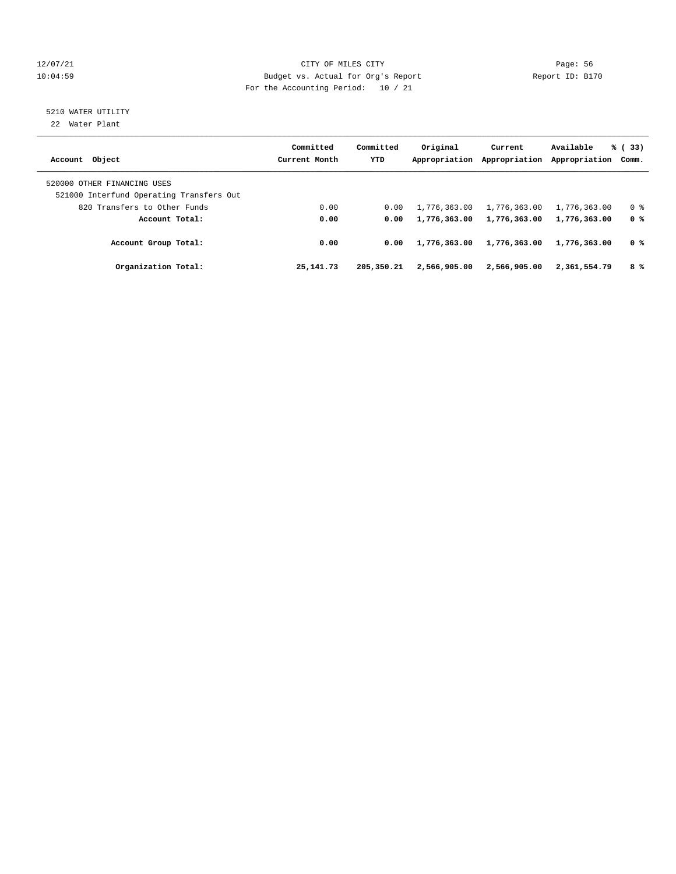# 12/07/21 CITY OF MILES CITY Page: 56 10:04:59 Budget vs. Actual for Org's Report Report ID: B170 For the Accounting Period: 10 / 21

# 5210 WATER UTILITY

22 Water Plant

| Account Object                                                          | Committed<br>Current Month | Committed<br><b>YTD</b> | Original<br>Appropriation | Current<br>Appropriation | Available<br>Appropriation Comm. | % (33)         |
|-------------------------------------------------------------------------|----------------------------|-------------------------|---------------------------|--------------------------|----------------------------------|----------------|
| 520000 OTHER FINANCING USES<br>521000 Interfund Operating Transfers Out |                            |                         |                           |                          |                                  |                |
| 820 Transfers to Other Funds                                            | 0.00                       | 0.00                    | 1,776,363.00              | 1,776,363.00             | 1,776,363.00                     | 0 <sup>8</sup> |
| Account Total:                                                          | 0.00                       | 0.00                    | 1,776,363.00              | 1,776,363.00             | 1,776,363.00                     | 0 %            |
| Account Group Total:                                                    | 0.00                       | 0.00                    | 1,776,363.00              | 1,776,363.00             | 1,776,363.00                     | 0 %            |
| Organization Total:                                                     | 25, 141, 73                | 205,350.21              | 2,566,905,00              | 2,566,905.00             | 2,361,554.79                     | 8%             |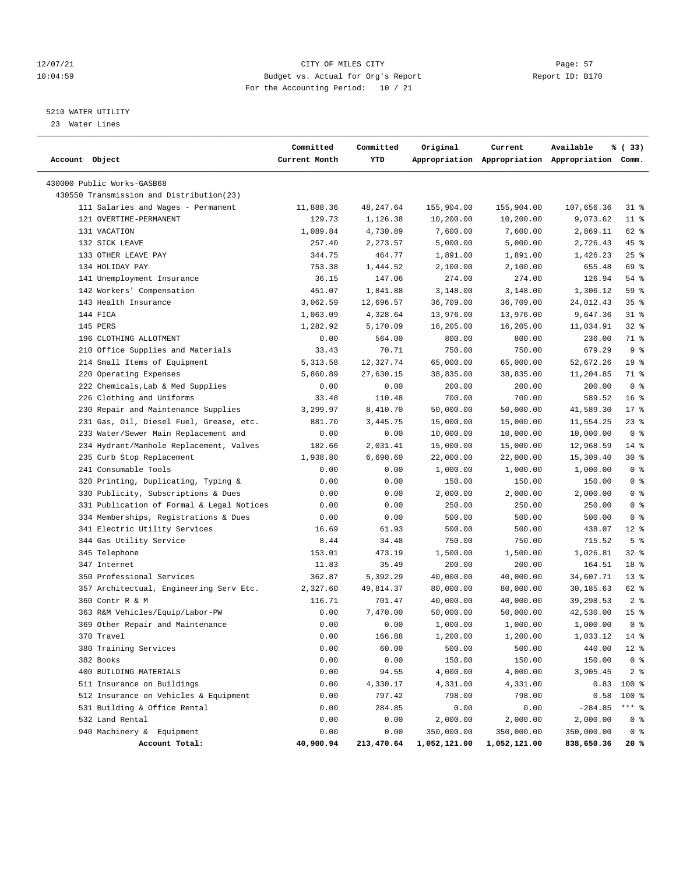# 12/07/21 CITY OF MILES CITY Page: 57 10:04:59 Budget vs. Actual for Org's Report Report ID: B170 For the Accounting Period: 10 / 21

————————————————————————————————————————————————————————————————————————————————————————————————————————————————————————————————————

# 5210 WATER UTILITY

23 Water Lines

|                |                                           | Committed     | Committed  | Original     | Current      | Available                                       | % (33)          |
|----------------|-------------------------------------------|---------------|------------|--------------|--------------|-------------------------------------------------|-----------------|
| Account Object |                                           | Current Month | YTD        |              |              | Appropriation Appropriation Appropriation Comm. |                 |
|                | 430000 Public Works-GASB68                |               |            |              |              |                                                 |                 |
|                | 430550 Transmission and Distribution(23)  |               |            |              |              |                                                 |                 |
|                | 111 Salaries and Wages - Permanent        | 11,888.36     | 48,247.64  | 155,904.00   | 155,904.00   | 107,656.36                                      | $31$ %          |
|                | 121 OVERTIME-PERMANENT                    | 129.73        | 1,126.38   | 10,200.00    | 10,200.00    | 9,073.62                                        | $11$ %          |
|                | 131 VACATION                              | 1,089.84      | 4,730.89   | 7,600.00     | 7,600.00     | 2,869.11                                        | 62 %            |
|                | 132 SICK LEAVE                            | 257.40        | 2,273.57   | 5,000.00     | 5,000.00     | 2,726.43                                        | 45 %            |
|                | 133 OTHER LEAVE PAY                       | 344.75        | 464.77     | 1,891.00     | 1,891.00     | 1,426.23                                        | $25$ %          |
|                | 134 HOLIDAY PAY                           | 753.38        | 1,444.52   | 2,100.00     | 2,100.00     | 655.48                                          | 69 %            |
|                | 141 Unemployment Insurance                | 36.15         | 147.06     | 274.00       | 274.00       | 126.94                                          | 54 %            |
|                | 142 Workers' Compensation                 | 451.07        | 1,841.88   | 3,148.00     | 3,148.00     | 1,306.12                                        | 59 %            |
|                | 143 Health Insurance                      | 3,062.59      | 12,696.57  | 36,709.00    | 36,709.00    | 24,012.43                                       | 35%             |
|                | 144 FICA                                  | 1,063.09      | 4,328.64   | 13,976.00    | 13,976.00    | 9,647.36                                        | $31$ %          |
|                | 145 PERS                                  | 1,282.92      | 5,170.09   | 16,205.00    | 16,205.00    | 11,034.91                                       | $32$ $%$        |
|                | 196 CLOTHING ALLOTMENT                    | 0.00          | 564.00     | 800.00       | 800.00       | 236.00                                          | 71 %            |
|                | 210 Office Supplies and Materials         | 33.43         | 70.71      | 750.00       | 750.00       | 679.29                                          | 9%              |
|                | 214 Small Items of Equipment              | 5,313.58      | 12,327.74  | 65,000.00    | 65,000.00    | 52,672.26                                       | 19 <sup>°</sup> |
|                | 220 Operating Expenses                    | 5,860.89      | 27,630.15  | 38,835.00    | 38,835.00    | 11,204.85                                       | 71 %            |
|                | 222 Chemicals, Lab & Med Supplies         | 0.00          | 0.00       | 200.00       | 200.00       | 200.00                                          | 0 <sup>8</sup>  |
|                | 226 Clothing and Uniforms                 | 33.48         | 110.48     | 700.00       | 700.00       | 589.52                                          | 16 <sup>8</sup> |
|                | 230 Repair and Maintenance Supplies       | 3,299.97      | 8,410.70   | 50,000.00    | 50,000.00    | 41,589.30                                       | $17*$           |
|                | 231 Gas, Oil, Diesel Fuel, Grease, etc.   | 881.70        | 3,445.75   | 15,000.00    | 15,000.00    | 11,554.25                                       | $23$ %          |
|                | 233 Water/Sewer Main Replacement and      | 0.00          | 0.00       | 10,000.00    | 10,000.00    | 10,000.00                                       | 0 %             |
|                | 234 Hydrant/Manhole Replacement, Valves   | 182.66        | 2,031.41   | 15,000.00    | 15,000.00    | 12,968.59                                       | $14$ %          |
|                | 235 Curb Stop Replacement                 | 1,938.80      | 6,690.60   | 22,000.00    | 22,000.00    | 15,309.40                                       | $30*$           |
|                | 241 Consumable Tools                      | 0.00          | 0.00       | 1,000.00     | 1,000.00     | 1,000.00                                        | 0 <sup>8</sup>  |
|                | 320 Printing, Duplicating, Typing &       | 0.00          | 0.00       | 150.00       | 150.00       | 150.00                                          | 0 <sup>8</sup>  |
|                | 330 Publicity, Subscriptions & Dues       | 0.00          | 0.00       | 2,000.00     | 2,000.00     | 2,000.00                                        | 0 <sup>8</sup>  |
|                | 331 Publication of Formal & Legal Notices | 0.00          | 0.00       | 250.00       | 250.00       | 250.00                                          | 0 <sup>8</sup>  |
|                | 334 Memberships, Registrations & Dues     | 0.00          | 0.00       | 500.00       | 500.00       | 500.00                                          | 0 <sup>8</sup>  |
|                | 341 Electric Utility Services             | 16.69         | 61.93      | 500.00       | 500.00       | 438.07                                          | $12$ %          |
|                | 344 Gas Utility Service                   | 8.44          | 34.48      | 750.00       | 750.00       | 715.52                                          | 5 <sup>8</sup>  |
|                | 345 Telephone                             | 153.01        | 473.19     | 1,500.00     | 1,500.00     | 1,026.81                                        | 32 %            |
|                | 347 Internet                              | 11.83         | 35.49      | 200.00       | 200.00       | 164.51                                          | 18 <sup>8</sup> |
|                | 350 Professional Services                 | 362.87        | 5,392.29   | 40,000.00    | 40,000.00    | 34,607.71                                       | $13*$           |
|                | 357 Architectual, Engineering Serv Etc.   | 2,327.60      | 49,814.37  | 80,000.00    | 80,000.00    | 30,185.63                                       | 62 %            |
|                | 360 Contr R & M                           | 116.71        | 701.47     | 40,000.00    | 40,000.00    | 39,298.53                                       | 2 <sup>8</sup>  |
|                | 363 R&M Vehicles/Equip/Labor-PW           | 0.00          | 7,470.00   | 50,000.00    | 50,000.00    | 42,530.00                                       | 15 <sup>8</sup> |
|                | 369 Other Repair and Maintenance          | 0.00          | 0.00       | 1,000.00     | 1,000.00     | 1,000.00                                        | 0 <sup>8</sup>  |
|                | 370 Travel                                | 0.00          | 166.88     | 1,200.00     | 1,200.00     | 1,033.12 14 %                                   |                 |
|                | 380 Training Services                     | 0.00          | 60.00      | 500.00       | 500.00       | 440.00                                          | $12*$           |
|                | 382 Books                                 | 0.00          | 0.00       | 150.00       | 150.00       | 150.00                                          | 0 <sup>8</sup>  |
|                | 400 BUILDING MATERIALS                    | 0.00          | 94.55      | 4,000.00     | 4,000.00     | 3,905.45                                        | 2 <sub>8</sub>  |
|                | 511 Insurance on Buildings                | 0.00          | 4,330.17   | 4,331.00     | 4,331.00     | 0.83                                            | 100 %           |
|                | 512 Insurance on Vehicles & Equipment     | 0.00          | 797.42     | 798.00       | 798.00       | 0.58                                            | 100 %           |
|                | 531 Building & Office Rental              | 0.00          | 284.85     | 0.00         | 0.00         | $-284.85$                                       | $***$ $_{8}$    |
|                | 532 Land Rental                           | 0.00          | 0.00       | 2,000.00     | 2,000.00     | 2,000.00                                        | 0 <sup>8</sup>  |
|                | 940 Machinery & Equipment                 | 0.00          | 0.00       | 350,000.00   | 350,000.00   | 350,000.00                                      | 0 <sup>8</sup>  |
|                | Account Total:                            | 40,900.94     | 213,470.64 | 1,052,121.00 | 1,052,121.00 | 838,650.36                                      | 20%             |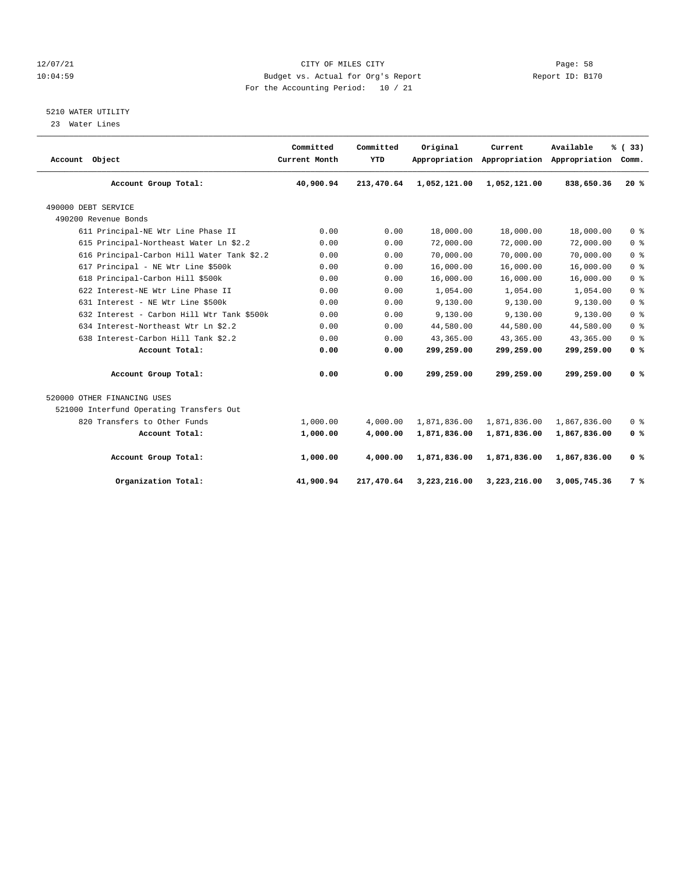# 12/07/21 CITY OF MILES CITY Page: 58 10:04:59 Budget vs. Actual for Org's Report Report ID: B170 For the Accounting Period: 10 / 21

# 5210 WATER UTILITY

23 Water Lines

| Account Object                             | Committed<br>Current Month | Committed<br>YTD | Original     | Current<br>Appropriation Appropriation Appropriation | Available    | % (33)<br>Comm. |
|--------------------------------------------|----------------------------|------------------|--------------|------------------------------------------------------|--------------|-----------------|
| Account Group Total:                       | 40,900.94                  | 213,470.64       | 1,052,121.00 | 1,052,121.00                                         | 838,650.36   | 20%             |
| 490000 DEBT SERVICE                        |                            |                  |              |                                                      |              |                 |
| 490200 Revenue Bonds                       |                            |                  |              |                                                      |              |                 |
| 611 Principal-NE Wtr Line Phase II         | 0.00                       | 0.00             | 18,000.00    | 18,000.00                                            | 18,000.00    | 0 <sup>8</sup>  |
| 615 Principal-Northeast Water Ln \$2.2     | 0.00                       | 0.00             | 72,000.00    | 72,000.00                                            | 72,000.00    | 0 <sup>8</sup>  |
| 616 Principal-Carbon Hill Water Tank \$2.2 | 0.00                       | 0.00             | 70,000.00    | 70,000.00                                            | 70,000.00    | 0 <sup>8</sup>  |
| 617 Principal - NE Wtr Line \$500k         | 0.00                       | 0.00             | 16,000.00    | 16,000.00                                            | 16,000.00    | 0 <sup>8</sup>  |
| 618 Principal-Carbon Hill \$500k           | 0.00                       | 0.00             | 16,000.00    | 16,000.00                                            | 16,000.00    | 0 <sup>8</sup>  |
| 622 Interest-NE Wtr Line Phase II          | 0.00                       | 0.00             | 1,054.00     | 1,054.00                                             | 1,054.00     | 0 <sup>8</sup>  |
| 631 Interest - NE Wtr Line \$500k          | 0.00                       | 0.00             | 9,130.00     | 9,130.00                                             | 9.130.00     | 0 <sup>8</sup>  |
| 632 Interest - Carbon Hill Wtr Tank \$500k | 0.00                       | 0.00             | 9,130.00     | 9,130.00                                             | 9,130.00     | 0 <sup>8</sup>  |
| 634 Interest-Northeast Wtr Ln \$2.2        | 0.00                       | 0.00             | 44,580.00    | 44,580.00                                            | 44,580.00    | 0 <sup>8</sup>  |
| 638 Interest-Carbon Hill Tank \$2.2        | 0.00                       | 0.00             | 43,365.00    | 43,365.00                                            | 43,365.00    | 0 <sup>8</sup>  |
| Account Total:                             | 0.00                       | 0.00             | 299,259.00   | 299,259.00                                           | 299,259.00   | 0 <sup>8</sup>  |
| Account Group Total:                       | 0.00                       | 0.00             | 299,259.00   | 299,259.00                                           | 299,259.00   | 0 <sup>8</sup>  |
| 520000 OTHER FINANCING USES                |                            |                  |              |                                                      |              |                 |
| 521000 Interfund Operating Transfers Out   |                            |                  |              |                                                      |              |                 |
| 820 Transfers to Other Funds               | 1,000.00                   | 4,000.00         | 1,871,836.00 | 1,871,836.00                                         | 1,867,836.00 | 0 <sup>8</sup>  |
| Account Total:                             | 1,000.00                   | 4,000.00         | 1,871,836.00 | 1,871,836.00                                         | 1,867,836.00 | 0 <sup>8</sup>  |
| Account Group Total:                       | 1,000.00                   | 4,000.00         | 1,871,836.00 | 1,871,836.00                                         | 1,867,836.00 | 0 <sup>8</sup>  |
| Organization Total:                        | 41,900.94                  | 217,470.64       | 3,223,216.00 | 3,223,216.00                                         | 3,005,745.36 | 7 %             |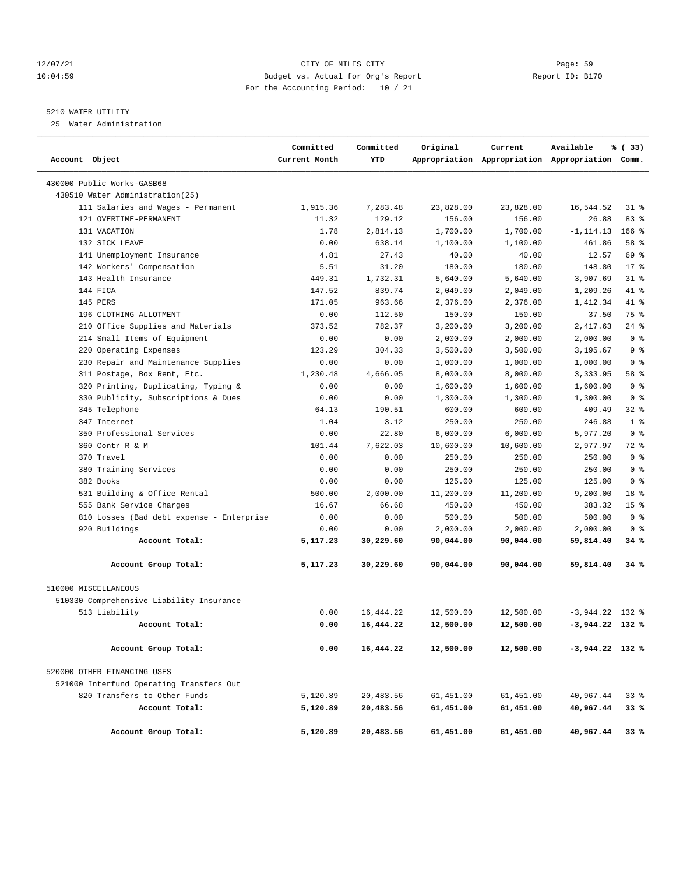# 12/07/21 CITY OF MILES CITY Page: 59 10:04:59 Budget vs. Actual for Org's Report Report ID: B170 For the Accounting Period: 10 / 21

# 5210 WATER UTILITY

25 Water Administration

| Account Object                            | Committed<br>Current Month | Committed<br>YTD | Original  | Current   | Available<br>Appropriation Appropriation Appropriation Comm. | % (33)          |
|-------------------------------------------|----------------------------|------------------|-----------|-----------|--------------------------------------------------------------|-----------------|
| 430000 Public Works-GASB68                |                            |                  |           |           |                                                              |                 |
| 430510 Water Administration(25)           |                            |                  |           |           |                                                              |                 |
| 111 Salaries and Wages - Permanent        | 1,915.36                   | 7,283.48         | 23,828.00 | 23,828.00 | 16,544.52                                                    | $31$ $8$        |
| 121 OVERTIME-PERMANENT                    | 11.32                      | 129.12           | 156.00    | 156.00    | 26.88                                                        | 83%             |
| 131 VACATION                              | 1.78                       | 2,814.13         | 1,700.00  | 1,700.00  | $-1, 114.13$                                                 | $166$ %         |
| 132 SICK LEAVE                            | 0.00                       | 638.14           | 1,100.00  | 1,100.00  | 461.86                                                       | 58 %            |
| 141 Unemployment Insurance                | 4.81                       | 27.43            | 40.00     | 40.00     | 12.57                                                        | 69 %            |
| 142 Workers' Compensation                 | 5.51                       | 31.20            | 180.00    | 180.00    | 148.80                                                       | $17*$           |
| 143 Health Insurance                      | 449.31                     | 1,732.31         | 5,640.00  | 5,640.00  | 3,907.69                                                     | $31$ %          |
| 144 FICA                                  | 147.52                     | 839.74           | 2,049.00  | 2,049.00  | 1,209.26                                                     | 41 %            |
| 145 PERS                                  | 171.05                     | 963.66           | 2,376.00  | 2,376.00  | 1,412.34                                                     | 41 %            |
| 196 CLOTHING ALLOTMENT                    | 0.00                       | 112.50           | 150.00    | 150.00    | 37.50                                                        | 75 %            |
| 210 Office Supplies and Materials         | 373.52                     | 782.37           | 3,200.00  | 3,200.00  | 2,417.63                                                     | $24$ %          |
| 214 Small Items of Equipment              | 0.00                       | 0.00             | 2,000.00  | 2,000.00  | 2,000.00                                                     | 0 <sup>8</sup>  |
| 220 Operating Expenses                    | 123.29                     | 304.33           | 3,500.00  | 3,500.00  | 3,195.67                                                     | 9 <sup>8</sup>  |
| 230 Repair and Maintenance Supplies       | 0.00                       | 0.00             | 1,000.00  | 1,000.00  | 1,000.00                                                     | 0 <sup>8</sup>  |
| 311 Postage, Box Rent, Etc.               | 1,230.48                   | 4,666.05         | 8,000.00  | 8,000.00  | 3,333.95                                                     | 58 %            |
| 320 Printing, Duplicating, Typing &       | 0.00                       | 0.00             | 1,600.00  | 1,600.00  | 1,600.00                                                     | 0 <sup>8</sup>  |
| 330 Publicity, Subscriptions & Dues       | 0.00                       | 0.00             | 1,300.00  | 1,300.00  | 1,300.00                                                     | 0 <sup>8</sup>  |
| 345 Telephone                             | 64.13                      | 190.51           | 600.00    | 600.00    | 409.49                                                       | $32$ %          |
| 347 Internet                              | 1.04                       | 3.12             | 250.00    | 250.00    | 246.88                                                       | 1 <sup>8</sup>  |
| 350 Professional Services                 | 0.00                       | 22.80            | 6,000.00  | 6,000.00  | 5,977.20                                                     | 0 <sup>8</sup>  |
| 360 Contr R & M                           | 101.44                     | 7,622.03         | 10,600.00 | 10,600.00 | 2,977.97                                                     | 72 %            |
| 370 Travel                                | 0.00                       | 0.00             | 250.00    | 250.00    | 250.00                                                       | 0 <sup>8</sup>  |
| 380 Training Services                     | 0.00                       | 0.00             | 250.00    | 250.00    | 250.00                                                       | 0 <sup>8</sup>  |
| 382 Books                                 | 0.00                       | 0.00             | 125.00    | 125.00    | 125.00                                                       | 0 <sup>8</sup>  |
| 531 Building & Office Rental              | 500.00                     | 2,000.00         | 11,200.00 | 11,200.00 | 9,200.00                                                     | 18 %            |
| 555 Bank Service Charges                  | 16.67                      | 66.68            | 450.00    | 450.00    | 383.32                                                       | 15 <sup>8</sup> |
| 810 Losses (Bad debt expense - Enterprise | 0.00                       | 0.00             | 500.00    | 500.00    | 500.00                                                       | 0 <sup>8</sup>  |
| 920 Buildings                             | 0.00                       | 0.00             | 2,000.00  | 2,000.00  | 2,000.00                                                     | 0 <sup>8</sup>  |
| Account Total:                            | 5,117.23                   | 30,229.60        | 90,044.00 | 90,044.00 | 59,814.40                                                    | 34%             |
| Account Group Total:                      | 5,117.23                   | 30,229.60        | 90,044.00 | 90,044.00 | 59,814.40                                                    | 34%             |
| 510000 MISCELLANEOUS                      |                            |                  |           |           |                                                              |                 |
| 510330 Comprehensive Liability Insurance  |                            |                  |           |           |                                                              |                 |
| 513 Liability                             | 0.00                       | 16, 444.22       | 12,500.00 | 12,500.00 | $-3,944.22$                                                  | 132 %           |
| Account Total:                            | 0.00                       | 16,444.22        | 12,500.00 | 12,500.00 | $-3,944.22$ 132 %                                            |                 |
| Account Group Total:                      | 0.00                       | 16,444.22        | 12,500.00 | 12,500.00 | $-3,944.22$ 132 %                                            |                 |
| 520000 OTHER FINANCING USES               |                            |                  |           |           |                                                              |                 |
| 521000 Interfund Operating Transfers Out  |                            |                  |           |           |                                                              |                 |
| 820 Transfers to Other Funds              | 5,120.89                   | 20,483.56        | 61,451.00 | 61,451.00 | 40,967.44                                                    | 338             |
| Account Total:                            | 5,120.89                   | 20,483.56        | 61,451.00 | 61,451.00 | 40,967.44                                                    | 33%             |
| Account Group Total:                      | 5,120.89                   | 20,483.56        | 61,451.00 | 61,451.00 | 40,967.44                                                    | 33%             |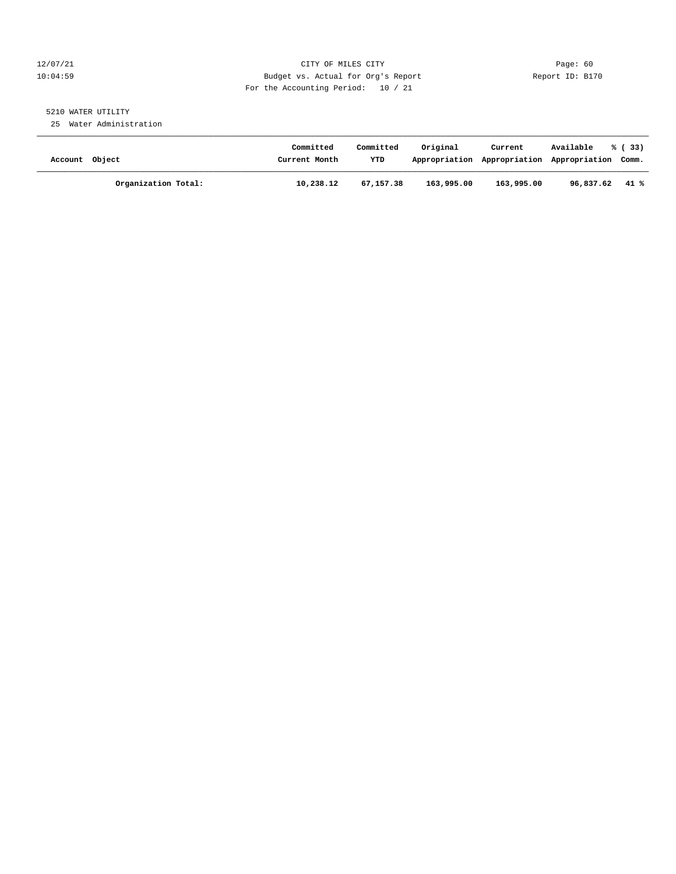# 12/07/21 CITY OF MILES CITY Page: 60 10:04:59 Budget vs. Actual for Org's Report Report ID: B170 For the Accounting Period: 10 / 21

# 5210 WATER UTILITY

25 Water Administration

| Account Object |                     | Committed<br>Current Month | Committed<br><b>YTD</b> | Original   | Current<br>Appropriation Appropriation Appropriation Comm. | Available | % (33) |
|----------------|---------------------|----------------------------|-------------------------|------------|------------------------------------------------------------|-----------|--------|
|                | Organization Total: | 10,238.12                  | 67,157.38               | 163,995.00 | 163,995.00                                                 | 96,837.62 | 41 %   |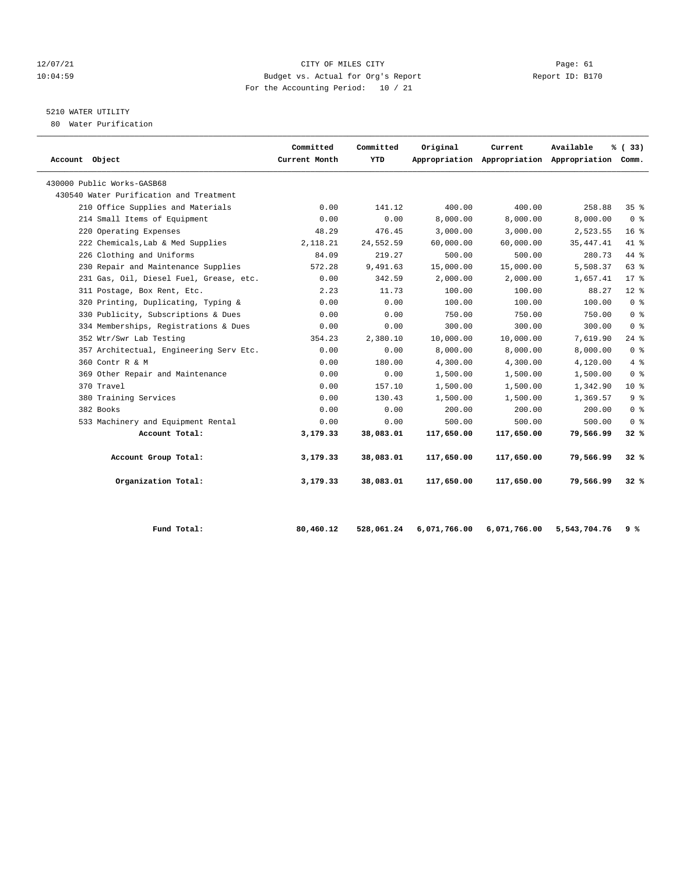# 12/07/21 CITY OF MILES CITY Page: 61 10:04:59 Budget vs. Actual for Org's Report Report ID: B170 For the Accounting Period: 10 / 21

# 5210 WATER UTILITY

80 Water Purification

| Account Object                          | Committed<br>Current Month | Committed<br>YTD | Original   | Current    | Available<br>Appropriation Appropriation Appropriation Comm. | % (33)          |
|-----------------------------------------|----------------------------|------------------|------------|------------|--------------------------------------------------------------|-----------------|
| 430000 Public Works-GASB68              |                            |                  |            |            |                                                              |                 |
| 430540 Water Purification and Treatment |                            |                  |            |            |                                                              |                 |
| 210 Office Supplies and Materials       | 0.00                       | 141.12           | 400.00     | 400.00     | 258.88                                                       | 35 <sup>8</sup> |
| 214 Small Items of Equipment            | 0.00                       | 0.00             | 8,000.00   | 8,000.00   | 8,000.00                                                     | 0 <sup>8</sup>  |
| 220 Operating Expenses                  | 48.29                      | 476.45           | 3,000.00   | 3,000.00   | 2,523.55                                                     | 16 <sup>°</sup> |
| 222 Chemicals, Lab & Med Supplies       | 2,118.21                   | 24,552.59        | 60,000.00  | 60,000.00  | 35, 447. 41                                                  | 41.8            |
| 226 Clothing and Uniforms               | 84.09                      | 219.27           | 500.00     | 500.00     | 280.73                                                       | $44$ %          |
| 230 Repair and Maintenance Supplies     | 572.28                     | 9,491.63         | 15,000.00  | 15,000.00  | 5,508.37                                                     | 63 %            |
| 231 Gas, Oil, Diesel Fuel, Grease, etc. | 0.00                       | 342.59           | 2,000.00   | 2,000.00   | 1,657.41                                                     | $17*$           |
| 311 Postage, Box Rent, Etc.             | 2.23                       | 11.73            | 100.00     | 100.00     | 88.27                                                        | $12*$           |
| 320 Printing, Duplicating, Typing &     | 0.00                       | 0.00             | 100.00     | 100.00     | 100.00                                                       | 0 <sup>8</sup>  |
| 330 Publicity, Subscriptions & Dues     | 0.00                       | 0.00             | 750.00     | 750.00     | 750.00                                                       | 0 <sup>8</sup>  |
| 334 Memberships, Registrations & Dues   | 0.00                       | 0.00             | 300.00     | 300.00     | 300.00                                                       | 0 <sup>8</sup>  |
| 352 Wtr/Swr Lab Testing                 | 354.23                     | 2,380.10         | 10,000.00  | 10,000.00  | 7,619.90                                                     | 24%             |
| 357 Architectual, Engineering Serv Etc. | 0.00                       | 0.00             | 8,000.00   | 8.000.00   | 8,000.00                                                     | 0 <sup>8</sup>  |
| 360 Contr R & M                         | 0.00                       | 180.00           | 4,300.00   | 4,300.00   | 4,120.00                                                     | 4%              |
| 369 Other Repair and Maintenance        | 0.00                       | 0.00             | 1,500.00   | 1,500.00   | 1,500.00                                                     | 0 <sup>8</sup>  |
| 370 Travel                              | 0.00                       | 157.10           | 1,500.00   | 1,500.00   | 1,342.90                                                     | $10*$           |
| 380 Training Services                   | 0.00                       | 130.43           | 1,500.00   | 1,500.00   | 1,369.57                                                     | 9 <sup>8</sup>  |
| 382 Books                               | 0.00                       | 0.00             | 200.00     | 200.00     | 200.00                                                       | 0 <sup>8</sup>  |
| 533 Machinery and Equipment Rental      | 0.00                       | 0.00             | 500.00     | 500.00     | 500.00                                                       | 0 <sup>8</sup>  |
| Account Total:                          | 3,179.33                   | 38,083.01        | 117,650.00 | 117,650.00 | 79,566.99                                                    | 32%             |
| Account Group Total:                    | 3,179.33                   | 38,083.01        | 117,650.00 | 117,650.00 | 79,566.99                                                    | $32*$           |
| Organization Total:                     | 3,179.33                   | 38,083.01        | 117,650.00 | 117,650.00 | 79,566.99                                                    | $32*$           |

| Fund Total: | 80,460.12 |  | 528,061.24 6,071,766.00 6,071,766.00 5,543,704.76 9% |  |
|-------------|-----------|--|------------------------------------------------------|--|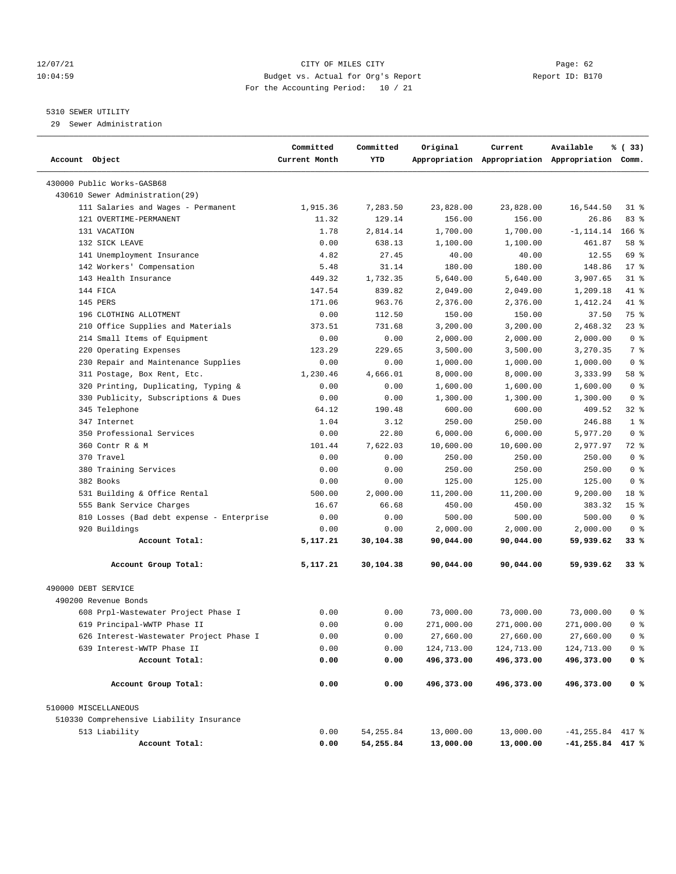# 12/07/21 CITY OF MILES CITY Page: 62 10:04:59 Budget vs. Actual for Org's Report Report ID: B170 For the Accounting Period: 10 / 21

# 5310 SEWER UTILITY

29 Sewer Administration

| Account Object                            | Committed<br>Current Month | Committed<br>YTD | Original   | Current    | Available<br>Appropriation Appropriation Appropriation Comm. | % (33)          |
|-------------------------------------------|----------------------------|------------------|------------|------------|--------------------------------------------------------------|-----------------|
| 430000 Public Works-GASB68                |                            |                  |            |            |                                                              |                 |
| 430610 Sewer Administration (29)          |                            |                  |            |            |                                                              |                 |
| 111 Salaries and Wages - Permanent        | 1,915.36                   | 7,283.50         | 23,828.00  | 23,828.00  | 16,544.50                                                    | $31$ $8$        |
| 121 OVERTIME-PERMANENT                    | 11.32                      | 129.14           | 156.00     | 156.00     | 26.86                                                        | 83%             |
| 131 VACATION                              | 1.78                       | 2,814.14         | 1,700.00   | 1,700.00   | $-1, 114.14$                                                 | $166$ %         |
| 132 SICK LEAVE                            | 0.00                       | 638.13           | 1,100.00   | 1,100.00   | 461.87                                                       | 58 %            |
| 141 Unemployment Insurance                | 4.82                       | 27.45            | 40.00      | 40.00      | 12.55                                                        | 69 %            |
| 142 Workers' Compensation                 | 5.48                       | 31.14            | 180.00     | 180.00     | 148.86                                                       | $17*$           |
| 143 Health Insurance                      | 449.32                     | 1,732.35         | 5,640.00   | 5,640.00   | 3,907.65                                                     | $31$ %          |
| 144 FICA                                  | 147.54                     | 839.82           | 2,049.00   | 2,049.00   | 1,209.18                                                     | 41 %            |
| 145 PERS                                  | 171.06                     | 963.76           | 2,376.00   | 2,376.00   | 1,412.24                                                     | 41 %            |
| 196 CLOTHING ALLOTMENT                    | 0.00                       | 112.50           | 150.00     | 150.00     | 37.50                                                        | 75 %            |
| 210 Office Supplies and Materials         | 373.51                     | 731.68           | 3,200.00   | 3,200.00   | 2,468.32                                                     | 23%             |
| 214 Small Items of Equipment              | 0.00                       | 0.00             | 2,000.00   | 2,000.00   | 2,000.00                                                     | 0 <sup>8</sup>  |
| 220 Operating Expenses                    | 123.29                     | 229.65           | 3,500.00   | 3,500.00   | 3,270.35                                                     | 7 %             |
| 230 Repair and Maintenance Supplies       | 0.00                       | 0.00             | 1,000.00   | 1,000.00   | 1,000.00                                                     | 0 <sup>8</sup>  |
| 311 Postage, Box Rent, Etc.               | 1,230.46                   | 4,666.01         | 8,000.00   | 8,000.00   | 3,333.99                                                     | 58 %            |
| 320 Printing, Duplicating, Typing &       | 0.00                       | 0.00             | 1,600.00   | 1,600.00   | 1,600.00                                                     | 0 <sup>8</sup>  |
| 330 Publicity, Subscriptions & Dues       | 0.00                       | 0.00             | 1,300.00   | 1,300.00   | 1,300.00                                                     | 0 <sup>8</sup>  |
| 345 Telephone                             | 64.12                      | 190.48           | 600.00     | 600.00     | 409.52                                                       | $32$ %          |
| 347 Internet                              | 1.04                       | 3.12             | 250.00     | 250.00     | 246.88                                                       | 1 <sup>8</sup>  |
| 350 Professional Services                 | 0.00                       | 22.80            | 6,000.00   | 6,000.00   | 5,977.20                                                     | 0 <sup>8</sup>  |
| 360 Contr R & M                           | 101.44                     | 7,622.03         | 10,600.00  | 10,600.00  | 2,977.97                                                     | 72 %            |
| 370 Travel                                | 0.00                       | 0.00             | 250.00     | 250.00     | 250.00                                                       | 0 <sup>8</sup>  |
| 380 Training Services                     | 0.00                       | 0.00             | 250.00     | 250.00     | 250.00                                                       | 0 <sup>8</sup>  |
| 382 Books                                 | 0.00                       | 0.00             | 125.00     | 125.00     | 125.00                                                       | 0 <sup>8</sup>  |
| 531 Building & Office Rental              | 500.00                     | 2,000.00         | 11,200.00  | 11,200.00  | 9,200.00                                                     | 18 %            |
| 555 Bank Service Charges                  | 16.67                      | 66.68            | 450.00     | 450.00     | 383.32                                                       | 15 <sup>8</sup> |
| 810 Losses (Bad debt expense - Enterprise | 0.00                       | 0.00             | 500.00     | 500.00     | 500.00                                                       | 0 <sup>8</sup>  |
| 920 Buildings                             | 0.00                       | 0.00             | 2,000.00   | 2,000.00   | 2,000.00                                                     | 0 <sup>8</sup>  |
| Account Total:                            | 5,117.21                   | 30,104.38        | 90,044.00  | 90,044.00  | 59,939.62                                                    | 33 %            |
| Account Group Total:                      | 5,117.21                   | 30,104.38        | 90,044.00  | 90,044.00  | 59,939.62                                                    | 33%             |
| 490000 DEBT SERVICE                       |                            |                  |            |            |                                                              |                 |
| 490200 Revenue Bonds                      |                            |                  |            |            |                                                              |                 |
| 608 Prpl-Wastewater Project Phase I       | 0.00                       | 0.00             | 73,000.00  | 73,000.00  | 73,000.00                                                    | 0 %             |
| 619 Principal-WWTP Phase II               | 0.00                       | 0.00             | 271,000.00 | 271,000.00 | 271,000.00                                                   | 0 <sup>8</sup>  |
| 626 Interest-Wastewater Project Phase I   | 0.00                       | 0.00             | 27,660.00  | 27,660.00  | 27,660.00                                                    | 0 <sup>8</sup>  |
| 639 Interest-WWTP Phase II                | 0.00                       | 0.00             | 124,713.00 | 124,713.00 | 124,713.00                                                   | 0 <sup>8</sup>  |
| Account Total:                            | 0.00                       | 0.00             | 496,373.00 | 496,373.00 | 496,373.00                                                   | 0 %             |
| Account Group Total:                      | 0.00                       | 0.00             | 496,373.00 | 496,373.00 | 496,373.00                                                   | 0 <sup>8</sup>  |
| 510000 MISCELLANEOUS                      |                            |                  |            |            |                                                              |                 |
| 510330 Comprehensive Liability Insurance  |                            |                  |            |            |                                                              |                 |
| 513 Liability                             | 0.00                       | 54, 255.84       | 13,000.00  | 13,000.00  | $-41, 255.84$ 417 %                                          |                 |
| Account Total:                            | 0.00                       | 54,255.84        | 13,000.00  | 13,000.00  | $-41, 255.84$ 417 %                                          |                 |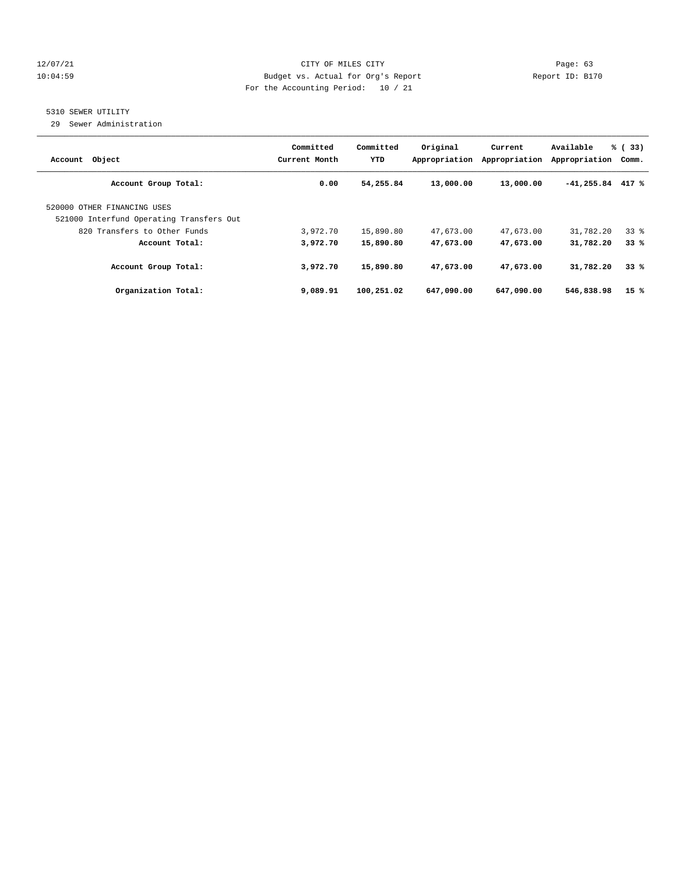# 12/07/21 CITY OF MILES CITY Page: 63 10:04:59 Budget vs. Actual for Org's Report Report ID: B170 For the Accounting Period: 10 / 21

# 5310 SEWER UTILITY

29 Sewer Administration

| Object<br>Account                                                       | Committed<br>Current Month | Committed<br>YTD | Original<br>Appropriation | Current<br>Appropriation | Available<br>Appropriation | % (33)<br>Comm. |
|-------------------------------------------------------------------------|----------------------------|------------------|---------------------------|--------------------------|----------------------------|-----------------|
| Account Group Total:                                                    | 0.00                       | 54,255.84        | 13,000.00                 | 13,000.00                | $-41,255.84$               | 417 %           |
| 520000 OTHER FINANCING USES<br>521000 Interfund Operating Transfers Out |                            |                  |                           |                          |                            |                 |
| 820 Transfers to Other Funds                                            | 3,972.70                   | 15,890.80        | 47,673.00                 | 47,673.00                | 31,782.20                  | 338             |
| Account Total:                                                          | 3,972.70                   | 15,890.80        | 47,673.00                 | 47,673.00                | 31,782.20                  | 33%             |
| Account Group Total:                                                    | 3,972.70                   | 15,890.80        | 47,673.00                 | 47,673.00                | 31,782.20                  | 33%             |
| Organization Total:                                                     | 9,089.91                   | 100,251.02       | 647,090.00                | 647,090.00               | 546,838.98                 | 15%             |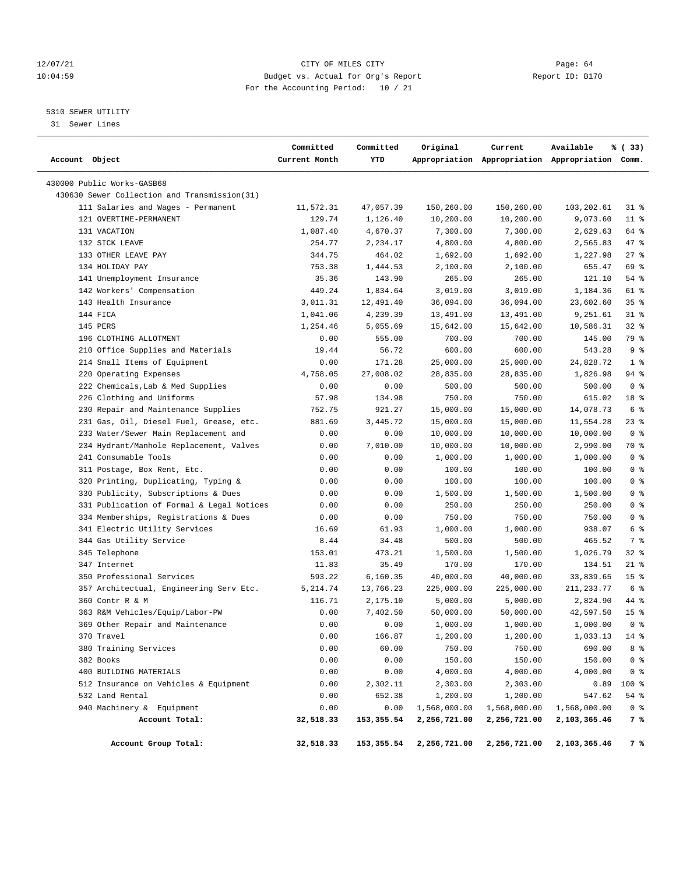# 12/07/21 CITY OF MILES CITY Page: 64 10:04:59 Budget vs. Actual for Org's Report Report ID: B170 For the Accounting Period: 10 / 21

————————————————————————————————————————————————————————————————————————————————————————————————————————————————————————————————————

# 5310 SEWER UTILITY

31 Sewer Lines

|                |                                              | Committed     | Committed  | Original     | Current      | Available                                       | % (33)          |
|----------------|----------------------------------------------|---------------|------------|--------------|--------------|-------------------------------------------------|-----------------|
| Account Object |                                              | Current Month | YTD        |              |              | Appropriation Appropriation Appropriation Comm. |                 |
|                | 430000 Public Works-GASB68                   |               |            |              |              |                                                 |                 |
|                | 430630 Sewer Collection and Transmission(31) |               |            |              |              |                                                 |                 |
|                | 111 Salaries and Wages - Permanent           | 11,572.31     | 47,057.39  | 150,260.00   | 150,260.00   | 103,202.61                                      | 318             |
|                | 121 OVERTIME-PERMANENT                       | 129.74        | 1,126.40   | 10,200.00    | 10,200.00    | 9,073.60                                        | $11$ %          |
|                | 131 VACATION                                 | 1,087.40      | 4,670.37   | 7,300.00     | 7,300.00     | 2,629.63                                        | 64 %            |
|                | 132 SICK LEAVE                               | 254.77        | 2,234.17   | 4,800.00     | 4,800.00     | 2,565.83                                        | 47 %            |
|                | 133 OTHER LEAVE PAY                          | 344.75        | 464.02     | 1,692.00     | 1,692.00     | 1,227.98                                        | $27$ %          |
|                | 134 HOLIDAY PAY                              | 753.38        | 1,444.53   | 2,100.00     | 2,100.00     | 655.47                                          | 69 %            |
|                | 141 Unemployment Insurance                   | 35.36         | 143.90     | 265.00       | 265.00       | 121.10                                          | 54 %            |
|                | 142 Workers' Compensation                    | 449.24        | 1,834.64   | 3,019.00     | 3,019.00     | 1,184.36                                        | 61 %            |
|                | 143 Health Insurance                         | 3,011.31      | 12,491.40  | 36,094.00    | 36,094.00    | 23,602.60                                       | 35%             |
|                | 144 FICA                                     | 1,041.06      | 4,239.39   | 13,491.00    | 13,491.00    | 9,251.61                                        | $31$ %          |
|                | 145 PERS                                     | 1,254.46      | 5,055.69   | 15,642.00    | 15,642.00    | 10,586.31                                       | $32$ $%$        |
|                | 196 CLOTHING ALLOTMENT                       | 0.00          | 555.00     | 700.00       | 700.00       | 145.00                                          | 79 %            |
|                | 210 Office Supplies and Materials            | 19.44         | 56.72      | 600.00       | 600.00       | 543.28                                          | 9%              |
|                | 214 Small Items of Equipment                 | 0.00          | 171.28     | 25,000.00    | 25,000.00    | 24,828.72                                       | 1 <sup>8</sup>  |
|                | 220 Operating Expenses                       | 4,758.05      | 27,008.02  | 28,835.00    | 28,835.00    | 1,826.98                                        | 94 %            |
|                | 222 Chemicals, Lab & Med Supplies            | 0.00          | 0.00       | 500.00       | 500.00       | 500.00                                          | 0 <sup>8</sup>  |
|                | 226 Clothing and Uniforms                    | 57.98         | 134.98     | 750.00       | 750.00       | 615.02                                          | 18 %            |
|                | 230 Repair and Maintenance Supplies          | 752.75        | 921.27     | 15,000.00    | 15,000.00    | 14,078.73                                       | 6 %             |
|                | 231 Gas, Oil, Diesel Fuel, Grease, etc.      | 881.69        | 3,445.72   | 15,000.00    | 15,000.00    | 11,554.28                                       | $23$ %          |
|                | 233 Water/Sewer Main Replacement and         | 0.00          | 0.00       | 10,000.00    | 10,000.00    | 10,000.00                                       | 0 <sup>8</sup>  |
|                | 234 Hydrant/Manhole Replacement, Valves      | 0.00          | 7,010.00   | 10,000.00    | 10,000.00    | 2,990.00                                        | 70 %            |
|                | 241 Consumable Tools                         | 0.00          | 0.00       | 1,000.00     | 1,000.00     | 1,000.00                                        | 0 <sup>8</sup>  |
|                | 311 Postage, Box Rent, Etc.                  | 0.00          | 0.00       | 100.00       | 100.00       | 100.00                                          | 0 <sup>8</sup>  |
|                | 320 Printing, Duplicating, Typing &          | 0.00          | 0.00       | 100.00       | 100.00       | 100.00                                          | 0 <sup>8</sup>  |
|                | 330 Publicity, Subscriptions & Dues          | 0.00          | 0.00       | 1,500.00     | 1,500.00     | 1,500.00                                        | 0 <sup>8</sup>  |
|                | 331 Publication of Formal & Legal Notices    | 0.00          | 0.00       | 250.00       | 250.00       | 250.00                                          | 0 <sup>8</sup>  |
|                | 334 Memberships, Registrations & Dues        | 0.00          | 0.00       | 750.00       | 750.00       | 750.00                                          | 0 <sup>8</sup>  |
|                | 341 Electric Utility Services                | 16.69         | 61.93      | 1,000.00     | 1,000.00     | 938.07                                          | 6 %             |
|                | 344 Gas Utility Service                      | 8.44          | 34.48      | 500.00       | 500.00       | 465.52                                          | 7 %             |
|                | 345 Telephone                                | 153.01        | 473.21     | 1,500.00     | 1,500.00     | 1,026.79                                        | 32 %            |
|                | 347 Internet                                 | 11.83         | 35.49      | 170.00       | 170.00       | 134.51                                          | $21$ %          |
|                | 350 Professional Services                    | 593.22        | 6,160.35   | 40,000.00    | 40,000.00    | 33,839.65                                       | 15 <sup>°</sup> |
|                | 357 Architectual, Engineering Serv Etc.      | 5,214.74      | 13,766.23  | 225,000.00   | 225,000.00   | 211, 233.77                                     | 6 %             |
|                | 360 Contr R & M                              | 116.71        | 2,175.10   | 5,000.00     | 5,000.00     | 2,824.90                                        | 44 %            |
|                | 363 R&M Vehicles/Equip/Labor-PW              | 0.00          | 7,402.50   | 50,000.00    | 50,000.00    | 42,597.50                                       | 15 <sup>8</sup> |
|                | 369 Other Repair and Maintenance             | 0.00          | 0.00       | 1,000.00     | 1,000.00     | 1,000.00                                        | 0 <sup>8</sup>  |
|                | 370 Travel                                   | 0.00          | 166.87     | 1,200.00     | 1,200.00     | $1,033.13$ 14 %                                 |                 |
|                | 380 Training Services                        | 0.00          | 60.00      | 750.00       | 750.00       | 690.00                                          | 8 %             |
|                | 382 Books                                    | 0.00          | 0.00       | 150.00       | 150.00       | 150.00                                          | 0 <sup>8</sup>  |
|                | 400 BUILDING MATERIALS                       | 0.00          | 0.00       | 4,000.00     | 4,000.00     | 4,000.00                                        | 0 <sup>8</sup>  |
|                | 512 Insurance on Vehicles & Equipment        | 0.00          | 2,302.11   | 2,303.00     | 2,303.00     | 0.89                                            | 100 %           |
|                | 532 Land Rental                              | 0.00          | 652.38     | 1,200.00     | 1,200.00     | 547.62                                          | 54 %            |
|                | 940 Machinery & Equipment                    | 0.00          | 0.00       | 1,568,000.00 | 1,568,000.00 | 1,568,000.00                                    | 0 <sup>8</sup>  |
|                | Account Total:                               | 32,518.33     | 153,355.54 | 2,256,721.00 | 2,256,721.00 | 2,103,365.46                                    | 7 %             |
|                | Account Group Total:                         | 32,518.33     | 153,355.54 | 2,256,721.00 | 2,256,721.00 | 2,103,365.46                                    | 7 %             |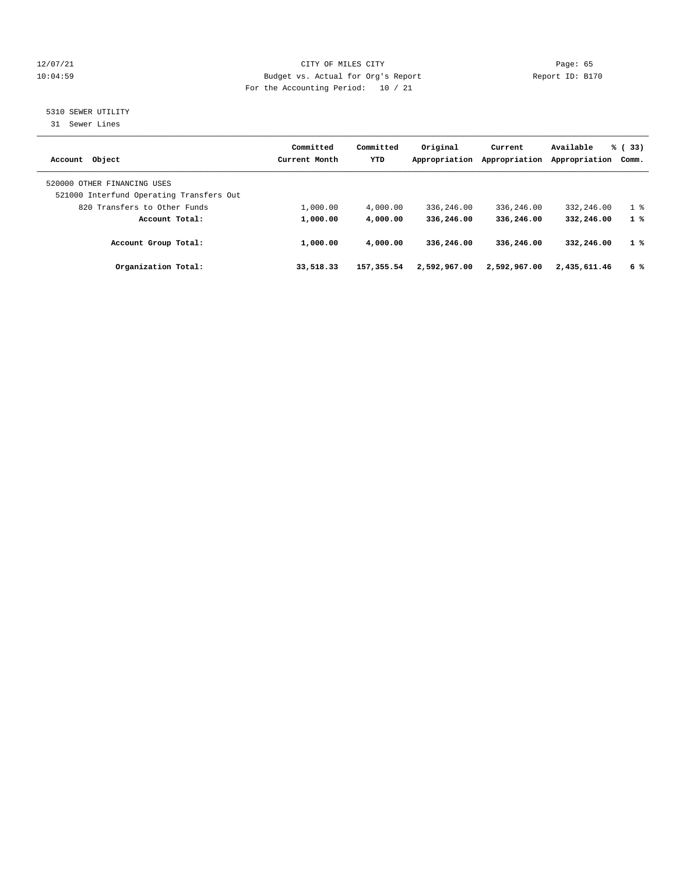# 12/07/21 CITY OF MILES CITY Page: 65 10:04:59 Budget vs. Actual for Org's Report Report ID: B170 For the Accounting Period: 10 / 21

# 5310 SEWER UTILITY

31 Sewer Lines

| Account Object                                                          | Committed<br>Current Month | Committed<br>YTD | Original<br>Appropriation | Current<br>Appropriation | Available<br>Appropriation | % (33)<br>Comm. |
|-------------------------------------------------------------------------|----------------------------|------------------|---------------------------|--------------------------|----------------------------|-----------------|
| 520000 OTHER FINANCING USES<br>521000 Interfund Operating Transfers Out |                            |                  |                           |                          |                            |                 |
| 820 Transfers to Other Funds                                            | 1,000.00                   | 4,000.00         | 336,246.00                | 336,246.00               | 332,246.00                 | 1 <sup>8</sup>  |
| Account Total:                                                          | 1,000.00                   | 4,000.00         | 336,246.00                | 336,246.00               | 332,246.00                 | 1%              |
| Account Group Total:                                                    | 1,000.00                   | 4,000.00         | 336,246.00                | 336,246.00               | 332,246.00                 | 1%              |
| Organization Total:                                                     | 33,518.33                  | 157, 355.54      | 2,592,967.00              | 2,592,967.00             | 2,435,611.46               | 6 %             |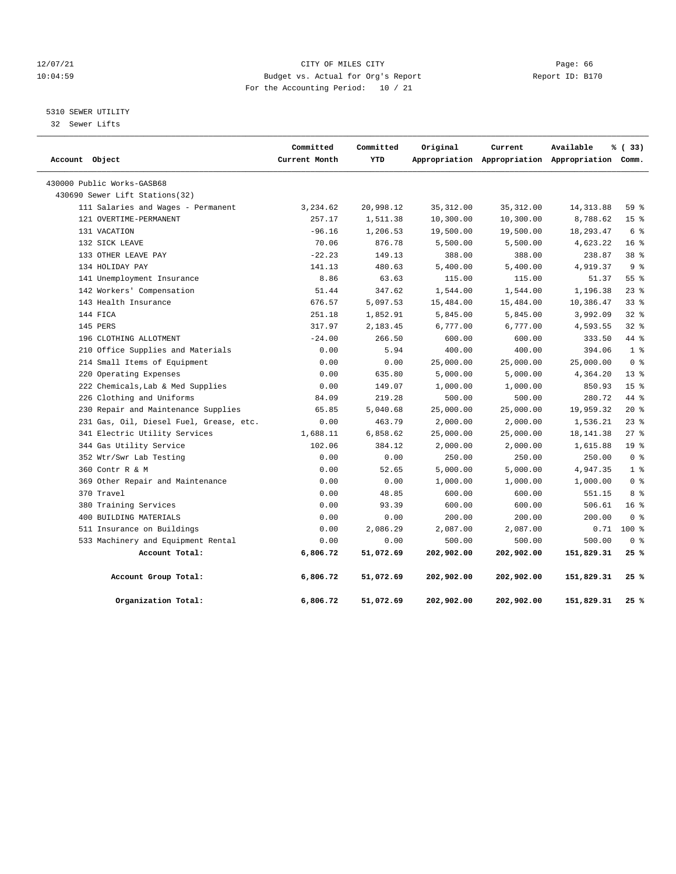# 12/07/21 CITY OF MILES CITY Page: 66 10:04:59 Budget vs. Actual for Org's Report Report ID: B170 For the Accounting Period: 10 / 21

# 5310 SEWER UTILITY

32 Sewer Lifts

| Account Object |                                         | Committed<br>Current Month | Committed<br>YTD | Original   | Current    | Available<br>Appropriation Appropriation Appropriation Comm. | % (33)                             |
|----------------|-----------------------------------------|----------------------------|------------------|------------|------------|--------------------------------------------------------------|------------------------------------|
|                | 430000 Public Works-GASB68              |                            |                  |            |            |                                                              |                                    |
|                | 430690 Sewer Lift Stations(32)          |                            |                  |            |            |                                                              |                                    |
|                | 111 Salaries and Wages - Permanent      | 3,234.62                   | 20,998.12        | 35, 312.00 | 35, 312.00 | 14, 313.88                                                   | 59%                                |
|                | 121 OVERTIME-PERMANENT                  | 257.17                     | 1,511.38         | 10,300.00  | 10,300.00  | 8,788.62                                                     | 15 <sup>°</sup>                    |
|                | 131 VACATION                            | $-96.16$                   | 1,206.53         | 19,500.00  | 19,500.00  | 18,293.47                                                    | 6 %                                |
|                | 132 SICK LEAVE                          | 70.06                      | 876.78           | 5,500.00   | 5,500.00   | 4,623.22                                                     | 16 <sup>°</sup>                    |
|                | 133 OTHER LEAVE PAY                     | $-22.23$                   | 149.13           | 388.00     | 388.00     | 238.87                                                       | 38 %                               |
|                | 134 HOLIDAY PAY                         | 141.13                     | 480.63           | 5,400.00   | 5,400.00   | 4,919.37                                                     | 9 <sup>8</sup>                     |
|                | 141 Unemployment Insurance              | 8.86                       | 63.63            | 115.00     | 115.00     | 51.37                                                        | 55 %                               |
|                | 142 Workers' Compensation               | 51.44                      | 347.62           | 1,544.00   | 1,544.00   | 1,196.38                                                     | $23$ $%$                           |
|                | 143 Health Insurance                    | 676.57                     | 5,097.53         | 15,484.00  | 15,484.00  | 10,386.47                                                    | 338                                |
|                | 144 FICA                                | 251.18                     | 1,852.91         | 5,845.00   | 5,845.00   | 3,992.09                                                     | $32*$                              |
|                | 145 PERS                                | 317.97                     | 2,183.45         | 6,777.00   | 6,777.00   | 4,593.55                                                     | 32%                                |
|                | 196 CLOTHING ALLOTMENT                  | $-24.00$                   | 266.50           | 600.00     | 600.00     | 333.50                                                       | 44 %                               |
|                | 210 Office Supplies and Materials       | 0.00                       | 5.94             | 400.00     | 400.00     | 394.06                                                       | 1 <sup>8</sup>                     |
|                | 214 Small Items of Equipment            | 0.00                       | 0.00             | 25,000.00  | 25,000.00  | 25,000.00                                                    | 0 <sup>8</sup>                     |
|                | 220 Operating Expenses                  | 0.00                       | 635.80           | 5,000.00   | 5,000.00   | 4,364.20                                                     | $13*$                              |
|                | 222 Chemicals, Lab & Med Supplies       | 0.00                       | 149.07           | 1,000.00   | 1,000.00   | 850.93                                                       | 15 <sup>8</sup>                    |
|                | 226 Clothing and Uniforms               | 84.09                      | 219.28           | 500.00     | 500.00     | 280.72                                                       | 44 %                               |
|                | 230 Repair and Maintenance Supplies     | 65.85                      | 5,040.68         | 25,000.00  | 25,000.00  | 19,959.32                                                    | $20*$                              |
|                | 231 Gas, Oil, Diesel Fuel, Grease, etc. | 0.00                       | 463.79           | 2,000.00   | 2,000.00   | 1,536.21                                                     | $23$ $%$                           |
|                | 341 Electric Utility Services           | 1,688.11                   | 6,858.62         | 25,000.00  | 25,000.00  | 18, 141. 38                                                  | 27%                                |
|                | 344 Gas Utility Service                 | 102.06                     | 384.12           | 2,000.00   | 2,000.00   | 1,615.88                                                     | 19 <sup>8</sup>                    |
|                | 352 Wtr/Swr Lab Testing                 | 0.00                       | 0.00             | 250.00     | 250.00     | 250.00                                                       | 0 <sup>8</sup>                     |
|                | 360 Contr R & M                         | 0.00                       | 52.65            | 5,000.00   | 5,000.00   | 4,947.35                                                     | 1 <sup>8</sup>                     |
|                | 369 Other Repair and Maintenance        | 0.00                       | 0.00             | 1,000.00   | 1,000.00   | 1,000.00                                                     | 0 <sup>8</sup>                     |
|                | 370 Travel                              | 0.00                       | 48.85            | 600.00     | 600.00     | 551.15                                                       | 8 %                                |
|                | 380 Training Services                   | 0.00                       | 93.39            | 600.00     | 600.00     | 506.61                                                       | 16 <sup>°</sup>                    |
|                | 400 BUILDING MATERIALS                  | 0.00                       | 0.00             | 200.00     | 200.00     | 200.00                                                       | $0 \text{ }$ $\text{ }$ $\text{ }$ |
|                | 511 Insurance on Buildings              | 0.00                       | 2,086.29         | 2,087.00   | 2,087.00   | 0.71                                                         | 100 %                              |
|                | 533 Machinery and Equipment Rental      | 0.00                       | 0.00             | 500.00     | 500.00     | 500.00                                                       | 0 <sup>8</sup>                     |
|                | Account Total:                          | 6,806.72                   | 51,072.69        | 202,902.00 | 202,902.00 | 151,829.31                                                   | 25%                                |
|                | Account Group Total:                    | 6,806.72                   | 51,072.69        | 202,902.00 | 202,902.00 | 151,829.31                                                   | 25%                                |
|                | Organization Total:                     | 6,806.72                   | 51,072.69        | 202,902.00 | 202,902.00 | 151,829.31                                                   | 25 %                               |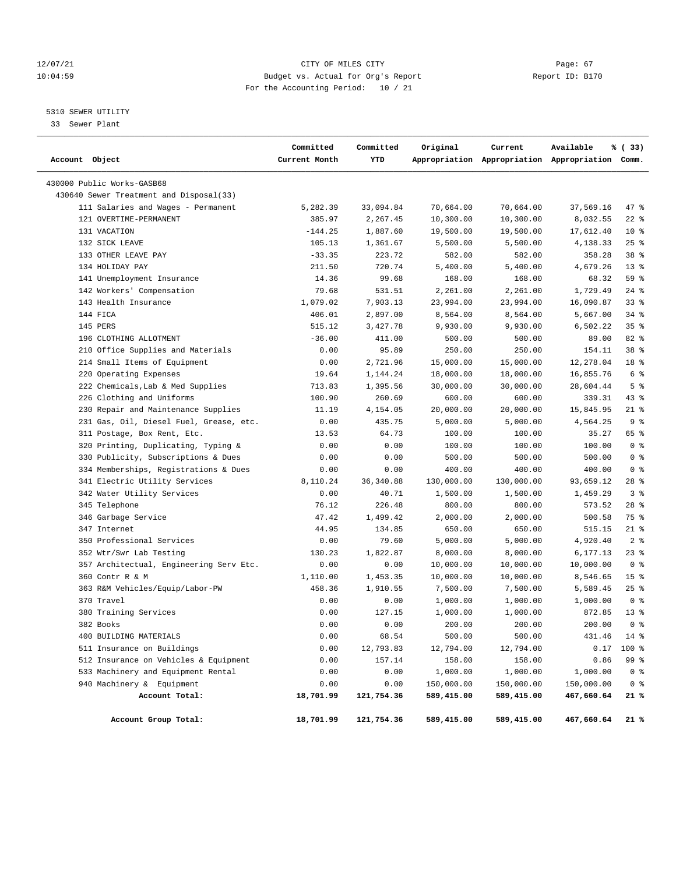# 12/07/21 CITY OF MILES CITY Page: 67 10:04:59 Budget vs. Actual for Org's Report Report ID: B170 For the Accounting Period: 10 / 21

# 5310 SEWER UTILITY

33 Sewer Plant

| Account Object                          | Committed<br>Current Month | Committed<br>YTD | Original   | Current    | Available<br>Appropriation Appropriation Appropriation Comm. | % (33)          |  |
|-----------------------------------------|----------------------------|------------------|------------|------------|--------------------------------------------------------------|-----------------|--|
| 430000 Public Works-GASB68              |                            |                  |            |            |                                                              |                 |  |
| 430640 Sewer Treatment and Disposal(33) |                            |                  |            |            |                                                              |                 |  |
| 111 Salaries and Wages - Permanent      | 5,282.39                   | 33,094.84        | 70,664.00  | 70,664.00  | 37,569.16                                                    | 47 %            |  |
| 121 OVERTIME-PERMANENT                  | 385.97                     | 2,267.45         | 10,300.00  | 10,300.00  | 8,032.55                                                     | $22$ %          |  |
| 131 VACATION                            | $-144.25$                  | 1,887.60         | 19,500.00  | 19,500.00  | 17,612.40                                                    | $10*$           |  |
| 132 SICK LEAVE                          | 105.13                     | 1,361.67         | 5,500.00   | 5,500.00   | 4,138.33                                                     | $25$ %          |  |
| 133 OTHER LEAVE PAY                     | $-33.35$                   | 223.72           | 582.00     | 582.00     | 358.28                                                       | 38 %            |  |
| 134 HOLIDAY PAY                         | 211.50                     | 720.74           | 5,400.00   | 5,400.00   | 4,679.26                                                     | $13*$           |  |
| 141 Unemployment Insurance              | 14.36                      | 99.68            | 168.00     | 168.00     | 68.32                                                        | 59 %            |  |
| 142 Workers' Compensation               | 79.68                      | 531.51           | 2,261.00   | 2,261.00   | 1,729.49                                                     | 24%             |  |
| 143 Health Insurance                    | 1,079.02                   | 7,903.13         | 23,994.00  | 23,994.00  | 16,090.87                                                    | $33$ $%$        |  |
| 144 FICA                                | 406.01                     | 2,897.00         | 8,564.00   | 8,564.00   | 5,667.00                                                     | $34$ $%$        |  |
| 145 PERS                                | 515.12                     | 3,427.78         | 9,930.00   | 9,930.00   | 6,502.22                                                     | 35 <sup>8</sup> |  |
| 196 CLOTHING ALLOTMENT                  | $-36.00$                   | 411.00           | 500.00     | 500.00     | 89.00                                                        | 82 %            |  |
| 210 Office Supplies and Materials       | 0.00                       | 95.89            | 250.00     | 250.00     | 154.11                                                       | 38 <sup>8</sup> |  |
| 214 Small Items of Equipment            | 0.00                       | 2,721.96         | 15,000.00  | 15,000.00  | 12,278.04                                                    | 18 %            |  |
| 220 Operating Expenses                  | 19.64                      | 1,144.24         | 18,000.00  | 18,000.00  | 16,855.76                                                    | 6 %             |  |
| 222 Chemicals, Lab & Med Supplies       | 713.83                     | 1,395.56         | 30,000.00  | 30,000.00  | 28,604.44                                                    | 5 <sup>8</sup>  |  |
| 226 Clothing and Uniforms               | 100.90                     | 260.69           | 600.00     | 600.00     | 339.31                                                       | $43$ %          |  |
| 230 Repair and Maintenance Supplies     | 11.19                      | 4,154.05         | 20,000.00  | 20,000.00  | 15,845.95                                                    | $21$ %          |  |
| 231 Gas, Oil, Diesel Fuel, Grease, etc. | 0.00                       | 435.75           | 5,000.00   | 5,000.00   | 4,564.25                                                     | 9 <sup>8</sup>  |  |
| 311 Postage, Box Rent, Etc.             | 13.53                      | 64.73            | 100.00     | 100.00     | 35.27                                                        | 65 %            |  |
| 320 Printing, Duplicating, Typing &     | 0.00                       | 0.00             | 100.00     | 100.00     | 100.00                                                       | 0 <sup>8</sup>  |  |
| 330 Publicity, Subscriptions & Dues     | 0.00                       | 0.00             | 500.00     | 500.00     | 500.00                                                       | 0 <sup>8</sup>  |  |
| 334 Memberships, Registrations & Dues   | 0.00                       | 0.00             | 400.00     | 400.00     | 400.00                                                       | 0 <sup>8</sup>  |  |
| 341 Electric Utility Services           | 8,110.24                   | 36, 340.88       | 130,000.00 | 130,000.00 | 93,659.12                                                    | $28$ %          |  |
| 342 Water Utility Services              | 0.00                       | 40.71            | 1,500.00   | 1,500.00   | 1,459.29                                                     | 3%              |  |
| 345 Telephone                           | 76.12                      | 226.48           | 800.00     | 800.00     | 573.52                                                       | $28$ %          |  |
| 346 Garbage Service                     | 47.42                      | 1,499.42         | 2,000.00   | 2,000.00   | 500.58                                                       | 75 %            |  |
| 347 Internet                            | 44.95                      | 134.85           | 650.00     | 650.00     | 515.15                                                       | $21$ %          |  |
| 350 Professional Services               | 0.00                       | 79.60            | 5,000.00   | 5,000.00   | 4,920.40                                                     | 2 <sup>8</sup>  |  |
| 352 Wtr/Swr Lab Testing                 | 130.23                     | 1,822.87         | 8,000.00   | 8,000.00   | 6,177.13                                                     | $23$ %          |  |
| 357 Architectual, Engineering Serv Etc. | 0.00                       | 0.00             | 10,000.00  | 10,000.00  | 10,000.00                                                    | 0 <sup>8</sup>  |  |
| 360 Contr R & M                         | 1,110.00                   | 1,453.35         | 10,000.00  | 10,000.00  | 8,546.65                                                     | 15 <sup>8</sup> |  |
| 363 R&M Vehicles/Equip/Labor-PW         | 458.36                     | 1,910.55         | 7,500.00   | 7,500.00   | 5,589.45                                                     | 25%             |  |
| 370 Travel                              | 0.00                       | 0.00             | 1,000.00   | 1,000.00   | 1,000.00                                                     | 0 <sup>8</sup>  |  |
| 380 Training Services                   | 0.00                       | 127.15           | 1,000.00   | 1,000.00   | 872.85                                                       | $13*$           |  |
| 382 Books                               | 0.00                       | 0.00             | 200.00     | 200.00     | 200.00                                                       | 0 <sup>8</sup>  |  |
| 400 BUILDING MATERIALS                  | 0.00                       | 68.54            | 500.00     | 500.00     | 431.46                                                       | 14 %            |  |
| 511 Insurance on Buildings              | 0.00                       | 12,793.83        | 12,794.00  | 12,794.00  | 0.17                                                         | 100 %           |  |
| 512 Insurance on Vehicles & Equipment   | 0.00                       | 157.14           | 158.00     | 158.00     | 0.86                                                         | 99 %            |  |
| 533 Machinery and Equipment Rental      | 0.00                       | 0.00             | 1,000.00   | 1,000.00   | 1,000.00                                                     | 0 <sup>8</sup>  |  |
| 940 Machinery & Equipment               | 0.00                       | 0.00             | 150,000.00 | 150,000.00 | 150,000.00                                                   | 0 <sup>8</sup>  |  |
| Account Total:                          | 18,701.99                  | 121,754.36       | 589,415.00 | 589,415.00 | 467,660.64                                                   | 21 %            |  |
| Account Group Total:                    | 18,701.99                  | 121,754.36       | 589,415.00 | 589,415.00 | 467,660.64                                                   | 21%             |  |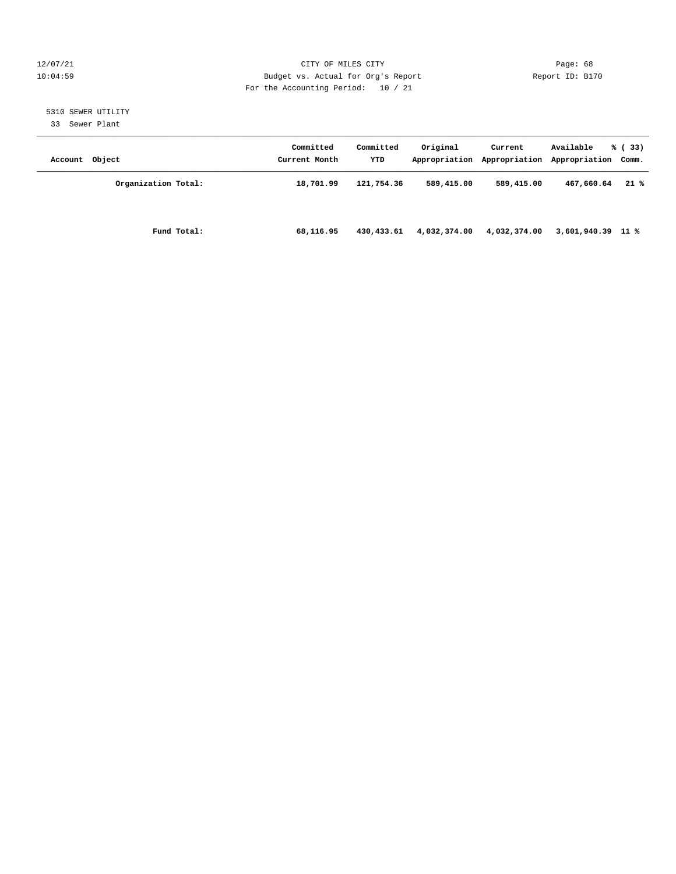# 12/07/21 CITY OF MILES CITY Page: 68 10:04:59 Budget vs. Actual for Org's Report Report ID: B170 For the Accounting Period: 10 / 21

# 5310 SEWER UTILITY

33 Sewer Plant

| Account Object |                     | Committed<br>Current Month | Committed<br>YTD | Original     | Current      | Available<br>Appropriation Appropriation Appropriation Comm. | % (33) |
|----------------|---------------------|----------------------------|------------------|--------------|--------------|--------------------------------------------------------------|--------|
|                | Organization Total: | 18,701.99                  | 121,754.36       | 589,415.00   | 589,415.00   | 467,660.64                                                   | $21*$  |
|                | Fund Total:         | 68,116.95                  | 430,433.61       | 4,032,374.00 | 4,032,374.00 | 3,601,940.39 11 %                                            |        |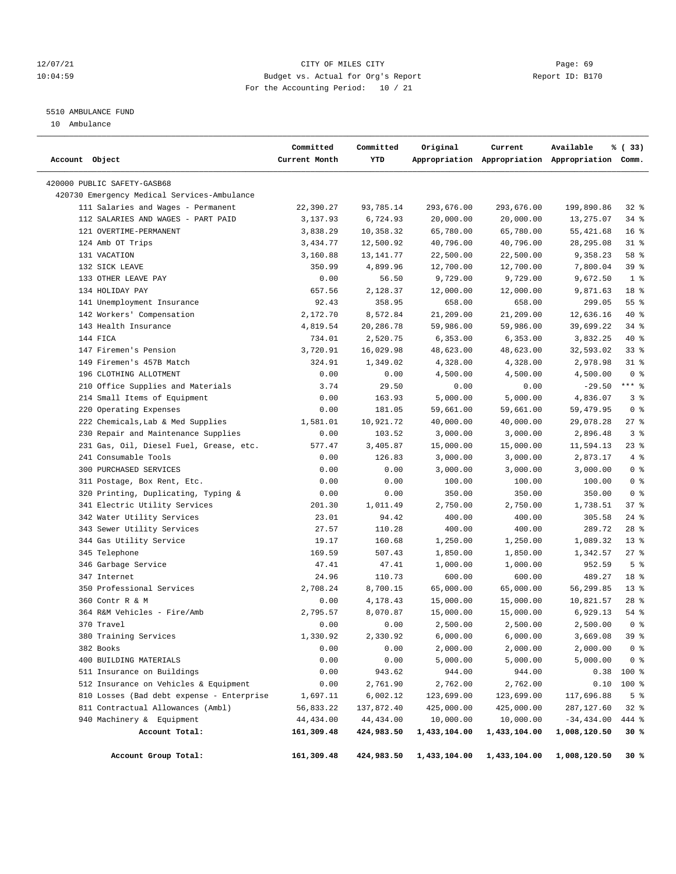# 12/07/21 CITY OF MILES CITY Page: 69 10:04:59 Budget vs. Actual for Org's Report Report ID: B170 For the Accounting Period: 10 / 21

————————————————————————————————————————————————————————————————————————————————————————————————————————————————————————————————————

# 5510 AMBULANCE FUND

10 Ambulance

|                |                                             | Committed     | Committed  | Original     | Current      | Available                                       | % (33)          |
|----------------|---------------------------------------------|---------------|------------|--------------|--------------|-------------------------------------------------|-----------------|
| Account Object |                                             | Current Month | YTD        |              |              | Appropriation Appropriation Appropriation Comm. |                 |
|                | 420000 PUBLIC SAFETY-GASB68                 |               |            |              |              |                                                 |                 |
|                | 420730 Emergency Medical Services-Ambulance |               |            |              |              |                                                 |                 |
|                | 111 Salaries and Wages - Permanent          | 22,390.27     | 93,785.14  | 293,676.00   | 293,676.00   | 199,890.86                                      | $32$ $%$        |
|                | 112 SALARIES AND WAGES - PART PAID          | 3,137.93      | 6,724.93   | 20,000.00    | 20,000.00    | 13,275.07                                       | 34%             |
|                | 121 OVERTIME-PERMANENT                      | 3,838.29      | 10,358.32  | 65,780.00    | 65,780.00    | 55, 421.68                                      | 16 <sup>8</sup> |
|                | 124 Amb OT Trips                            | 3,434.77      | 12,500.92  | 40,796.00    | 40,796.00    | 28, 295.08                                      | $31$ %          |
|                | 131 VACATION                                | 3,160.88      | 13,141.77  | 22,500.00    | 22,500.00    | 9,358.23                                        | 58 %            |
|                | 132 SICK LEAVE                              | 350.99        | 4,899.96   | 12,700.00    | 12,700.00    | 7,800.04                                        | 39 %            |
|                | 133 OTHER LEAVE PAY                         | 0.00          | 56.50      | 9,729.00     | 9,729.00     | 9,672.50                                        | 1 <sup>8</sup>  |
|                | 134 HOLIDAY PAY                             | 657.56        | 2,128.37   | 12,000.00    | 12,000.00    | 9,871.63                                        | 18 %            |
|                | 141 Unemployment Insurance                  | 92.43         | 358.95     | 658.00       | 658.00       | 299.05                                          | 55%             |
|                | 142 Workers' Compensation                   | 2,172.70      | 8,572.84   | 21,209.00    | 21,209.00    | 12,636.16                                       | 40 %            |
|                | 143 Health Insurance                        | 4,819.54      | 20,286.78  | 59,986.00    | 59,986.00    | 39,699.22                                       | 34%             |
|                | 144 FICA                                    | 734.01        | 2,520.75   | 6,353.00     | 6,353.00     | 3,832.25                                        | $40*$           |
|                | 147 Firemen's Pension                       | 3,720.91      | 16,029.98  | 48,623.00    | 48,623.00    | 32,593.02                                       | 33%             |
|                | 149 Firemen's 457B Match                    | 324.91        | 1,349.02   | 4,328.00     | 4,328.00     | 2,978.98                                        | $31$ %          |
|                | 196 CLOTHING ALLOTMENT                      | 0.00          | 0.00       | 4,500.00     | 4,500.00     | 4,500.00                                        | 0 <sup>8</sup>  |
|                | 210 Office Supplies and Materials           | 3.74          | 29.50      | 0.00         | 0.00         | $-29.50$                                        | $***$ $-$       |
|                | 214 Small Items of Equipment                | 0.00          | 163.93     | 5,000.00     | 5,000.00     | 4,836.07                                        | 3%              |
|                | 220 Operating Expenses                      | 0.00          | 181.05     | 59,661.00    | 59,661.00    | 59,479.95                                       | 0 <sup>8</sup>  |
|                | 222 Chemicals, Lab & Med Supplies           | 1,581.01      | 10,921.72  | 40,000.00    | 40,000.00    | 29,078.28                                       | $27$ %          |
|                | 230 Repair and Maintenance Supplies         | 0.00          | 103.52     | 3,000.00     | 3,000.00     | 2,896.48                                        | 3%              |
|                | 231 Gas, Oil, Diesel Fuel, Grease, etc.     | 577.47        | 3,405.87   | 15,000.00    | 15,000.00    | 11,594.13                                       | $23$ %          |
|                | 241 Consumable Tools                        | 0.00          | 126.83     | 3,000.00     | 3,000.00     | 2,873.17                                        | $4\degree$      |
|                | 300 PURCHASED SERVICES                      | 0.00          | 0.00       | 3,000.00     | 3,000.00     | 3,000.00                                        | 0 <sup>8</sup>  |
|                | 311 Postage, Box Rent, Etc.                 | 0.00          | 0.00       | 100.00       | 100.00       | 100.00                                          | 0 <sup>8</sup>  |
|                | 320 Printing, Duplicating, Typing &         | 0.00          | 0.00       | 350.00       | 350.00       | 350.00                                          | 0 <sup>8</sup>  |
|                | 341 Electric Utility Services               | 201.30        | 1,011.49   | 2,750.00     | 2,750.00     | 1,738.51                                        | 37%             |
|                | 342 Water Utility Services                  | 23.01         | 94.42      | 400.00       | 400.00       | 305.58                                          | $24$ %          |
|                | 343 Sewer Utility Services                  | 27.57         | 110.28     | 400.00       | 400.00       | 289.72                                          | $28$ %          |
|                | 344 Gas Utility Service                     | 19.17         | 160.68     | 1,250.00     | 1,250.00     | 1,089.32                                        | $13*$           |
|                | 345 Telephone                               | 169.59        | 507.43     | 1,850.00     | 1,850.00     | 1,342.57                                        | $27$ %          |
|                | 346 Garbage Service                         | 47.41         | 47.41      | 1,000.00     | 1,000.00     | 952.59                                          | 5 <sup>8</sup>  |
|                | 347 Internet                                | 24.96         | 110.73     | 600.00       | 600.00       | 489.27                                          | 18 %            |
|                | 350 Professional Services                   | 2,708.24      | 8,700.15   | 65,000.00    | 65,000.00    | 56,299.85                                       | $13*$           |
|                | 360 Contr R & M                             | 0.00          | 4,178.43   | 15,000.00    | 15,000.00    | 10,821.57                                       | $28$ %          |
|                | 364 R&M Vehicles - Fire/Amb                 | 2,795.57      | 8,070.87   | 15,000.00    | 15,000.00    | 6,929.13                                        | 54 %            |
|                | 370 Travel                                  | 0.00          | 0.00       | 2,500.00     | 2,500.00     | 2,500.00                                        | 0 <sup>8</sup>  |
|                | 380 Training Services                       | 1,330.92      | 2,330.92   | 6,000.00     | 6,000.00     | 3,669.08                                        | 39%             |
|                | 382 Books                                   | 0.00          | 0.00       | 2,000.00     | 2,000.00     | 2,000.00                                        | 0 <sup>8</sup>  |
|                | 400 BUILDING MATERIALS                      | 0.00          | 0.00       | 5,000.00     | 5,000.00     | 5,000.00                                        | 0 <sup>8</sup>  |
|                | 511 Insurance on Buildings                  | 0.00          | 943.62     | 944.00       | 944.00       | 0.38                                            | 100 %           |
|                | 512 Insurance on Vehicles & Equipment       | 0.00          | 2,761.90   | 2,762.00     | 2,762.00     | 0.10                                            | 100 %           |
|                | 810 Losses (Bad debt expense - Enterprise   | 1,697.11      | 6,002.12   | 123,699.00   | 123,699.00   | 117,696.88                                      | 5 <sup>8</sup>  |
|                | 811 Contractual Allowances (Ambl)           | 56,833.22     | 137,872.40 | 425,000.00   | 425,000.00   | 287,127.60                                      | $32*$           |
|                | 940 Machinery & Equipment                   | 44,434.00     | 44, 434.00 | 10,000.00    | 10,000.00    | $-34,434.00$                                    | 444 %           |
|                | Account Total:                              | 161,309.48    | 424,983.50 | 1,433,104.00 | 1,433,104.00 | 1,008,120.50                                    | 30%             |
|                | Account Group Total:                        | 161,309.48    | 424,983.50 | 1,433,104.00 | 1,433,104.00 | 1,008,120.50                                    | 30%             |
|                |                                             |               |            |              |              |                                                 |                 |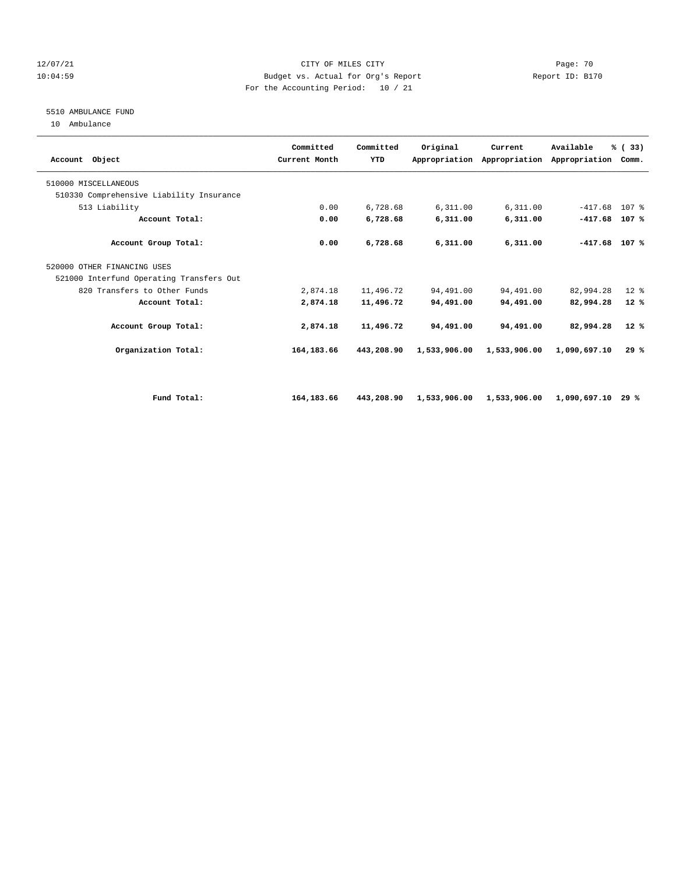# 12/07/21 CITY OF MILES CITY Page: 70 10:04:59 Budget vs. Actual for Org's Report Report ID: B170 For the Accounting Period: 10 / 21

# 5510 AMBULANCE FUND

10 Ambulance

| Account Object                           | Committed<br>Current Month | Committed<br><b>YTD</b> | Original     | Current      | Available<br>Appropriation Appropriation Appropriation Comm. | % (33) |  |
|------------------------------------------|----------------------------|-------------------------|--------------|--------------|--------------------------------------------------------------|--------|--|
| 510000 MISCELLANEOUS                     |                            |                         |              |              |                                                              |        |  |
| 510330 Comprehensive Liability Insurance |                            |                         |              |              |                                                              |        |  |
| 513 Liability                            | 0.00                       | 6,728.68                | 6,311.00     | 6,311.00     | $-417.68$ 107 %                                              |        |  |
| Account Total:                           | 0.00                       | 6,728.68                | 6,311.00     | 6,311.00     | $-417.68$                                                    | 107 %  |  |
| Account Group Total:                     | 0.00                       | 6,728.68                | 6,311.00     | 6,311.00     | $-417.68$ 107 %                                              |        |  |
| 520000 OTHER FINANCING USES              |                            |                         |              |              |                                                              |        |  |
| 521000 Interfund Operating Transfers Out |                            |                         |              |              |                                                              |        |  |
| 820 Transfers to Other Funds             | 2,874.18                   | 11,496.72               | 94,491.00    | 94,491.00    | 82,994.28                                                    | $12*$  |  |
| Account Total:                           | 2,874.18                   | 11,496.72               | 94,491.00    | 94,491.00    | 82,994.28                                                    | $12*$  |  |
| Account Group Total:                     | 2,874.18                   | 11,496.72               | 94,491.00    | 94,491.00    | 82,994.28                                                    | $12*$  |  |
| Organization Total:                      | 164, 183.66                | 443,208.90              | 1,533,906.00 | 1,533,906.00 | 1,090,697.10                                                 | 29%    |  |
|                                          |                            |                         |              |              |                                                              |        |  |
| Fund Total:                              | 164, 183, 66               | 443,208.90              | 1,533,906.00 | 1,533,906.00 | 1,090,697.10                                                 | 29 %   |  |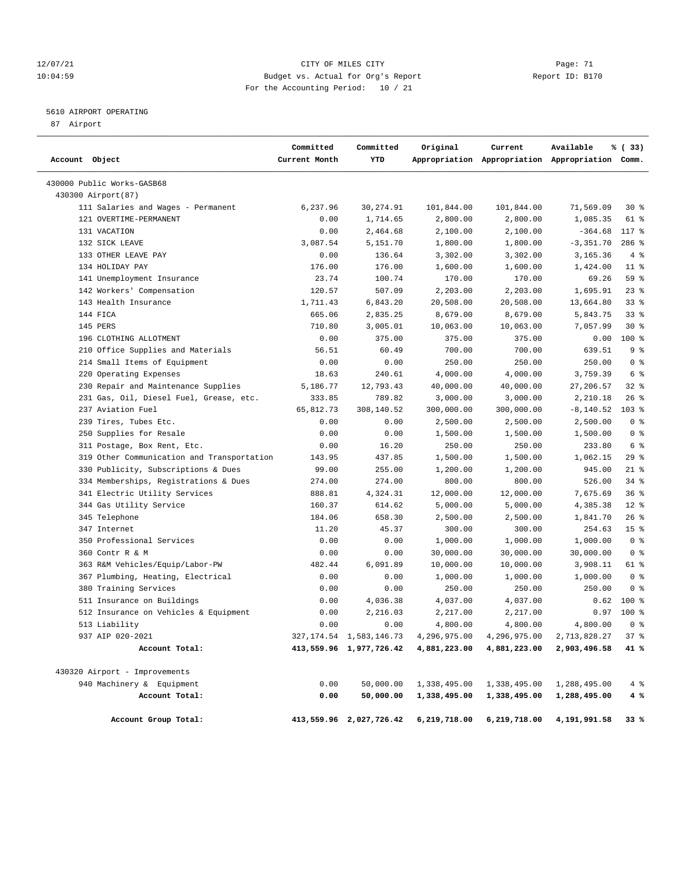# 12/07/21 CITY OF MILES CITY Page: 71 10:04:59 Budget vs. Actual for Org's Report Report ID: B170 For the Accounting Period: 10 / 21

# 5610 AIRPORT OPERATING

87 Airport

| Account Object |                                                    | Committed<br>Current Month | Committed<br>YTD           | Original              | Current                | Available<br>Appropriation Appropriation Appropriation Comm. | % (33)                           |
|----------------|----------------------------------------------------|----------------------------|----------------------------|-----------------------|------------------------|--------------------------------------------------------------|----------------------------------|
|                | 430000 Public Works-GASB68                         |                            |                            |                       |                        |                                                              |                                  |
|                | 430300 Airport (87)                                |                            |                            |                       |                        |                                                              |                                  |
|                | 111 Salaries and Wages - Permanent                 | 6,237.96                   | 30, 274.91                 | 101,844.00            | 101,844.00             | 71,569.09                                                    | 30 %                             |
|                | 121 OVERTIME-PERMANENT                             | 0.00                       | 1,714.65                   | 2,800.00              | 2,800.00               | 1,085.35                                                     | 61 %                             |
|                | 131 VACATION                                       | 0.00                       | 2,464.68                   | 2,100.00              | 2,100.00               | $-364.68$                                                    | 117 %                            |
|                | 132 SICK LEAVE                                     | 3,087.54                   | 5,151.70                   | 1,800.00              | 1,800.00               | $-3, 351.70$                                                 | $286$ %                          |
|                | 133 OTHER LEAVE PAY                                | 0.00                       | 136.64                     | 3,302.00              | 3,302.00               | 3,165.36                                                     | 4%                               |
|                | 134 HOLIDAY PAY                                    | 176.00                     | 176.00                     | 1,600.00              | 1,600.00               | 1,424.00                                                     | $11$ %                           |
|                | 141 Unemployment Insurance                         | 23.74                      | 100.74                     | 170.00                | 170.00                 | 69.26                                                        | 59 %                             |
|                | 142 Workers' Compensation                          | 120.57                     | 507.09                     | 2,203.00              | 2,203.00               | 1,695.91                                                     | $23$ $%$                         |
|                | 143 Health Insurance                               | 1,711.43                   | 6,843.20                   | 20,508.00             | 20,508.00              | 13,664.80                                                    | $33$ $%$                         |
|                | 144 FICA                                           | 665.06                     | 2,835.25                   | 8,679.00              | 8,679.00               | 5,843.75                                                     | $33$ $%$                         |
|                | 145 PERS                                           | 710.80                     | 3,005.01                   | 10,063.00             | 10,063.00              | 7,057.99                                                     | $30*$                            |
|                | 196 CLOTHING ALLOTMENT                             | 0.00                       | 375.00                     | 375.00                | 375.00                 | 0.00                                                         | 100 %                            |
|                | 210 Office Supplies and Materials                  | 56.51                      | 60.49                      | 700.00                | 700.00                 | 639.51                                                       | 9 <sup>8</sup>                   |
|                | 214 Small Items of Equipment                       | 0.00                       | 0.00                       | 250.00                | 250.00                 | 250.00                                                       | 0 <sup>8</sup>                   |
|                | 220 Operating Expenses                             | 18.63                      | 240.61                     | 4,000.00              | 4,000.00               | 3,759.39                                                     | 6 %                              |
|                | 230 Repair and Maintenance Supplies                | 5,186.77                   | 12,793.43                  | 40,000.00             | 40,000.00              | 27,206.57                                                    | $32$ $%$                         |
|                | 231 Gas, Oil, Diesel Fuel, Grease, etc.            | 333.85                     | 789.82                     | 3,000.00              | 3,000.00               | 2,210.18                                                     | 26%                              |
|                | 237 Aviation Fuel                                  | 65,812.73                  | 308,140.52                 | 300,000.00            | 300,000.00             | $-8, 140.52$                                                 | $103$ %                          |
|                | 239 Tires, Tubes Etc.                              | 0.00                       | 0.00                       | 2,500.00              | 2,500.00               | 2,500.00                                                     | 0 <sup>8</sup>                   |
|                | 250 Supplies for Resale                            | 0.00                       | 0.00                       | 1,500.00              | 1,500.00               | 1,500.00                                                     | 0 <sup>8</sup>                   |
|                | 311 Postage, Box Rent, Etc.                        | 0.00                       | 16.20                      | 250.00                | 250.00                 | 233.80                                                       | 6 %                              |
|                | 319 Other Communication and Transportation         | 143.95                     | 437.85                     | 1,500.00              | 1,500.00               | 1,062.15                                                     | 29%                              |
|                | 330 Publicity, Subscriptions & Dues                | 99.00                      | 255.00                     | 1,200.00              | 1,200.00               | 945.00                                                       | $21$ %                           |
|                | 334 Memberships, Registrations & Dues              | 274.00                     | 274.00                     | 800.00                | 800.00                 | 526.00                                                       | 34%                              |
|                | 341 Electric Utility Services                      | 888.81                     | 4,324.31                   | 12,000.00             | 12,000.00              | 7,675.69                                                     | 36%                              |
|                | 344 Gas Utility Service                            | 160.37                     | 614.62                     | 5,000.00              | 5,000.00               | 4,385.38                                                     | $12*$                            |
|                | 345 Telephone                                      | 184.06                     | 658.30                     | 2,500.00              | 2,500.00               | 1,841.70                                                     | $26$ %                           |
|                | 347 Internet                                       | 11.20                      | 45.37                      | 300.00                | 300.00                 | 254.63                                                       | 15 <sup>8</sup>                  |
|                | 350 Professional Services                          | 0.00                       | 0.00                       | 1,000.00              | 1,000.00               | 1,000.00                                                     | 0 <sup>8</sup><br>0 <sup>8</sup> |
|                | 360 Contr R & M<br>363 R&M Vehicles/Equip/Labor-PW | 0.00<br>482.44             | 0.00<br>6,091.89           | 30,000.00             | 30,000.00<br>10,000.00 | 30,000.00<br>3,908.11                                        | 61 %                             |
|                | 367 Plumbing, Heating, Electrical                  | 0.00                       | 0.00                       | 10,000.00<br>1,000.00 | 1,000.00               | 1,000.00                                                     | 0 <sup>8</sup>                   |
|                | 380 Training Services                              | 0.00                       | 0.00                       | 250.00                | 250.00                 | 250.00                                                       | 0 <sup>8</sup>                   |
|                | 511 Insurance on Buildings                         | 0.00                       | 4,036.38                   | 4,037.00              | 4,037.00               | 0.62                                                         | 100 %                            |
|                | 512 Insurance on Vehicles & Equipment              | 0.00                       | 2,216.03                   | 2,217.00              | 2,217.00               | 0.97                                                         | 100 %                            |
|                | 513 Liability                                      | 0.00                       | 0.00                       | 4,800.00              | 4,800.00               | 4,800.00                                                     | 0 <sup>8</sup>                   |
|                | 937 AIP 020-2021                                   |                            | 327, 174.54 1, 583, 146.73 | 4,296,975.00          | 4,296,975.00           | 2,713,828.27                                                 | 37%                              |
|                | Account Total:                                     |                            | 413,559.96 1,977,726.42    | 4,881,223.00          | 4,881,223.00           | 2,903,496.58                                                 | 41 %                             |
|                | 430320 Airport - Improvements                      |                            |                            |                       |                        |                                                              |                                  |
|                | 940 Machinery & Equipment                          | 0.00                       | 50,000.00                  | 1,338,495.00          | 1,338,495.00           | 1,288,495.00                                                 | 4%                               |
|                | Account Total:                                     | 0.00                       | 50,000.00                  | 1,338,495.00          | 1,338,495.00           | 1,288,495.00                                                 | 4 %                              |
|                |                                                    |                            |                            |                       |                        |                                                              |                                  |
|                | Account Group Total:                               |                            | 413,559.96 2,027,726.42    | 6,219,718.00          | 6,219,718.00           | 4,191,991.58                                                 | 33%                              |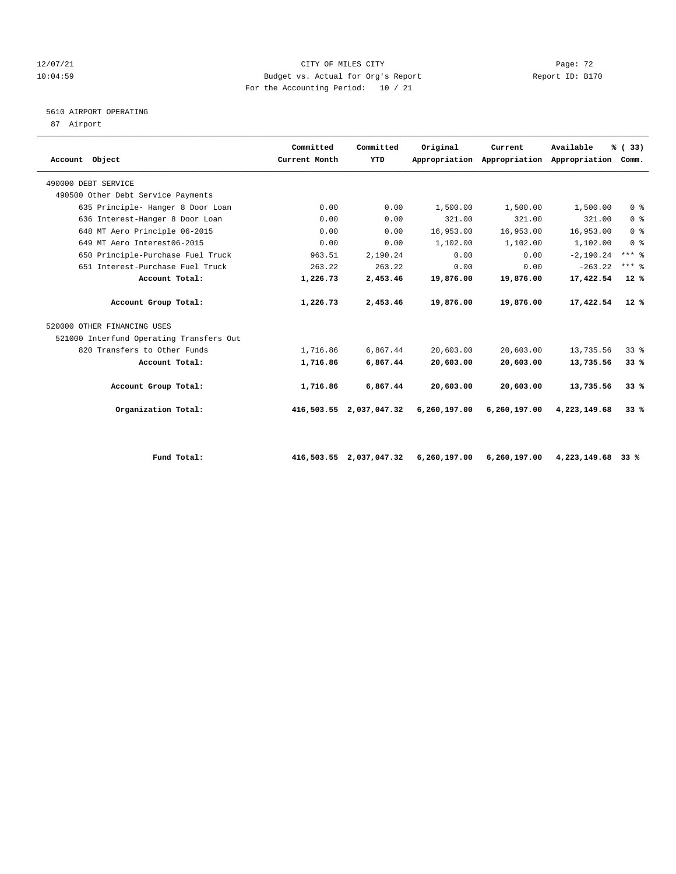# 12/07/21 CITY OF MILES CITY Page: 72 10:04:59 Budget vs. Actual for Org's Report Report ID: B170 For the Accounting Period: 10 / 21

# 5610 AIRPORT OPERATING

87 Airport

| Account Object                           | Committed<br>Current Month | Committed<br>YTD        | Original     | Current<br>Appropriation Appropriation Appropriation Comm. | Available    | % (33)          |
|------------------------------------------|----------------------------|-------------------------|--------------|------------------------------------------------------------|--------------|-----------------|
| 490000 DEBT SERVICE                      |                            |                         |              |                                                            |              |                 |
| 490500 Other Debt Service Payments       |                            |                         |              |                                                            |              |                 |
| 635 Principle- Hanger 8 Door Loan        | 0.00                       | 0.00                    | 1,500.00     | 1,500.00                                                   | 1,500.00     | 0 <sup>8</sup>  |
| 636 Interest-Hanger 8 Door Loan          | 0.00                       | 0.00                    | 321.00       | 321.00                                                     | 321.00       | 0 <sup>8</sup>  |
| 648 MT Aero Principle 06-2015            | 0.00                       | 0.00                    | 16,953.00    | 16,953.00                                                  | 16,953.00    | 0 <sup>8</sup>  |
| 649 MT Aero Interest06-2015              | 0.00                       | 0.00                    | 1,102.00     | 1,102.00                                                   | 1,102.00     | 0 <sup>8</sup>  |
| 650 Principle-Purchase Fuel Truck        | 963.51                     | 2,190.24                | 0.00         | 0.00                                                       | $-2,190.24$  | $***$ $%$       |
| 651 Interest-Purchase Fuel Truck         | 263.22                     | 263.22                  | 0.00         | 0.00                                                       | $-263.22$    | $***$ $%$       |
| Account Total:                           | 1,226.73                   | 2,453.46                | 19,876.00    | 19,876.00                                                  | 17,422.54    | $12*$           |
| Account Group Total:                     | 1,226.73                   | 2,453.46                | 19,876.00    | 19,876.00                                                  | 17,422.54    | $12*$           |
| 520000 OTHER FINANCING USES              |                            |                         |              |                                                            |              |                 |
| 521000 Interfund Operating Transfers Out |                            |                         |              |                                                            |              |                 |
| 820 Transfers to Other Funds             | 1,716.86                   | 6,867.44                | 20,603.00    | 20,603.00                                                  | 13,735.56    | 33 <sup>8</sup> |
| Account Total:                           | 1,716.86                   | 6,867.44                | 20,603.00    | 20,603.00                                                  | 13,735.56    | 33%             |
| Account Group Total:                     | 1,716.86                   | 6,867.44                | 20,603.00    | 20,603.00                                                  | 13,735.56    | 33%             |
| Organization Total:                      |                            | 416,503.55 2,037,047.32 | 6,260,197.00 | 6,260,197.00                                               | 4,223,149.68 | 33%             |
|                                          |                            |                         |              |                                                            |              |                 |

 **Fund Total: 416,503.55 2,037,047.32 6,260,197.00 6,260,197.00 4,223,149.68 33 %**